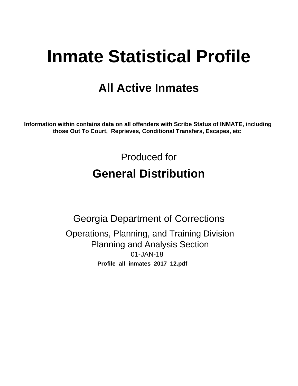# **Inmate Statistical Profile**

# **All Active Inmates**

Information within contains data on all offenders with Scribe Status of INMATE, including those Out To Court, Reprieves, Conditional Transfers, Escapes, etc

> Produced for **General Distribution**

**Georgia Department of Corrections** Operations, Planning, and Training Division **Planning and Analysis Section** 01-JAN-18 Profile\_all\_inmates\_2017\_12.pdf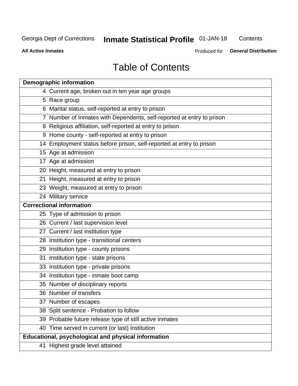# **Inmate Statistical Profile 01-JAN-18**

Contents

**All Active Inmates** 

Produced for General Distribution

# **Table of Contents**

| <b>Demographic information</b>                                        |
|-----------------------------------------------------------------------|
| 4 Current age, broken out in ten year age groups                      |
| 5 Race group                                                          |
| 6 Marital status, self-reported at entry to prison                    |
| 7 Number of Inmates with Dependents, self-reported at entry to prison |
| 8 Religious affiliation, self-reported at entry to prison             |
| 9 Home county - self-reported at entry to prison                      |
| 14 Employment status before prison, self-reported at entry to prison  |
| 15 Age at admission                                                   |
| 17 Age at admission                                                   |
| 20 Height, measured at entry to prison                                |
| 21 Height, measured at entry to prison                                |
| 23 Weight, measured at entry to prison                                |
| 24 Military service                                                   |
| <b>Correctional information</b>                                       |
| 25 Type of admission to prison                                        |
| 26 Current / last supervision level                                   |
| 27 Current / last institution type                                    |
| 28 Institution type - transitional centers                            |
| 29 Institution type - county prisons                                  |
| 31 Institution type - state prisons                                   |
| 33 Institution type - private prisons                                 |
| 34 Institution type - inmate boot camp                                |
| 35 Number of disciplinary reports                                     |
| 36 Number of transfers                                                |
| 37 Number of escapes                                                  |
| 38 Split sentence - Probation to follow                               |
| 39 Probable future release type of still active inmates               |
| 40 Time served in current (or last) institution                       |
| Educational, psychological and physical information                   |
| 41 Highest grade level attained                                       |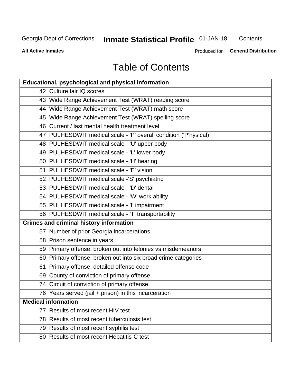# **Inmate Statistical Profile 01-JAN-18**

Contents

**All Active Inmates** 

Produced for **General Distribution** 

# **Table of Contents**

| <b>Educational, psychological and physical information</b>       |
|------------------------------------------------------------------|
| 42 Culture fair IQ scores                                        |
| 43 Wide Range Achievement Test (WRAT) reading score              |
| 44 Wide Range Achievement Test (WRAT) math score                 |
| 45 Wide Range Achievement Test (WRAT) spelling score             |
| 46 Current / last mental health treatment level                  |
| 47 PULHESDWIT medical scale - 'P' overall condition ('P'hysical) |
| 48 PULHESDWIT medical scale - 'U' upper body                     |
| 49 PULHESDWIT medical scale - 'L' lower body                     |
| 50 PULHESDWIT medical scale - 'H' hearing                        |
| 51 PULHESDWIT medical scale - 'E' vision                         |
| 52 PULHESDWIT medical scale -'S' psychiatric                     |
| 53 PULHESDWIT medical scale - 'D' dental                         |
| 54 PULHESDWIT medical scale - 'W' work ability                   |
| 55 PULHESDWIT medical scale - 'I' impairment                     |
| 56 PULHESDWIT medical scale - 'T' transportability               |
| <b>Crimes and criminal history information</b>                   |
| 57 Number of prior Georgia incarcerations                        |
| 58 Prison sentence in years                                      |
| 59 Primary offense, broken out into felonies vs misdemeanors     |
| 60 Primary offense, broken out into six broad crime categories   |
| 61 Primary offense, detailed offense code                        |
| 69 County of conviction of primary offense                       |
| 74 Circuit of conviction of primary offense                      |
| 76 Years served (jail + prison) in this incarceration            |
| <b>Medical information</b>                                       |
| 77 Results of most recent HIV test                               |
| 78 Results of most recent tuberculosis test                      |
| 79 Results of most recent syphilis test                          |
| 80 Results of most recent Hepatitis-C test                       |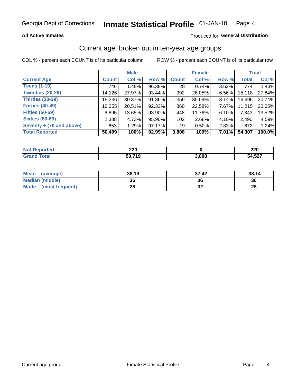#### **All Active Inmates**

#### Produced for General Distribution

### Current age, broken out in ten-year age groups

COL % - percent each COUNT is of its particular column

|                          |              | <b>Male</b> |        |                 | <b>Female</b> |       |              | <b>Total</b> |  |
|--------------------------|--------------|-------------|--------|-----------------|---------------|-------|--------------|--------------|--|
| <b>Current Age</b>       | <b>Count</b> | Col %       | Row %  | <b>Count</b>    | Col %         | Row % | <b>Total</b> | Col %        |  |
| <b>Teens (1-19)</b>      | 746          | 1.48%       | 96.38% | 28              | 0.74%         | 3.62% | 774          | 1.43%        |  |
| <b>Twenties (20-29)</b>  | 14,126       | 27.97%      | 93.44% | 992             | 26.05%        | 6.56% | 15,118       | 27.84%       |  |
| <b>Thirties (30-39)</b>  | 15,336       | 30.37%      | 91.86% | 1,359           | 35.69%        | 8.14% | 16,695       | 30.74%       |  |
| <b>Forties (40-49)</b>   | 10,355       | 20.51%      | 92.33% | 860             | 22.58%        | 7.67% | 11,215       | 20.65%       |  |
| <b>Fifties (50-59)</b>   | 6,895        | 13.65%      | 93.90% | 448             | 11.76%        | 6.10% | 7,343        | 13.52%       |  |
| <b>Sixties (60-69)</b>   | 2,388        | 4.73%       | 95.90% | 102             | 2.68%         | 4.10% | 2,490        | 4.59%        |  |
| Seventy + (70 and above) | 653          | 1.29%       | 97.17% | 19 <sup>1</sup> | 0.50%         | 2.83% | 672          | 1.24%        |  |
| <b>Total Reported</b>    | 50,499       | 100%        | 92.99% | 3,808           | 100%          | 7.01% | 54,307       | 100.0%       |  |

| <b>Anorted</b> | חרר    |       | nne.   |
|----------------|--------|-------|--------|
| <b>NOT</b>     | ZZU    |       | ZZU    |
| <b>Total</b>   | 50 71C | 3,808 | 54,527 |

| <b>Mean</b><br>(average)       | 38.19 | 37.42 | 38.14 |
|--------------------------------|-------|-------|-------|
| Median (middle)                | 36    | 36    | 36    |
| <b>Mode</b><br>(most frequent) | 28    | ◡▵    | 28    |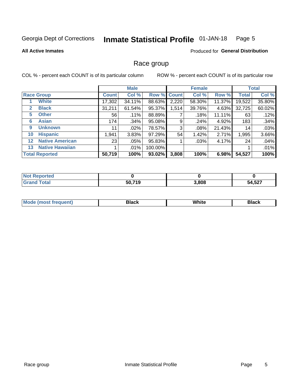#### Inmate Statistical Profile 01-JAN-18 Page 5

#### **All Active Inmates**

#### Produced for General Distribution

### Race group

COL % - percent each COUNT is of its particular column

|                   |                        |              | <b>Male</b> |             |       | <b>Female</b> |        |              | <b>Total</b> |  |
|-------------------|------------------------|--------------|-------------|-------------|-------|---------------|--------|--------------|--------------|--|
|                   | <b>Race Group</b>      | <b>Count</b> | Col %       | Row % Count |       | Col %         | Row %  | <b>Total</b> | Col %        |  |
|                   | <b>White</b>           | 17,302       | 34.11%      | 88.63%      | 2,220 | 58.30%        | 11.37% | 19,522       | 35.80%       |  |
| 2                 | <b>Black</b>           | 31,211       | 61.54%      | 95.37%      | 1,514 | 39.76%        | 4.63%  | 32,725       | 60.02%       |  |
| 5                 | <b>Other</b>           | 56           | .11%        | 88.89%      |       | .18%          | 11.11% | 63           | .12%         |  |
| 6                 | <b>Asian</b>           | 174          | .34%        | 95.08%      | 9     | .24%          | 4.92%  | 183          | .34%         |  |
| 9                 | <b>Unknown</b>         | 11           | $.02\%$     | 78.57%      | 3     | .08%          | 21.43% | 14           | .03%         |  |
| 10                | <b>Hispanic</b>        | 1,941        | 3.83%       | 97.29%      | 54    | 1.42%         | 2.71%  | 1,995        | 3.66%        |  |
| $12 \overline{ }$ | <b>Native American</b> | 23           | $.05\%$     | 95.83%      |       | .03%          | 4.17%  | 24           | .04%         |  |
| 13                | <b>Native Hawaiian</b> |              | $.01\%$     | 100.00%     |       |               |        |              | .01%         |  |
|                   | <b>Total Reported</b>  | 50,719       | 100%        | 93.02%      | 3,808 | 100%          | 6.98%  | 54,527       | 100%         |  |

| <b>Not Reported</b> |        |       |        |
|---------------------|--------|-------|--------|
| <b>Grand Total</b>  | 50,719 | 3,808 | 54,527 |

| <b>Mode</b><br>---<br>most frequent) | Black | White | <b>Black</b> |
|--------------------------------------|-------|-------|--------------|
|                                      |       |       |              |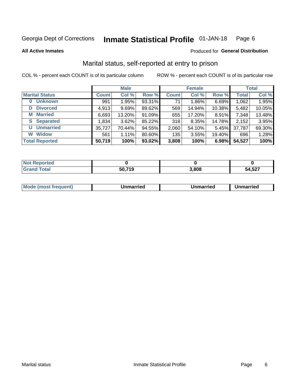#### Inmate Statistical Profile 01-JAN-18 Page 6

**All Active Inmates** 

#### Produced for General Distribution

### Marital status, self-reported at entry to prison

COL % - percent each COUNT is of its particular column

|                            | <b>Male</b>  |        |        |              | <b>Female</b> | <b>Total</b> |              |        |
|----------------------------|--------------|--------|--------|--------------|---------------|--------------|--------------|--------|
| <b>Marital Status</b>      | <b>Count</b> | Col %  | Row %  | <b>Count</b> | Col %         | Row %        | <b>Total</b> | Col %  |
| <b>Unknown</b><br>$\bf{0}$ | 991          | 1.95%  | 93.31% | 71           | $1.86\%$      | 6.69%        | 1,062        | 1.95%  |
| <b>Divorced</b><br>D       | 4,913        | 9.69%  | 89.62% | 569          | 14.94%        | 10.38%       | 5,482        | 10.05% |
| <b>Married</b><br>М        | 6,693        | 13.20% | 91.09% | 655          | 17.20%        | 8.91%        | 7,348        | 13.48% |
| <b>Separated</b><br>S.     | 1,834        | 3.62%  | 85.22% | 318          | 8.35%         | 14.78%       | 2,152        | 3.95%  |
| <b>Unmarried</b><br>U      | 35,727       | 70.44% | 94.55% | 2,060        | 54.10%        | 5.45%        | 37,787       | 69.30% |
| <b>Widow</b><br>W          | 561          | 1.11%  | 80.60% | 135          | 3.55%         | 19.40%       | 696          | 1.28%  |
| <b>Total Reported</b>      | 50,719       | 100%   | 93.02% | 3,808        | 100%          | 6.98%        | 54,527       | 100%   |

| orted<br>I NOT |            |       |        |
|----------------|------------|-------|--------|
| $\sim$<br>. Gr | <b>740</b> | 3,808 | 54,527 |

|--|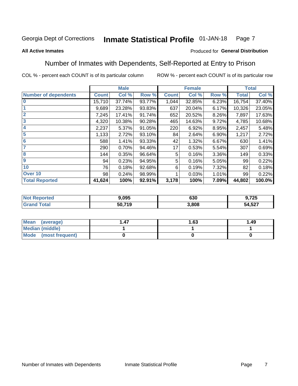#### **Inmate Statistical Profile 01-JAN-18** Page 7

#### **All Active Inmates**

#### Produced for General Distribution

### Number of Inmates with Dependents, Self-Reported at Entry to Prison

COL % - percent each COUNT is of its particular column

|                             |              | <b>Male</b> |        |              | <b>Female</b> |          |              | <b>Total</b> |
|-----------------------------|--------------|-------------|--------|--------------|---------------|----------|--------------|--------------|
| <b>Number of dependents</b> | <b>Count</b> | Col %       | Row %  | <b>Count</b> | Col %         | Row %    | <b>Total</b> | Col %        |
| l 0                         | 15,710       | 37.74%      | 93.77% | 1,044        | 32.85%        | 6.23%    | 16,754       | 37.40%       |
|                             | 9,689        | 23.28%      | 93.83% | 637          | 20.04%        | 6.17%    | 10,326       | 23.05%       |
| $\overline{2}$              | 7,245        | 17.41%      | 91.74% | 652          | 20.52%        | $8.26\%$ | 7,897        | 17.63%       |
| $\overline{\mathbf{3}}$     | 4,320        | 10.38%      | 90.28% | 465          | 14.63%        | 9.72%    | 4,785        | 10.68%       |
| 4                           | 2,237        | 5.37%       | 91.05% | 220          | 6.92%         | 8.95%    | 2,457        | 5.48%        |
| 5                           | 1,133        | 2.72%       | 93.10% | 84           | 2.64%         | 6.90%    | 1,217        | 2.72%        |
| 6                           | 588          | 1.41%       | 93.33% | 42           | 1.32%         | 6.67%    | 630          | 1.41%        |
| 7                           | 290          | 0.70%       | 94.46% | 17           | 0.53%         | 5.54%    | 307          | 0.69%        |
| $\overline{\mathbf{8}}$     | 144          | 0.35%       | 96.64% | 5            | 0.16%         | 3.36%    | 149          | 0.33%        |
| 9                           | 94           | 0.23%       | 94.95% | 5            | 0.16%         | 5.05%    | 99           | 0.22%        |
| 10                          | 76           | 0.18%       | 92.68% | 6            | 0.19%         | 7.32%    | 82           | 0.18%        |
| Over 10                     | 98           | 0.24%       | 98.99% |              | 0.03%         | 1.01%    | 99           | 0.22%        |
| <b>Total Reported</b>       | 41,624       | 100%        | 92.91% | 3,178        | 100%          | 7.09%    | 44,802       | 100.0%       |

| 9.095         | can<br>טכס | ラヘビ<br>1 LJ<br>v. |
|---------------|------------|-------------------|
| 50 719<br>. . | .808       | 4,527ر<br>54      |

| Mean (average)          | 1.63 | 1.49 |
|-------------------------|------|------|
| <b>Median (middle)</b>  |      |      |
| Mode<br>(most frequent) |      |      |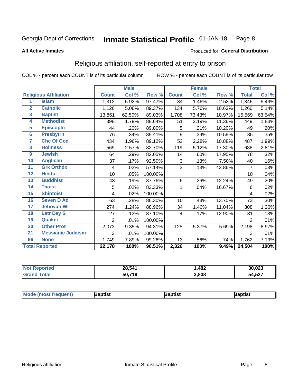#### **Inmate Statistical Profile 01-JAN-18** Page 8

#### **All Active Inmates**

#### Produced for General Distribution

### Religious affiliation, self-reported at entry to prison

COL % - percent each COUNT is of its particular column

|                |                              |                | <b>Male</b> |         |              | <b>Female</b> |        |              | <b>Total</b> |
|----------------|------------------------------|----------------|-------------|---------|--------------|---------------|--------|--------------|--------------|
|                | <b>Religious Affiliation</b> | <b>Count</b>   | Col %       | Row %   | <b>Count</b> | Col %         | Row %  | <b>Total</b> | Col %        |
| 1              | <b>Islam</b>                 | 1,312          | 5.92%       | 97.47%  | 34           | 1.46%         | 2.53%  | 1,346        | 5.49%        |
| $\mathbf{2}$   | <b>Catholic</b>              | 1,126          | 5.08%       | 89.37%  | 134          | 5.76%         | 10.63% | 1,260        | 5.14%        |
| 3              | <b>Baptist</b>               | 13,861         | 62.50%      | 89.03%  | 1,708        | 73.43%        | 10.97% | 15,569       | 63.54%       |
| 4              | <b>Methodist</b>             | 398            | 1.79%       | 88.64%  | 51           | 2.19%         | 11.36% | 449          | 1.83%        |
| 5              | <b>EpiscopIn</b>             | 44             | .20%        | 89.80%  | 5            | .21%          | 10.20% | 49           | .20%         |
| $6\phantom{a}$ | <b>Presbytrn</b>             | 76             | .34%        | 89.41%  | 9            | .39%          | 10.59% | 85           | .35%         |
| 7              | <b>Chc Of God</b>            | 434            | 1.96%       | 89.12%  | 53           | 2.28%         | 10.88% | 487          | 1.99%        |
| 8              | <b>Holiness</b>              | 569            | 2.57%       | 82.70%  | 119          | 5.12%         | 17.30% | 688          | 2.81%        |
| 9              | <b>Jewish</b>                | 64             | .29%        | 82.05%  | 14           | .60%          | 17.95% | 78           | .32%         |
| 10             | <b>Anglican</b>              | 37             | .17%        | 92.50%  | 3            | .13%          | 7.50%  | 40           | .16%         |
| 11             | <b>Grk Orthdx</b>            | 4              | .02%        | 57.14%  | 3            | .13%          | 42.86% | 7            | .03%         |
| 12             | <b>Hindu</b>                 | 10             | .05%        | 100.00% |              |               |        | 10           | .04%         |
| 13             | <b>Buddhist</b>              | 43             | .19%        | 87.76%  | 6            | .26%          | 12.24% | 49           | .20%         |
| 14             | <b>Taoist</b>                | 5              | .02%        | 83.33%  | 1            | .04%          | 16.67% | 6            | .02%         |
| 15             | <b>Shintoist</b>             | 4              | .02%        | 100.00% |              |               |        | 4            | .02%         |
| 16             | <b>Seven D Ad</b>            | 63             | .28%        | 86.30%  | 10           | .43%          | 13.70% | 73           | .30%         |
| 17             | <b>Jehovah Wt</b>            | 274            | 1.24%       | 88.96%  | 34           | 1.46%         | 11.04% | 308          | 1.26%        |
| 18             | <b>Latr Day S</b>            | 27             | .12%        | 87.10%  | 4            | .17%          | 12.90% | 31           | .13%         |
| 19             | Quaker                       | $\overline{2}$ | .01%        | 100.00% |              |               |        | 2            | .01%         |
| 20             | <b>Other Prot</b>            | 2,073          | 9.35%       | 94.31%  | 125          | 5.37%         | 5.69%  | 2,198        | 8.97%        |
| 21             | <b>Messianic Judaism</b>     | 3              | .01%        | 100.00% |              |               |        | 3            | .01%         |
| 96             | <b>None</b>                  | 1,749          | 7.89%       | 99.26%  | 13           | .56%          | .74%   | 1,762        | 7.19%        |
|                | <b>Total Reported</b>        | 22,178         | 100%        | 90.51%  | 2,326        | 100%          | 9.49%  | 24,504       | 100%         |

| <b>rtec</b><br>NA | 28,541       | ,482  | 30,023 |
|-------------------|--------------|-------|--------|
| ' Gra             | .719<br>50,7 | 3,808 | 54,527 |

| <b>Mode (most frequent)</b> | <b>Japtist</b> | Baptist | Baptist |
|-----------------------------|----------------|---------|---------|
|-----------------------------|----------------|---------|---------|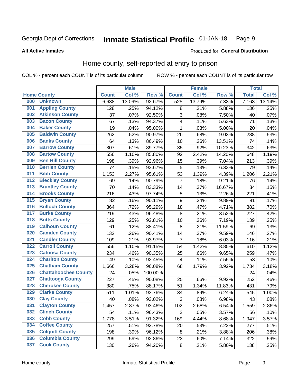#### Inmate Statistical Profile 01-JAN-18 Page 9

**All Active Inmates** 

#### Produced for General Distribution

### Home county, self-reported at entry to prison

COL % - percent each COUNT is of its particular column

|     |                             |              | <b>Male</b> |                  |                  | <b>Female</b> |        | <b>Total</b> |        |
|-----|-----------------------------|--------------|-------------|------------------|------------------|---------------|--------|--------------|--------|
|     | <b>Home County</b>          | <b>Count</b> | Col %       | Row <sup>%</sup> | <b>Count</b>     | Col %         | Row %  | <b>Total</b> | Col %  |
| 000 | <b>Unknown</b>              | 6,638        | 13.09%      | 92.67%           | 525              | 13.79%        | 7.33%  | 7,163        | 13.14% |
| 001 | <b>Appling County</b>       | 128          | .25%        | 94.12%           | 8                | .21%          | 5.88%  | 136          | .25%   |
| 002 | <b>Atkinson County</b>      | 37           | .07%        | 92.50%           | 3                | .08%          | 7.50%  | 40           | .07%   |
| 003 | <b>Bacon County</b>         | 67           | .13%        | 94.37%           | 4                | .11%          | 5.63%  | 71           | .13%   |
| 004 | <b>Baker County</b>         | 19           | .04%        | 95.00%           | $\mathbf{1}$     | .03%          | 5.00%  | 20           | .04%   |
| 005 | <b>Baldwin County</b>       | 262          | .52%        | 90.97%           | 26               | .68%          | 9.03%  | 288          | .53%   |
| 006 | <b>Banks County</b>         | 64           | .13%        | 86.49%           | 10               | .26%          | 13.51% | 74           | .14%   |
| 007 | <b>Barrow County</b>        | 307          | .61%        | 89.77%           | 35               | .92%          | 10.23% | 342          | .63%   |
| 008 | <b>Bartow County</b>        | 556          | 1.10%       | 85.80%           | 92               | 2.42%         | 14.20% | 648          | 1.19%  |
| 009 | <b>Ben Hill County</b>      | 198          | .39%        | 92.96%           | 15               | .39%          | 7.04%  | 213          | .39%   |
| 010 | <b>Berrien County</b>       | 74           | .15%        | 93.67%           | 5                | .13%          | 6.33%  | 79           | .14%   |
| 011 | <b>Bibb County</b>          | 1,153        | 2.27%       | 95.61%           | 53               | 1.39%         | 4.39%  | 1,206        | 2.21%  |
| 012 | <b>Bleckley County</b>      | 69           | .14%        | 90.79%           | 7                | .18%          | 9.21%  | 76           | .14%   |
| 013 | <b>Brantley County</b>      | 70           | .14%        | 83.33%           | 14               | .37%          | 16.67% | 84           | .15%   |
| 014 | <b>Brooks County</b>        | 216          | .43%        | 97.74%           | 5                | .13%          | 2.26%  | 221          | .41%   |
| 015 | <b>Bryan County</b>         | 82           | .16%        | 90.11%           | $\boldsymbol{9}$ | .24%          | 9.89%  | 91           | .17%   |
| 016 | <b>Bulloch County</b>       | 364          | .72%        | 95.29%           | 18               | .47%          | 4.71%  | 382          | .70%   |
| 017 | <b>Burke County</b>         | 219          | .43%        | 96.48%           | $\bf 8$          | .21%          | 3.52%  | 227          | .42%   |
| 018 | <b>Butts County</b>         | 129          | .25%        | 92.81%           | 10               | .26%          | 7.19%  | 139          | .25%   |
| 019 | <b>Calhoun County</b>       | 61           | .12%        | 88.41%           | 8                | .21%          | 11.59% | 69           | .13%   |
| 020 | <b>Camden County</b>        | 132          | .26%        | 90.41%           | 14               | .37%          | 9.59%  | 146          | .27%   |
| 021 | <b>Candler County</b>       | 109          | .21%        | 93.97%           | 7                | .18%          | 6.03%  | 116          | .21%   |
| 022 | <b>Carroll County</b>       | 556          | 1.10%       | 91.15%           | 54               | 1.42%         | 8.85%  | 610          | 1.12%  |
| 023 | <b>Catoosa County</b>       | 234          | .46%        | 90.35%           | 25               | .66%          | 9.65%  | 259          | .47%   |
| 024 | <b>Charlton County</b>      | 49           | .10%        | 92.45%           | 4                | .11%          | 7.55%  | 53           | .10%   |
| 025 | <b>Chatham County</b>       | 1,666        | 3.28%       | 96.08%           | 68               | 1.79%         | 3.92%  | 1,734        | 3.18%  |
| 026 | <b>Chattahoochee County</b> | 24           | .05%        | 100.00%          |                  |               |        | 24           | .04%   |
| 027 | <b>Chattooga County</b>     | 227          | .45%        | 90.08%           | 25               | .66%          | 9.92%  | 252          | .46%   |
| 028 | <b>Cherokee County</b>      | 380          | .75%        | 88.17%           | 51               | 1.34%         | 11.83% | 431          | .79%   |
| 029 | <b>Clarke County</b>        | 511          | 1.01%       | 93.76%           | 34               | .89%          | 6.24%  | 545          | 1.00%  |
| 030 | <b>Clay County</b>          | 40           | .08%        | 93.02%           | $\overline{3}$   | .08%          | 6.98%  | 43           | .08%   |
| 031 | <b>Clayton County</b>       | 1,457        | 2.87%       | 93.46%           | 102              | 2.68%         | 6.54%  | 1,559        | 2.86%  |
| 032 | <b>Clinch County</b>        | 54           | .11%        | 96.43%           | $\overline{2}$   | .05%          | 3.57%  | 56           | .10%   |
| 033 | <b>Cobb County</b>          | 1,778        | 3.51%       | 91.32%           | 169              | 4.44%         | 8.68%  | 1,947        | 3.57%  |
| 034 | <b>Coffee County</b>        | 257          | .51%        | 92.78%           | 20               | .53%          | 7.22%  | 277          | .51%   |
| 035 | <b>Colquitt County</b>      | 198          | .39%        | 96.12%           | 8                | .21%          | 3.88%  | 206          | .38%   |
| 036 | <b>Columbia County</b>      | 299          | .59%        | 92.86%           | 23               | .60%          | 7.14%  | 322          | .59%   |
| 037 | <b>Cook County</b>          | 130          | .26%        | 94.20%           | $\bf 8$          | .21%          | 5.80%  | 138          | .25%   |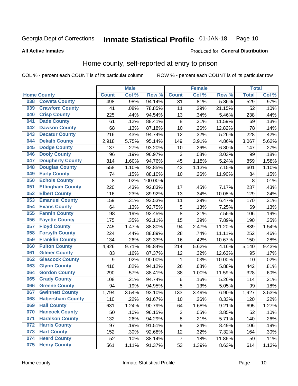#### **Inmate Statistical Profile 01-JAN-18** Page 10

**All Active Inmates** 

#### Produced for General Distribution

### Home county, self-reported at entry to prison

COL % - percent each COUNT is of its particular column

|     |                         |              | <b>Male</b> |         |                | <b>Female</b> |        | <b>Total</b> |       |
|-----|-------------------------|--------------|-------------|---------|----------------|---------------|--------|--------------|-------|
|     | <b>Home County</b>      | <b>Count</b> | Col %       | Row %   | <b>Count</b>   | Col %         | Row %  | <b>Total</b> | Col % |
| 038 | <b>Coweta County</b>    | 498          | .98%        | 94.14%  | 31             | .81%          | 5.86%  | 529          | .97%  |
| 039 | <b>Crawford County</b>  | 41           | .08%        | 78.85%  | 11             | .29%          | 21.15% | 52           | .10%  |
| 040 | <b>Crisp County</b>     | 225          | .44%        | 94.54%  | 13             | .34%          | 5.46%  | 238          | .44%  |
| 041 | <b>Dade County</b>      | 61           | .12%        | 88.41%  | 8              | .21%          | 11.59% | 69           | .13%  |
| 042 | <b>Dawson County</b>    | 68           | .13%        | 87.18%  | 10             | .26%          | 12.82% | 78           | .14%  |
| 043 | <b>Decatur County</b>   | 216          | .43%        | 94.74%  | 12             | .32%          | 5.26%  | 228          | .42%  |
| 044 | <b>Dekalb County</b>    | 2,918        | 5.75%       | 95.14%  | 149            | 3.91%         | 4.86%  | 3,067        | 5.62% |
| 045 | <b>Dodge County</b>     | 137          | .27%        | 93.20%  | 10             | .26%          | 6.80%  | 147          | .27%  |
| 046 | <b>Dooly County</b>     | 96           | .19%        | 96.97%  | 3              | .08%          | 3.03%  | 99           | .18%  |
| 047 | <b>Dougherty County</b> | 814          | 1.60%       | 94.76%  | 45             | 1.18%         | 5.24%  | 859          | 1.58% |
| 048 | <b>Douglas County</b>   | 558          | 1.10%       | 92.85%  | 43             | 1.13%         | 7.15%  | 601          | 1.10% |
| 049 | <b>Early County</b>     | 74           | .15%        | 88.10%  | 10             | .26%          | 11.90% | 84           | .15%  |
| 050 | <b>Echols County</b>    | 8            | .02%        | 100.00% |                |               |        | 8            | .01%  |
| 051 | <b>Effingham County</b> | 220          | .43%        | 92.83%  | 17             | .45%          | 7.17%  | 237          | .43%  |
| 052 | <b>Elbert County</b>    | 116          | .23%        | 89.92%  | 13             | .34%          | 10.08% | 129          | .24%  |
| 053 | <b>Emanuel County</b>   | 159          | .31%        | 93.53%  | 11             | .29%          | 6.47%  | 170          | .31%  |
| 054 | <b>Evans County</b>     | 64           | .13%        | 92.75%  | 5              | .13%          | 7.25%  | 69           | .13%  |
| 055 | <b>Fannin County</b>    | 98           | .19%        | 92.45%  | 8              | .21%          | 7.55%  | 106          | .19%  |
| 056 | <b>Fayette County</b>   | 175          | .35%        | 92.11%  | 15             | .39%          | 7.89%  | 190          | .35%  |
| 057 | <b>Floyd County</b>     | 745          | 1.47%       | 88.80%  | 94             | 2.47%         | 11.20% | 839          | 1.54% |
| 058 | <b>Forsyth County</b>   | 224          | .44%        | 88.89%  | 28             | .74%          | 11.11% | 252          | .46%  |
| 059 | <b>Franklin County</b>  | 134          | .26%        | 89.33%  | 16             | .42%          | 10.67% | 150          | .28%  |
| 060 | <b>Fulton County</b>    | 4,926        | 9.71%       | 95.84%  | 214            | 5.62%         | 4.16%  | 5,140        | 9.43% |
| 061 | <b>Gilmer County</b>    | 83           | .16%        | 87.37%  | 12             | .32%          | 12.63% | 95           | .17%  |
| 062 | <b>Glascock County</b>  | 9            | .02%        | 90.00%  | 1              | .03%          | 10.00% | 10           | .02%  |
| 063 | <b>Glynn County</b>     | 416          | .82%        | 94.12%  | 26             | .68%          | 5.88%  | 442          | .81%  |
| 064 | <b>Gordon County</b>    | 290          | .57%        | 88.41%  | 38             | 1.00%         | 11.59% | 328          | .60%  |
| 065 | <b>Grady County</b>     | 108          | .21%        | 94.74%  | 6              | .16%          | 5.26%  | 114          | .21%  |
| 066 | <b>Greene County</b>    | 94           | .19%        | 94.95%  | 5              | .13%          | 5.05%  | 99           | .18%  |
| 067 | <b>Gwinnett County</b>  | 1,794        | 3.54%       | 93.10%  | 133            | 3.49%         | 6.90%  | 1,927        | 3.53% |
| 068 | <b>Habersham County</b> | 110          | .22%        | 91.67%  | 10             | .26%          | 8.33%  | 120          | .22%  |
| 069 | <b>Hall County</b>      | 631          | 1.24%       | 90.79%  | 64             | 1.68%         | 9.21%  | 695          | 1.27% |
| 070 | <b>Hancock County</b>   | 50           | .10%        | 96.15%  | $\overline{2}$ | .05%          | 3.85%  | 52           | .10%  |
| 071 | <b>Haralson County</b>  | 132          | .26%        | 94.29%  | 8              | .21%          | 5.71%  | 140          | .26%  |
| 072 | <b>Harris County</b>    | 97           | .19%        | 91.51%  | 9              | .24%          | 8.49%  | 106          | .19%  |
| 073 | <b>Hart County</b>      | 152          | .30%        | 92.68%  | 12             | .32%          | 7.32%  | 164          | .30%  |
| 074 | <b>Heard County</b>     | 52           | .10%        | 88.14%  | $\overline{7}$ | .18%          | 11.86% | 59           | .11%  |
| 075 | <b>Henry County</b>     | 561          | 1.11%       | 91.37%  | 53             | 1.39%         | 8.63%  | 614          | 1.13% |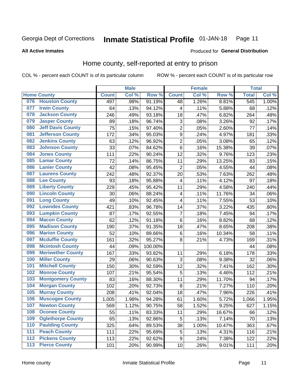#### Inmate Statistical Profile 01-JAN-18 Page 11

#### **All Active Inmates**

### Produced for General Distribution

### Home county, self-reported at entry to prison

COL % - percent each COUNT is of its particular column

|       |                          |              | <b>Male</b> |                  |                         | <b>Female</b> |        | <b>Total</b>     |       |
|-------|--------------------------|--------------|-------------|------------------|-------------------------|---------------|--------|------------------|-------|
|       | <b>Home County</b>       | <b>Count</b> | Col %       | Row <sup>%</sup> | <b>Count</b>            | Col %         | Row %  | <b>Total</b>     | Col % |
| 076   | <b>Houston County</b>    | 497          | .98%        | 91.19%           | 48                      | 1.26%         | 8.81%  | $\overline{545}$ | 1.00% |
| 077   | <b>Irwin County</b>      | 64           | .13%        | 94.12%           | 4                       | .11%          | 5.88%  | 68               | .12%  |
| 078   | <b>Jackson County</b>    | 246          | .49%        | 93.18%           | 18                      | .47%          | 6.82%  | 264              | .48%  |
| 079   | <b>Jasper County</b>     | 89           | .18%        | 96.74%           | 3                       | .08%          | 3.26%  | 92               | .17%  |
| 080   | <b>Jeff Davis County</b> | 75           | .15%        | 97.40%           | $\overline{2}$          | .05%          | 2.60%  | 77               | .14%  |
| 081   | <b>Jefferson County</b>  | 172          | .34%        | 95.03%           | $\boldsymbol{9}$        | .24%          | 4.97%  | 181              | .33%  |
| 082   | <b>Jenkins County</b>    | 63           | .12%        | 96.92%           | $\overline{2}$          | .05%          | 3.08%  | 65               | .12%  |
| 083   | <b>Johnson County</b>    | 33           | .07%        | 84.62%           | 6                       | .16%          | 15.38% | 39               | .07%  |
| 084   | <b>Jones County</b>      | 111          | .22%        | 90.24%           | 12                      | .32%          | 9.76%  | 123              | .23%  |
| 085   | <b>Lamar County</b>      | 72           | .14%        | 86.75%           | 11                      | .29%          | 13.25% | 83               | .15%  |
| 086   | <b>Lanier County</b>     | 42           | .08%        | 95.45%           | $\overline{2}$          | .05%          | 4.55%  | 44               | .08%  |
| 087   | <b>Laurens County</b>    | 242          | .48%        | 92.37%           | 20                      | .53%          | 7.63%  | 262              | .48%  |
| 088   | <b>Lee County</b>        | 93           | .18%        | 95.88%           | $\overline{\mathbf{4}}$ | .11%          | 4.12%  | 97               | .18%  |
| 089   | <b>Liberty County</b>    | 229          | .45%        | 95.42%           | 11                      | .29%          | 4.58%  | 240              | .44%  |
| 090   | <b>Lincoln County</b>    | 30           | .06%        | 88.24%           | $\overline{\mathbf{4}}$ | .11%          | 11.76% | 34               | .06%  |
| 091   | <b>Long County</b>       | 49           | .10%        | 92.45%           | 4                       | .11%          | 7.55%  | 53               | .10%  |
| 092   | <b>Lowndes County</b>    | 421          | .83%        | 96.78%           | 14                      | .37%          | 3.22%  | 435              | .80%  |
| 093   | <b>Lumpkin County</b>    | 87           | .17%        | 92.55%           | $\overline{7}$          | .18%          | 7.45%  | 94               | .17%  |
| 094   | <b>Macon County</b>      | 62           | .12%        | 91.18%           | $\,6$                   | .16%          | 8.82%  | 68               | .12%  |
| 095   | <b>Madison County</b>    | 190          | .37%        | 91.35%           | 18                      | .47%          | 8.65%  | 208              | .38%  |
| 096   | <b>Marion County</b>     | 52           | .10%        | 89.66%           | 6                       | .16%          | 10.34% | 58               | .11%  |
| 097   | <b>Mcduffie County</b>   | 161          | .32%        | 95.27%           | 8                       | .21%          | 4.73%  | 169              | .31%  |
| 098   | <b>Mcintosh County</b>   | 44           | .09%        | 100.00%          |                         |               |        | 44               | .08%  |
| 099   | <b>Meriwether County</b> | 167          | .33%        | 93.82%           | 11                      | .29%          | 6.18%  | 178              | .33%  |
| 100   | <b>Miller County</b>     | 29           | .06%        | 90.63%           | 3                       | .08%          | 9.38%  | 32               | .06%  |
| 101   | <b>Mitchell County</b>   | 150          | .30%        | 92.59%           | 12                      | .32%          | 7.41%  | 162              | .30%  |
| 102   | <b>Monroe County</b>     | 107          | .21%        | 95.54%           | 5                       | .13%          | 4.46%  | 112              | .21%  |
| 103   | <b>Montgomery County</b> | 83           | .16%        | 88.30%           | 11                      | .29%          | 11.70% | 94               | .17%  |
| 104   | <b>Morgan County</b>     | 102          | .20%        | 92.73%           | 8                       | .21%          | 7.27%  | 110              | .20%  |
| 105   | <b>Murray County</b>     | 208          | .41%        | 92.04%           | 18                      | .47%          | 7.96%  | 226              | .41%  |
| 106   | <b>Muscogee County</b>   | 1,005        | 1.98%       | 94.28%           | 61                      | 1.60%         | 5.72%  | 1,066            | 1.95% |
| 107   | <b>Newton County</b>     | 569          | 1.12%       | 90.75%           | 58                      | 1.52%         | 9.25%  | 627              | 1.15% |
| 108   | <b>Oconee County</b>     | 55           | .11%        | 83.33%           | 11                      | .29%          | 16.67% | 66               | .12%  |
| 109   | <b>Oglethorpe County</b> | 65           | .13%        | 92.86%           | 5                       | .13%          | 7.14%  | 70               | .13%  |
| 110   | <b>Paulding County</b>   | 325          | .64%        | 89.53%           | 38                      | 1.00%         | 10.47% | 363              | .67%  |
| 111   | <b>Peach County</b>      | 111          | .22%        | 95.69%           | 5                       | .13%          | 4.31%  | 116              | .21%  |
| 112   | <b>Pickens County</b>    | 113          | .22%        | 92.62%           | $\boldsymbol{9}$        | .24%          | 7.38%  | 122              | .22%  |
| $113$ | <b>Pierce County</b>     | 101          | .20%        | 90.99%           | 10                      | .26%          | 9.01%  | 111              | .20%  |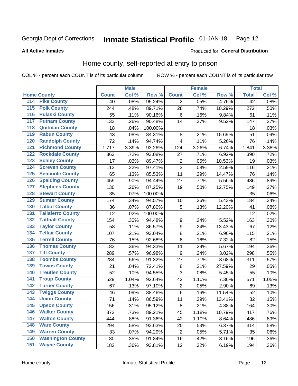#### Inmate Statistical Profile 01-JAN-18 Page 12

**All Active Inmates** 

#### Produced for General Distribution

### Home county, self-reported at entry to prison

COL % - percent each COUNT is of its particular column

|                  |                          |              | <b>Male</b> |         |                         | <b>Female</b>     |        | <b>Total</b> |         |
|------------------|--------------------------|--------------|-------------|---------|-------------------------|-------------------|--------|--------------|---------|
|                  | <b>Home County</b>       | <b>Count</b> | Col %       | Row %   | <b>Count</b>            | Col %             | Row %  | <b>Total</b> | Col %   |
| 114              | <b>Pike County</b>       | 40           | .08%        | 95.24%  | 2                       | .05%              | 4.76%  | 42           | .08%    |
| 115              | <b>Polk County</b>       | 244          | .48%        | 89.71%  | 28                      | .74%              | 10.29% | 272          | .50%    |
| 116              | <b>Pulaski County</b>    | 55           | .11%        | 90.16%  | $\,6$                   | .16%              | 9.84%  | 61           | .11%    |
| 117              | <b>Putnam County</b>     | 133          | .26%        | 90.48%  | 14                      | .37%              | 9.52%  | 147          | .27%    |
| 118              | <b>Quitman County</b>    | 18           | .04%        | 100.00% |                         |                   |        | 18           | .03%    |
| 119              | <b>Rabun County</b>      | 43           | .08%        | 84.31%  | 8                       | .21%              | 15.69% | 51           | .09%    |
| 120              | <b>Randolph County</b>   | 72           | .14%        | 94.74%  | 4                       | .11%              | 5.26%  | 76           | .14%    |
| 121              | <b>Richmond County</b>   | 1,717        | 3.39%       | 93.26%  | 124                     | 3.26%             | 6.74%  | 1,841        | 3.38%   |
| 122              | <b>Rockdale County</b>   | 363          | .72%        | 93.08%  | 27                      | .71%              | 6.92%  | 390          | .72%    |
| 123              | <b>Schley County</b>     | 17           | .03%        | 89.47%  | $\overline{c}$          | .05%              | 10.53% | 19           | .03%    |
| 124              | <b>Screven County</b>    | 113          | .22%        | 97.41%  | $\overline{3}$          | .08%              | 2.59%  | 116          | .21%    |
| 125              | <b>Seminole County</b>   | 65           | .13%        | 85.53%  | 11                      | .29%              | 14.47% | 76           | .14%    |
| 126              | <b>Spalding County</b>   | 459          | .90%        | 94.44%  | 27                      | .71%              | 5.56%  | 486          | .89%    |
| 127              | <b>Stephens County</b>   | 130          | .26%        | 87.25%  | 19                      | .50%              | 12.75% | 149          | .27%    |
| 128              | <b>Stewart County</b>    | 35           | .07%        | 100.00% |                         |                   |        | 35           | .06%    |
| 129              | <b>Sumter County</b>     | 174          | .34%        | 94.57%  | 10                      | .26%              | 5.43%  | 184          | .34%    |
| 130              | <b>Talbot County</b>     | 36           | .07%        | 87.80%  | 5                       | .13%              | 12.20% | 41           | .08%    |
| 131              | <b>Taliaferro County</b> | 12           | .02%        | 100.00% |                         |                   |        | 12           | .02%    |
| 132              | <b>Tattnall County</b>   | 154          | .30%        | 94.48%  | 9                       | .24%              | 5.52%  | 163          | .30%    |
| 133              | <b>Taylor County</b>     | 58           | .11%        | 86.57%  | 9                       | .24%              | 13.43% | 67           | .12%    |
| 134              | <b>Telfair County</b>    | 107          | .21%        | 93.04%  | 8                       | $\overline{.}21%$ | 6.96%  | 115          | .21%    |
| 135              | <b>Terrell County</b>    | 76           | .15%        | 92.68%  | $\,6$                   | .16%              | 7.32%  | 82           | .15%    |
| 136              | <b>Thomas County</b>     | 183          | .36%        | 94.33%  | 11                      | .29%              | 5.67%  | 194          | .36%    |
| 137              | <b>Tift County</b>       | 289          | .57%        | 96.98%  | 9                       | .24%              | 3.02%  | 298          | .55%    |
| 138              | <b>Toombs County</b>     | 284          | .56%        | 91.32%  | 27                      | .71%              | 8.68%  | 311          | .57%    |
| 139              | <b>Towns County</b>      | 21           | .04%        | 72.41%  | 8                       | .21%              | 27.59% | 29           | .05%    |
| 140              | <b>Treutlen County</b>   | 52           | .10%        | 94.55%  | 3                       | .08%              | 5.45%  | 55           | .10%    |
| 141              | <b>Troup County</b>      | 529          | 1.04%       | 92.64%  | 42                      | 1.10%             | 7.36%  | 571          | 1.05%   |
| $\overline{142}$ | <b>Turner County</b>     | 67           | .13%        | 97.10%  | $\overline{\mathbf{c}}$ | .05%              | 2.90%  | 69           | .13%    |
| 143              | <b>Twiggs County</b>     | 46           | .09%        | 88.46%  | $\overline{6}$          | .16%              | 11.54% | 52           | .10%    |
| 144              | <b>Union County</b>      | 71           | .14%        | 86.59%  | 11                      | .29%              | 13.41% | 82           | .15%    |
| 145              | <b>Upson County</b>      | 156          | .31%        | 95.12%  | 8                       | .21%              | 4.88%  | 164          | $.30\%$ |
| 146              | <b>Walker County</b>     | 372          | .73%        | 89.21%  | 45                      | 1.18%             | 10.79% | 417          | .76%    |
| 147              | <b>Walton County</b>     | 444          | .88%        | 91.36%  | 42                      | 1.10%             | 8.64%  | 486          | .89%    |
| 148              | <b>Ware County</b>       | 294          | .58%        | 93.63%  | 20                      | .53%              | 6.37%  | 314          | .58%    |
| 149              | <b>Warren County</b>     | 33           | .07%        | 94.29%  | $\overline{2}$          | .05%              | 5.71%  | 35           | .06%    |
| 150              | <b>Washington County</b> | 180          | .35%        | 91.84%  | 16                      | .42%              | 8.16%  | 196          | .36%    |
| 151              | <b>Wayne County</b>      | 182          | .36%        | 93.81%  | 12                      | .32%              | 6.19%  | 194          | $.36\%$ |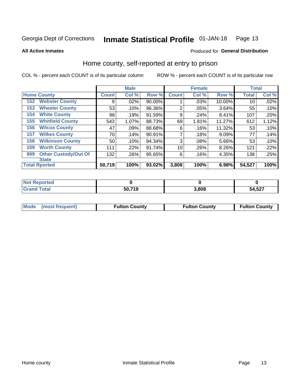#### Inmate Statistical Profile 01-JAN-18 Page 13

**All Active Inmates** 

#### Produced for General Distribution

### Home county, self-reported at entry to prison

COL % - percent each COUNT is of its particular column

|     |                             |              | <b>Male</b> |        |                | <b>Female</b> |          | <b>Total</b> |       |
|-----|-----------------------------|--------------|-------------|--------|----------------|---------------|----------|--------------|-------|
|     | <b>Home County</b>          | <b>Count</b> | Col %       | Row %  | <b>Count</b>   | Col %         | Row %    | <b>Total</b> | Col % |
| 152 | <b>Webster County</b>       | 9            | .02%        | 90.00% |                | .03%          | 10.00%   | 10           | .02%  |
| 153 | <b>Wheeler County</b>       | 53           | .10%        | 96.36% | $\overline{2}$ | .05%          | 3.64%    | 55           | .10%  |
| 154 | <b>White County</b>         | 98           | .19%        | 91.59% | 9              | .24%          | 8.41%    | 107          | .20%  |
| 155 | <b>Whitfield County</b>     | 543          | 1.07%       | 88.73% | 69             | 1.81%         | 11.27%   | 612          | 1.12% |
| 156 | <b>Wilcox County</b>        | 47           | .09%        | 88.68% | 6              | .16%          | 11.32%   | 53           | .10%  |
| 157 | <b>Wilkes County</b>        | 70           | .14%        | 90.91% | 7              | .18%          | 9.09%    | 77           | .14%  |
| 158 | <b>Wilkinson County</b>     | 50           | .10%        | 94.34% | 3              | .08%          | 5.66%    | 53           | .10%  |
| 159 | <b>Worth County</b>         | 111          | .22%        | 91.74% | 10             | .26%          | $8.26\%$ | 121          | .22%  |
| 999 | <b>Other Custody/Out Of</b> | 132          | .26%        | 95.65% | 6              | .16%          | 4.35%    | 138          | .25%  |
|     | <b>State</b>                |              |             |        |                |               |          |              |       |
|     | <b>Total Rported</b>        | 50,719       | 100%        | 93.02% | 3,808          | 100%          | 6.98%    | 54,527       | 100%  |

| 'Not<br>Reported |        |       |        |
|------------------|--------|-------|--------|
| <b>Total</b>     | 50,719 | 3,808 | 54,527 |

|  | Mode (most frequent) | <b>Fulton County</b> | <b>Fulton County</b> | <b>Fulton County</b> |
|--|----------------------|----------------------|----------------------|----------------------|
|--|----------------------|----------------------|----------------------|----------------------|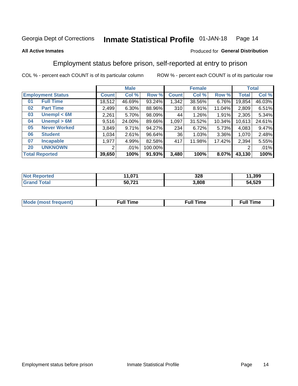#### Inmate Statistical Profile 01-JAN-18 Page 14

#### **All Active Inmates**

#### Produced for General Distribution

### Employment status before prison, self-reported at entry to prison

COL % - percent each COUNT is of its particular column

|                           | <b>Male</b>  |        |         | <b>Female</b> |        |        | <b>Total</b> |        |
|---------------------------|--------------|--------|---------|---------------|--------|--------|--------------|--------|
| <b>Employment Status</b>  | <b>Count</b> | Col %  | Row %   | <b>Count</b>  | Col %  | Row %  | <b>Total</b> | Col %  |
| <b>Full Time</b><br>01    | 18,512       | 46.69% | 93.24%  | 1,342         | 38.56% | 6.76%  | 19,854       | 46.03% |
| <b>Part Time</b><br>02    | 2,499        | 6.30%  | 88.96%  | 310           | 8.91%  | 11.04% | 2,809        | 6.51%  |
| Unempl $<$ 6M<br>03       | 2,261        | 5.70%  | 98.09%  | 44            | 1.26%  | 1.91%  | 2,305        | 5.34%  |
| Unempl > 6M<br>04         | 9,516        | 24.00% | 89.66%  | 1,097         | 31.52% | 10.34% | 10,613       | 24.61% |
| <b>Never Worked</b><br>05 | 3,849        | 9.71%  | 94.27%  | 234           | 6.72%  | 5.73%  | 4,083        | 9.47%  |
| <b>Student</b><br>06      | 1,034        | 2.61%  | 96.64%  | 36            | 1.03%  | 3.36%  | 1,070        | 2.48%  |
| <b>Incapable</b><br>07    | 1,977        | 4.99%  | 82.58%  | 417           | 11.98% | 17.42% | 2,394        | 5.55%  |
| <b>UNKNOWN</b><br>20      | 2            | .01%   | 100.00% |               |        |        | റ            | .01%   |
| <b>Total Reported</b>     | 39,650       | 100%   | 91.93%  | 3,480         | 100%   | 8.07%  | 43,130       | 100%   |

| <b>Not Reported</b>          | 1,071  | 328   | 11,399 |
|------------------------------|--------|-------|--------|
| <b>Total</b><br><b>Grand</b> | 50,721 | 3,808 | 54,529 |

| <b>Mode (most frequent)</b> | $^{\prime\prime}$ Time | <b>Time</b><br>rull i |
|-----------------------------|------------------------|-----------------------|
|                             |                        |                       |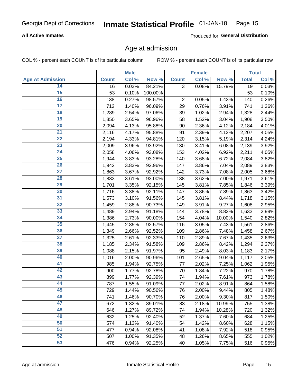#### **All Active Inmates**

Produced for General Distribution

### Age at admission

COL % - percent each COUNT is of its particular column

|                         |              | <b>Male</b> |         |                | <b>Female</b> |        |              | <b>Total</b> |
|-------------------------|--------------|-------------|---------|----------------|---------------|--------|--------------|--------------|
| <b>Age At Admission</b> | <b>Count</b> | Col %       | Row %   | <b>Count</b>   | Col %         | Row %  | <b>Total</b> | Col %        |
| 14                      | 16           | 0.03%       | 84.21%  | $\overline{3}$ | 0.08%         | 15.79% | 19           | 0.03%        |
| 15                      | 53           | 0.10%       | 100.00% |                |               |        | 53           | 0.10%        |
| 16                      | 138          | 0.27%       | 98.57%  | 2              | 0.05%         | 1.43%  | 140          | 0.26%        |
| 17                      | 712          | 1.40%       | 96.09%  | 29             | 0.76%         | 3.91%  | 741          | 1.36%        |
| $\overline{18}$         | 1,289        | 2.54%       | 97.06%  | 39             | 1.02%         | 2.94%  | 1,328        | 2.44%        |
| 19                      | 1,850        | 3.65%       | 96.96%  | 58             | 1.52%         | 3.04%  | 1,908        | 3.50%        |
| 20                      | 2,094        | 4.13%       | 95.88%  | 90             | 2.36%         | 4.12%  | 2,184        | 4.01%        |
| 21                      | 2,116        | 4.17%       | 95.88%  | 91             | 2.39%         | 4.12%  | 2,207        | 4.05%        |
| $\overline{22}$         | 2,194        | 4.33%       | 94.81%  | 120            | 3.15%         | 5.19%  | 2,314        | 4.24%        |
| 23                      | 2,009        | 3.96%       | 93.92%  | 130            | 3.41%         | 6.08%  | 2,139        | 3.92%        |
| 24                      | 2,058        | 4.06%       | 93.08%  | 153            | 4.02%         | 6.92%  | 2,211        | 4.05%        |
| 25                      | 1,944        | 3.83%       | 93.28%  | 140            | 3.68%         | 6.72%  | 2,084        | 3.82%        |
| 26                      | 1,942        | 3.83%       | 92.96%  | 147            | 3.86%         | 7.04%  | 2,089        | 3.83%        |
| $\overline{27}$         | 1,863        | 3.67%       | 92.92%  | 142            | 3.73%         | 7.08%  | 2,005        | 3.68%        |
| 28                      | 1,833        | 3.61%       | 93.00%  | 138            | 3.62%         | 7.00%  | 1,971        | 3.61%        |
| 29                      | 1,701        | 3.35%       | 92.15%  | 145            | 3.81%         | 7.85%  | 1,846        | 3.39%        |
| 30                      | 1,716        | 3.38%       | 92.11%  | 147            | 3.86%         | 7.89%  | 1,863        | 3.42%        |
| 31                      | 1,573        | 3.10%       | 91.56%  | 145            | 3.81%         | 8.44%  | 1,718        | 3.15%        |
| 32                      | 1,459        | 2.88%       | 90.73%  | 149            | 3.91%         | 9.27%  | 1,608        | 2.95%        |
| 33                      | 1,489        | 2.94%       | 91.18%  | 144            | 3.78%         | 8.82%  | 1,633        | 2.99%        |
| 34                      | 1,386        | 2.73%       | 90.00%  | 154            | 4.04%         | 10.00% | 1,540        | 2.82%        |
| 35                      | 1,445        | 2.85%       | 92.57%  | 116            | 3.05%         | 7.43%  | 1,561        | 2.86%        |
| 36                      | 1,349        | 2.66%       | 92.52%  | 109            | 2.86%         | 7.48%  | 1,458        | 2.67%        |
| 37                      | 1,325        | 2.61%       | 92.33%  | 110            | 2.89%         | 7.67%  | 1,435        | 2.63%        |
| 38                      | 1,185        | 2.34%       | 91.58%  | 109            | 2.86%         | 8.42%  | 1,294        | 2.37%        |
| 39                      | 1,088        | 2.15%       | 91.97%  | 95             | 2.49%         | 8.03%  | 1,183        | 2.17%        |
| 40                      | 1,016        | 2.00%       | 90.96%  | 101            | 2.65%         | 9.04%  | 1,117        | 2.05%        |
| 41                      | 985          | 1.94%       | 92.75%  | 77             | 2.02%         | 7.25%  | 1,062        | 1.95%        |
| 42                      | 900          | 1.77%       | 92.78%  | 70             | 1.84%         | 7.22%  | 970          | 1.78%        |
| 43                      | 899          | 1.77%       | 92.39%  | 74             | 1.94%         | 7.61%  | 973          | 1.78%        |
| 44                      | 787          | 1.55%       | 91.09%  | 77             | 2.02%         | 8.91%  | 864          | 1.58%        |
| 45                      | 729          | 1.44%       | 90.56%  | 76             | 2.00%         | 9.44%  | 805          | 1.48%        |
| 46                      | 741          | 1.46%       | 90.70%  | 76             | 2.00%         | 9.30%  | 817          | 1.50%        |
| 47                      | 672          | 1.32%       | 89.01%  | 83             | 2.18%         | 10.99% | 755          | 1.38%        |
| 48                      | 646          | 1.27%       | 89.72%  | 74             | 1.94%         | 10.28% | 720          | 1.32%        |
| 49                      | 632          | 1.25%       | 92.40%  | 52             | 1.37%         | 7.60%  | 684          | 1.25%        |
| 50                      | 574          | 1.13%       | 91.40%  | 54             | 1.42%         | 8.60%  | 628          | 1.15%        |
| 51                      | 477          | 0.94%       | 92.08%  | 41             | 1.08%         | 7.92%  | 518          | 0.95%        |
| 52                      | 507          | 1.00%       | 91.35%  | 48             | 1.26%         | 8.65%  | 555          | 1.02%        |
| 53                      | 476          | 0.94%       | 92.25%  | 40             | 1.05%         | 7.75%  | 516          | 0.95%        |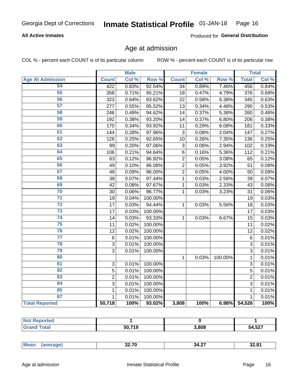#### **All Active Inmates**

Produced for General Distribution

### Age at admission

COL % - percent each COUNT is of its particular column

|                         |                | <b>Male</b> |         |                | <b>Female</b> |         |                | <b>Total</b> |
|-------------------------|----------------|-------------|---------|----------------|---------------|---------|----------------|--------------|
| <b>Age At Admission</b> | <b>Count</b>   | Col %       | Row %   | <b>Count</b>   | Col %         | Row %   | <b>Total</b>   | Col %        |
| 54                      | 422            | 0.83%       | 92.54%  | 34             | 0.89%         | 7.46%   | 456            | 0.84%        |
| 55                      | 358            | 0.71%       | 95.21%  | 18             | 0.47%         | 4.79%   | 376            | 0.69%        |
| 56                      | 323            | 0.64%       | 93.62%  | 22             | 0.58%         | 6.38%   | 345            | 0.63%        |
| $\overline{57}$         | 277            | 0.55%       | 95.52%  | 13             | 0.34%         | 4.48%   | 290            | 0.53%        |
| 58                      | 246            | 0.49%       | 94.62%  | 14             | 0.37%         | 5.38%   | 260            | 0.48%        |
| 59                      | 192            | 0.38%       | 93.20%  | 14             | 0.37%         | 6.80%   | 206            | 0.38%        |
| 60                      | 170            | 0.34%       | 93.92%  | 11             | 0.29%         | 6.08%   | 181            | 0.33%        |
| 61                      | 144            | 0.28%       | 97.96%  | 3              | 0.08%         | 2.04%   | 147            | 0.27%        |
| 62                      | 126            | 0.25%       | 92.65%  | 10             | 0.26%         | 7.35%   | 136            | 0.25%        |
| 63                      | 99             | 0.20%       | 97.06%  | 3              | 0.08%         | 2.94%   | 102            | 0.19%        |
| 64                      | 106            | 0.21%       | 94.64%  | $\overline{6}$ | 0.16%         | 5.36%   | 112            | 0.21%        |
| 65                      | 63             | 0.12%       | 96.92%  | $\overline{2}$ | 0.05%         | 3.08%   | 65             | 0.12%        |
| 66                      | 49             | 0.10%       | 96.08%  | $\overline{2}$ | 0.05%         | 3.92%   | 51             | 0.09%        |
| 67                      | 48             | 0.09%       | 96.00%  | $\overline{2}$ | 0.05%         | 4.00%   | 50             | 0.09%        |
| 68                      | 38             | 0.07%       | 97.44%  | 1              | 0.03%         | 2.56%   | 39             | 0.07%        |
| 69                      | 42             | 0.08%       | 97.67%  | 1              | 0.03%         | 2.33%   | 43             | 0.08%        |
| 70                      | 30             | 0.06%       | 96.77%  | 1              | 0.03%         | 3.23%   | 31             | 0.06%        |
| $\overline{71}$         | 19             | 0.04%       | 100.00% |                |               |         | 19             | 0.03%        |
| $\overline{72}$         | 17             | 0.03%       | 94.44%  | $\mathbf{1}$   | 0.03%         | 5.56%   | 18             | 0.03%        |
| $\overline{73}$         | 17             | 0.03%       | 100.00% |                |               |         | 17             | 0.03%        |
| $\overline{74}$         | 14             | 0.03%       | 93.33%  | $\mathbf{1}$   | 0.03%         | 6.67%   | 15             | 0.03%        |
| 75                      | 11             | 0.02%       | 100.00% |                |               |         | 11             | 0.02%        |
| 76                      | 12             | 0.02%       | 100.00% |                |               |         | 12             | 0.02%        |
| $\overline{77}$         | $\,6$          | 0.01%       | 100.00% |                |               |         | $\overline{6}$ | 0.01%        |
| 78                      | 3              | 0.01%       | 100.00% |                |               |         | 3              | 0.01%        |
| 79                      | $\overline{3}$ | 0.01%       | 100.00% |                |               |         | 3              | 0.01%        |
| 80                      |                |             |         | 1              | 0.03%         | 100.00% | $\mathbf{1}$   | 0.01%        |
| $\overline{81}$         | $\mathbf{3}$   | 0.01%       | 100.00% |                |               |         | 3              | 0.01%        |
| 82                      | 5              | 0.01%       | 100.00% |                |               |         | 5              | 0.01%        |
| 83                      | $\overline{2}$ | 0.01%       | 100.00% |                |               |         | $\overline{2}$ | 0.01%        |
| 84                      | 3              | 0.01%       | 100.00% |                |               |         | 3              | 0.01%        |
| 85                      | $\mathbf 1$    | 0.01%       | 100.00% |                |               |         | 1              | 0.01%        |
| 87                      | $\mathbf{1}$   | 0.01%       | 100.00% |                |               |         | $\mathbf{1}$   | 0.01%        |
| <b>Total Reported</b>   | 50,718         | 100%        | 93.02%  | 3,808          | 100%          | 6.98%   | 54,526         | 100%         |

| τυι<br>. |        |       |                        |
|----------|--------|-------|------------------------|
|          | 50 710 | 3,808 | 1.527<br>54.<br>י ∡כ,י |

| Me<br>22 ZN<br>$\sim$<br>34.4.<br>$32.8^{\circ}$<br>JL . I V<br>$\cdots$ |
|--------------------------------------------------------------------------|
|--------------------------------------------------------------------------|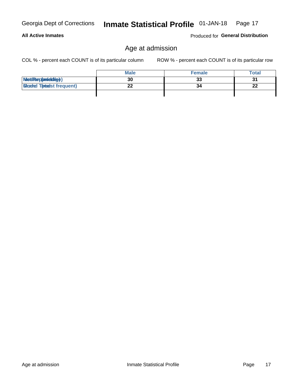**All Active Inmates** 

#### Inmate Statistical Profile 01-JAN-18 Page 17

### Age at admission

COL % - percent each COUNT is of its particular column

ROW % - percent each COUNT is of its particular row

Produced for General Distribution

|                                   | <b>Male</b> | <b>Female</b> | <b>Total</b> |
|-----------------------------------|-------------|---------------|--------------|
| MetiRep(avieldig)                 | 30          | 33            | 31           |
| <b>Micaded Tortadst frequent)</b> | ົ           | 34            | 22           |
|                                   |             |               |              |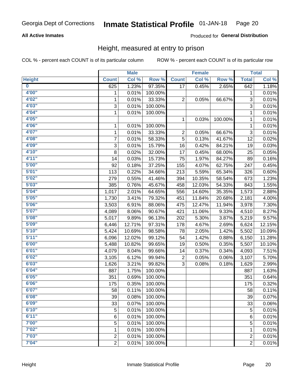#### **All Active Inmates**

#### Produced for General Distribution

### Height, measured at entry to prison

COL % - percent each COUNT is of its particular column

|                         |                | <b>Male</b> |         |              | <b>Female</b> |         |                | <b>Total</b> |
|-------------------------|----------------|-------------|---------|--------------|---------------|---------|----------------|--------------|
| <b>Height</b>           | <b>Count</b>   | Col %       | Row %   | <b>Count</b> | Col %         | Row %   | <b>Total</b>   | Col %        |
| $\overline{\mathbf{0}}$ | 625            | 1.23%       | 97.35%  | 17           | 0.45%         | 2.65%   | 642            | 1.18%        |
| 4'00''                  | 1              | 0.01%       | 100.00% |              |               |         | 1              | 0.01%        |
| 4'02''                  | 1              | 0.01%       | 33.33%  | 2            | 0.05%         | 66.67%  | 3              | 0.01%        |
| 4'03''                  | 3              | 0.01%       | 100.00% |              |               |         | 3              | 0.01%        |
| 4'04"                   | $\mathbf{1}$   | 0.01%       | 100.00% |              |               |         | 1              | 0.01%        |
| 4'05"                   |                |             |         | 1            | 0.03%         | 100.00% | 1              | 0.01%        |
| 4'06"                   | 1              | 0.01%       | 100.00% |              |               |         | 1              | 0.01%        |
| 4'07"                   | 1              | 0.01%       | 33.33%  | 2            | 0.05%         | 66.67%  | 3              | 0.01%        |
| 4'08"                   | 7              | 0.01%       | 58.33%  | 5            | 0.13%         | 41.67%  | 12             | 0.02%        |
| 4'09"                   | 3              | 0.01%       | 15.79%  | 16           | 0.42%         | 84.21%  | 19             | 0.03%        |
| 4'10"                   | 8              | 0.02%       | 32.00%  | 17           | 0.45%         | 68.00%  | 25             | 0.05%        |
| 4'11''                  | 14             | 0.03%       | 15.73%  | 75           | 1.97%         | 84.27%  | 89             | 0.16%        |
| 5'00''                  | 92             | 0.18%       | 37.25%  | 155          | 4.07%         | 62.75%  | 247            | 0.45%        |
| 5'01"                   | 113            | 0.22%       | 34.66%  | 213          | 5.59%         | 65.34%  | 326            | 0.60%        |
| 5'02"                   | 279            | 0.55%       | 41.46%  | 394          | 10.35%        | 58.54%  | 673            | 1.23%        |
| 5'03''                  | 385            | 0.76%       | 45.67%  | 458          | 12.03%        | 54.33%  | 843            | 1.55%        |
| 5'04"                   | 1,017          | 2.01%       | 64.65%  | 556          | 14.60%        | 35.35%  | 1,573          | 2.88%        |
| 5'05"                   | 1,730          | 3.41%       | 79.32%  | 451          | 11.84%        | 20.68%  | 2,181          | 4.00%        |
| 5'06''                  | 3,503          | 6.91%       | 88.06%  | 475          | 12.47%        | 11.94%  | 3,978          | 7.30%        |
| 5'07''                  | 4,089          | 8.06%       | 90.67%  | 421          | 11.06%        | 9.33%   | 4,510          | 8.27%        |
| 5'08''                  | 5,017          | 9.89%       | 96.13%  | 202          | 5.30%         | 3.87%   | 5,219          | 9.57%        |
| 5'09''                  | 6,446          | 12.71%      | 97.31%  | 178          | 4.67%         | 2.69%   | 6,624          | 12.15%       |
| 5'10''                  | 5,424          | 10.69%      | 98.58%  | 78           | 2.05%         | 1.42%   | 5,502          | 10.09%       |
| 5'11"                   | 6,096          | 12.02%      | 99.12%  | 54           | 1.42%         | 0.88%   | 6,150          | 11.28%       |
| 6'00''                  | 5,488          | 10.82%      | 99.65%  | 19           | 0.50%         | 0.35%   | 5,507          | 10.10%       |
| 6'01''                  | 4,079          | 8.04%       | 99.66%  | 14           | 0.37%         | 0.34%   | 4,093          | 7.51%        |
| 6'02"                   | 3,105          | 6.12%       | 99.94%  | 2            | 0.05%         | 0.06%   | 3,107          | 5.70%        |
| 6'03''                  | 1,626          | 3.21%       | 99.82%  | 3            | 0.08%         | 0.18%   | 1,629          | 2.99%        |
| 6'04"                   | 887            | 1.75%       | 100.00% |              |               |         | 887            | 1.63%        |
| 6'05"                   | 351            | 0.69%       | 100.00% |              |               |         | 351            | 0.64%        |
| 6'06''                  | 175            | 0.35%       | 100.00% |              |               |         | 175            | 0.32%        |
| 6'07"                   | 58             | 0.11%       | 100.00% |              |               |         | 58             | 0.11%        |
| 6'08''                  | 39             | 0.08%       | 100.00% |              |               |         | 39             | 0.07%        |
| 6'09''                  | 33             | 0.07%       | 100.00% |              |               |         | 33             | 0.06%        |
| 6'10''                  | 5              | 0.01%       | 100.00% |              |               |         | 5              | 0.01%        |
| 6'11''                  | 6              | 0.01%       | 100.00% |              |               |         | 6              | 0.01%        |
| 7'00"                   | 5              | 0.01%       | 100.00% |              |               |         | 5              | 0.01%        |
| 7'02"                   | 1              | 0.01%       | 100.00% |              |               |         | 1              | 0.01%        |
| 7'03''                  | $\overline{c}$ | 0.01%       | 100.00% |              |               |         | $\overline{c}$ | 0.01%        |
| 7'04"                   | $\overline{2}$ | 0.01%       | 100.00% |              |               |         | $\overline{2}$ | 0.01%        |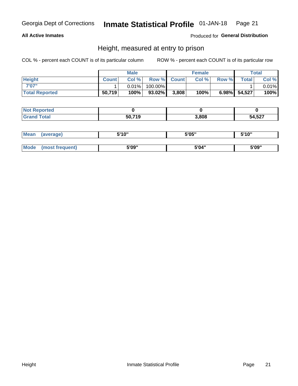#### **All Active Inmates**

#### Produced for General Distribution

### Height, measured at entry to prison

COL % - percent each COUNT is of its particular column

|                       |              | <b>Male</b> |         |             | <b>Female</b> |       |              | Total |
|-----------------------|--------------|-------------|---------|-------------|---------------|-------|--------------|-------|
| <b>Height</b>         | <b>Count</b> | Col %       |         | Row % Count | Col %         | Row % | <b>Total</b> | Col % |
| 7'07"                 |              | $0.01\%$    | 100.00% |             |               |       |              | 0.01% |
| <b>Total Reported</b> | 50,719       | 100%        | 93.02%  | 3,808       | 100%          |       | 6.98% 54,527 | 100%  |

| <b>Not Reported</b> |        |       |        |
|---------------------|--------|-------|--------|
| <b>Grand Total</b>  | 50,719 | 3,808 | 54,527 |

| <b>Mean</b> | (average)       | 5'10" | 5'05" | 5'10" |  |
|-------------|-----------------|-------|-------|-------|--|
|             |                 |       |       |       |  |
| Mode        | (most frequent) | 5'09" | 5'04" | 5'09" |  |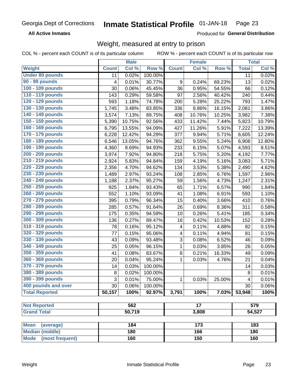**All Active Inmates** 

Produced for General Distribution

### Weight, measured at entry to prison

COL % - percent each COUNT is of its particular column

|                                           |              | <b>Male</b> |         |              | <b>Female</b>   |        |              | <b>Total</b> |
|-------------------------------------------|--------------|-------------|---------|--------------|-----------------|--------|--------------|--------------|
| Weight                                    | <b>Count</b> | Col %       | Row %   | <b>Count</b> | Col %           | Row %  | <b>Total</b> | Col %        |
| <b>Under 80 pounds</b>                    | 11           | 0.02%       | 100.00% |              |                 |        | 11           | 0.02%        |
| 90 - 99 pounds                            | 4            | 0.01%       | 30.77%  | 9            | 0.24%           | 69.23% | 13           | 0.02%        |
| 100 - 109 pounds                          | 30           | 0.06%       | 45.45%  | 36           | 0.95%           | 54.55% | 66           | 0.12%        |
| 110 - 119 pounds                          | 143          | 0.29%       | 59.58%  | 97           | 2.56%           | 40.42% | 240          | 0.44%        |
| 120 - 129 pounds                          | 593          | 1.18%       | 74.78%  | 200          | 5.28%           | 25.22% | 793          | 1.47%        |
| 130 - 139 pounds                          | 1,745        | 3.48%       | 83.85%  | 336          | 8.86%           | 16.15% | 2,081        | 3.86%        |
| 140 - 149 pounds                          | 3,574        | 7.13%       | 89.75%  | 408          | 10.76%          | 10.25% | 3,982        | 7.38%        |
| 150 - 159 pounds                          | 5,390        | 10.75%      | 92.56%  | 433          | 11.42%          | 7.44%  | 5,823        | 10.79%       |
| 160 - 169 pounds                          | 6,795        | 13.55%      | 94.09%  | 427          | 11.26%          | 5.91%  | 7,222        | 13.39%       |
| 170 - 179 pounds                          | 6,228        | 12.42%      | 94.29%  | 377          | 9.94%           | 5.71%  | 6,605        | 12.24%       |
| 180 - 189 pounds                          | 6,546        | 13.05%      | 94.76%  | 362          | 9.55%           | 5.24%  | 6,908        | 12.80%       |
| 190 - 199 pounds                          | 4,360        | 8.69%       | 94.93%  | 233          | 6.15%           | 5.07%  | 4,593        | 8.51%        |
| 200 - 209 pounds                          | 3,974        | 7.92%       | 94.80%  | 218          | 5.75%           | 5.20%  | 4,192        | 7.77%        |
| 210 - 219 pounds                          | 2,924        | 5.83%       | 94.84%  | 159          | 4.19%           | 5.16%  | 3,083        | 5.71%        |
| 220 - 229 pounds                          | 2,356        | 4.70%       | 94.62%  | 134          | 3.53%           | 5.38%  | 2,490        | 4.62%        |
| 230 - 239 pounds                          | 1,489        | 2.97%       | 93.24%  | 108          | 2.85%           | 6.76%  | 1,597        | 2.96%        |
| 240 - 249 pounds                          | 1,188        | 2.37%       | 95.27%  | 59           | 1.56%           | 4.73%  | 1,247        | 2.31%        |
| 250 - 259 pounds                          | 925          | 1.84%       | 93.43%  | 65           | 1.71%           | 6.57%  | 990          | 1.84%        |
| 260 - 269 pounds                          | 552          | 1.10%       | 93.09%  | 41           | 1.08%           | 6.91%  | 593          | 1.10%        |
| 270 - 279 pounds                          | 395          | 0.79%       | 96.34%  | 15           | 0.40%           | 3.66%  | 410          | 0.76%        |
| 280 - 289 pounds                          | 285          | 0.57%       | 91.64%  | 26           | 0.69%           | 8.36%  | 311          | 0.58%        |
| 290 - 299 pounds                          | 175          | 0.35%       | 94.59%  | 10           | 0.26%           | 5.41%  | 185          | 0.34%        |
| 300 - 309 pounds                          | 136          | 0.27%       | 89.47%  | 16           | 0.42%           | 10.53% | 152          | 0.28%        |
| 310 - 319 pounds                          | 78           | 0.16%       | 95.12%  | 4            | 0.11%           | 4.88%  | 82           | 0.15%        |
| 320 - 329 pounds                          | 77           | 0.15%       | 95.06%  | 4            | 0.11%           | 4.94%  | 81           | 0.15%        |
| 330 - 339 pounds                          | 43           | 0.09%       | 93.48%  | 3            | 0.08%           | 6.52%  | 46           | 0.09%        |
| 340 - 349 pounds                          | 25           | 0.05%       | 96.15%  | 1            | 0.03%           | 3.85%  | 26           | 0.05%        |
| 350 - 359 pounds                          | 41           | 0.08%       | 83.67%  | 8            | 0.21%           | 16.33% | 49           | 0.09%        |
| 360 - 369 pounds                          | 20           | 0.04%       | 95.24%  | $\mathbf{1}$ | 0.03%           | 4.76%  | 21           | 0.04%        |
| 370 - 379 pounds                          | 14           | 0.03%       | 100.00% |              |                 |        | 14           | 0.03%        |
| 380 - 389 pounds                          | 8            | 0.02%       | 100.00% |              |                 |        | $\bf 8$      | 0.01%        |
| 390 - 399 pounds                          | 3            | 0.01%       | 75.00%  | 1            | 0.03%           | 25.00% | 4            | 0.01%        |
| 400 pounds and over                       | 30           | 0.06%       | 100.00% |              |                 |        | 30           | 0.06%        |
| <b>Total Reported</b>                     | 50,157       | 100%        | 92.97%  | 3,791        | 100%            | 7.03%  | 53,948       | 100%         |
|                                           |              |             |         |              | $\overline{17}$ |        |              |              |
| <b>Not Reported</b><br><b>Grand Total</b> | 562          |             |         |              |                 | 579    |              |              |
|                                           |              | 50,719      |         | 3,808        |                 |        | 54,527       |              |
| <b>Mean</b><br>(average)                  |              | 184         |         |              | 173             |        |              | 183          |
| <b>Median (middle)</b>                    |              | 180         |         |              | 166             |        |              | 180          |
| <b>Mode</b><br>(most frequent)            |              | 160         |         | 150          |                 |        | 160          |              |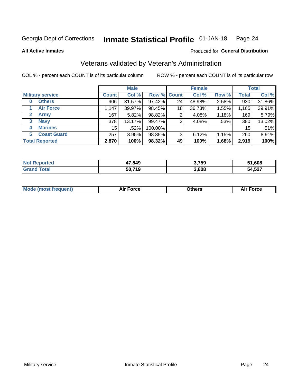#### Inmate Statistical Profile 01-JAN-18 Page 24

**All Active Inmates** 

#### Produced for General Distribution

### Veterans validated by Veteran's Administration

COL % - percent each COUNT is of its particular column

|                             |              | <b>Male</b> |         |                    | <b>Female</b> |          |              | <b>Total</b> |
|-----------------------------|--------------|-------------|---------|--------------------|---------------|----------|--------------|--------------|
| <b>Military service</b>     | <b>Count</b> | Col %       |         | <b>Row % Count</b> | Col %         | Row %    | <b>Total</b> | Col %        |
| <b>Others</b><br>0          | 906          | 31.57%      | 97.42%  | 24                 | 48.98%        | 2.58%    | 930          | 31.86%       |
| <b>Air Force</b>            | 1,147        | 39.97%      | 98.45%  | 18                 | 36.73%        | 1.55%    | 1,165        | 39.91%       |
| <b>Army</b><br>$\mathbf{2}$ | 167          | 5.82%       | 98.82%  | 2                  | 4.08%         | 1.18%    | 169          | 5.79%        |
| <b>Navy</b><br>3            | 378          | 13.17%      | 99.47%  | 2                  | 4.08%         | .53%     | 380          | 13.02%       |
| <b>Marines</b><br>4         | 15           | .52%        | 100.00% |                    |               |          | 15           | .51%         |
| <b>Coast Guard</b><br>5.    | 257          | 8.95%       | 98.85%  | 3                  | 6.12%         | $1.15\%$ | 260          | 8.91%        |
| <b>Total Reported</b>       | 2,870        | 100%        | 98.32%  | 49                 | 100%          | 1.68%    | 2,919        | 100%         |

| rted | 47,849 | 3,759 | 51,608 |
|------|--------|-------|--------|
|      | 50,719 | 3,808 | 54,527 |

| Mode (most frequent) | <b>Force</b><br>. | 0thers | orce |
|----------------------|-------------------|--------|------|
|                      |                   |        |      |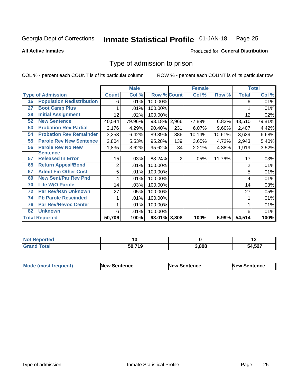#### Inmate Statistical Profile 01-JAN-18 Page 25

**All Active Inmates** 

#### Produced for General Distribution

### Type of admission to prison

COL % - percent each COUNT is of its particular column

|    |                                  |              | <b>Male</b> |                    |                | <b>Female</b> |        |                | <b>Total</b> |
|----|----------------------------------|--------------|-------------|--------------------|----------------|---------------|--------|----------------|--------------|
|    | <b>Type of Admission</b>         | <b>Count</b> | Col %       | <b>Row % Count</b> |                | Col %         | Row %  | <b>Total</b>   | Col %        |
| 16 | <b>Population Redistribution</b> | 6            | .01%        | 100.00%            |                |               |        | 6              | .01%         |
| 27 | <b>Boot Camp Plus</b>            |              | .01%        | 100.00%            |                |               |        |                | .01%         |
| 28 | <b>Initial Assignment</b>        | 12           | .02%        | 100.00%            |                |               |        | 12             | .02%         |
| 52 | <b>New Sentence</b>              | 40,544       | 79.96%      | 93.18% 2,966       |                | 77.89%        | 6.82%  | 43,510         | 79.81%       |
| 53 | <b>Probation Rev Partial</b>     | 2,176        | 4.29%       | 90.40%             | 231            | 6.07%         | 9.60%  | 2,407          | 4.42%        |
| 54 | <b>Probation Rev Remainder</b>   | 3,253        | 6.42%       | 89.39%             | 386            | 10.14%        | 10.61% | 3,639          | 6.68%        |
| 55 | <b>Parole Rev New Sentence</b>   | 2,804        | 5.53%       | 95.28%             | 139            | 3.65%         | 4.72%  | 2,943          | 5.40%        |
| 56 | <b>Parole Rev No New</b>         | 1,835        | 3.62%       | 95.62%             | 84             | 2.21%         | 4.38%  | 1,919          | 3.52%        |
|    | <b>Sentence</b>                  |              |             |                    |                |               |        |                |              |
| 57 | <b>Released In Error</b>         | 15           | .03%        | 88.24%             | $\overline{2}$ | .05%          | 11.76% | 17             | .03%         |
| 65 | <b>Return Appeal/Bond</b>        | 2            | .01%        | 100.00%            |                |               |        | $\overline{2}$ | .01%         |
| 67 | <b>Admit Fm Other Cust</b>       | 5            | .01%        | 100.00%            |                |               |        | 5              | .01%         |
| 69 | <b>New Sent/Par Rev Pnd</b>      | 4            | .01%        | 100.00%            |                |               |        | 4              | .01%         |
| 70 | <b>Life W/O Parole</b>           | 14           | .03%        | 100.00%            |                |               |        | 14             | .03%         |
| 72 | <b>Par Rev/Rsn Unknown</b>       | 27           | .05%        | 100.00%            |                |               |        | 27             | .05%         |
| 74 | <b>Pb Parole Rescinded</b>       |              | .01%        | 100.00%            |                |               |        |                | .01%         |
| 76 | <b>Par Rev/Revoc Center</b>      |              | .01%        | 100.00%            |                |               |        |                | .01%         |
| 82 | <b>Unknown</b>                   | 6            | .01%        | 100.00%            |                |               |        | 6              | .01%         |
|    | <b>Total Reported</b>            | 50,706       | 100%        | 93.01% 3,808       |                | 100%          | 6.99%  | 54,514         | 100%         |

| rted<br><b>Not</b> |                    |       | . .  |
|--------------------|--------------------|-------|------|
| $\sim$             | 50 71 <sup>c</sup> | 3,808 | .527 |

| <b>Mode (most frequent)</b> | New Sentence | <b>New Sentence</b> | <b>New Sentence</b> |
|-----------------------------|--------------|---------------------|---------------------|
|                             |              |                     |                     |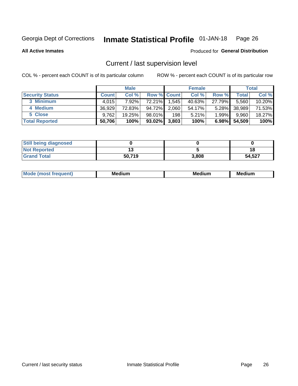#### Inmate Statistical Profile 01-JAN-18 Page 26

**All Active Inmates** 

### Produced for General Distribution

### Current / last supervision level

COL % - percent each COUNT is of its particular column

|                        |              | <b>Male</b> |                    |       | <b>Female</b> |          |        | <b>Total</b> |
|------------------------|--------------|-------------|--------------------|-------|---------------|----------|--------|--------------|
| <b>Security Status</b> | <b>Count</b> | Col %       | <b>Row % Count</b> |       | Col %         | Row %    | Total  | Col %        |
| 3 Minimum              | 4.015        | $7.92\%$    | 72.21%             | 1,545 | 40.63%        | 27.79%   | 5,560  | $10.20\%$    |
| 4 Medium               | 36,929       | 72.83%      | 94.72%             | 2,060 | 54.17%        | $5.28\%$ | 38,989 | 71.53%       |
| 5 Close                | 9,762        | 19.25%      | 98.01%             | 198   | 5.21%         | $1.99\%$ | 9,960  | 18.27%       |
| <b>Total Reported</b>  | 50,706       | 100%        | 93.02%             | 3,803 | 100%          | 6.98%    | 54,509 | 100%         |

| <b>Still being diagnosed</b> |        |       |        |
|------------------------------|--------|-------|--------|
| <b>Not Reported</b>          |        |       | 18     |
| <b>Grand Total</b>           | 50.719 | 3,808 | 54,527 |

| M | M | . . |
|---|---|-----|
|   |   |     |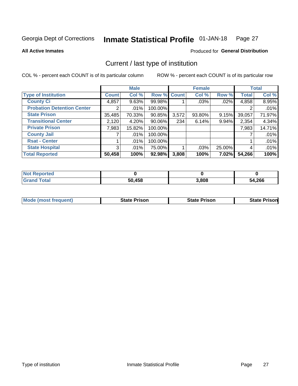#### Inmate Statistical Profile 01-JAN-18 Page 27

**All Active Inmates** 

#### Produced for General Distribution

### Current / last type of institution

COL % - percent each COUNT is of its particular column

|                                   |                | <b>Male</b> |             |       | <b>Female</b> |          |              | <b>Total</b> |
|-----------------------------------|----------------|-------------|-------------|-------|---------------|----------|--------------|--------------|
| <b>Type of Institution</b>        | <b>Count</b>   | Col %       | Row % Count |       | Col %         | Row %    | <b>Total</b> | Col %        |
| <b>County Ci</b>                  | 4,857          | 9.63%       | 99.98%      |       | $.03\%$       | .02%     | 4,858        | 8.95%        |
| <b>Probation Detention Center</b> |                | .01%        | 100.00%     |       |               |          |              | .01%         |
| <b>State Prison</b>               | 35,485         | 70.33%      | 90.85%      | 3,572 | 93.80%        | 9.15%    | 39,057       | 71.97%       |
| <b>Transitional Center</b>        | 2,120          | 4.20%       | $90.06\%$   | 234   | 6.14%         | 9.94%    | 2,354        | 4.34%        |
| <b>Private Prison</b>             | 7,983          | 15.82%      | 100.00%     |       |               |          | 7,983        | 14.71%       |
| <b>County Jail</b>                |                | .01%        | 100.00%     |       |               |          |              | .01%         |
| <b>Rsat - Center</b>              |                | $.01\%$     | 100.00%     |       |               |          |              | .01%         |
| <b>State Hospital</b>             | 3 <sup>1</sup> | $.01\%$     | 75.00%      |       | .03%          | 25.00%   | 4            | .01%         |
| <b>Total Reported</b>             | 50,458         | 100%        | 92.98%      | 3,808 | 100%          | $7.02\%$ | 54,266       | 100%         |

| $Not$<br>Reported  |        |       |        |
|--------------------|--------|-------|--------|
| <b>Grand Total</b> | 50,458 | 3,808 | 54,266 |

| Mode (most frequent) | <b>State Prison</b> | <b>State Prison</b> | <b>State Prisonl</b> |
|----------------------|---------------------|---------------------|----------------------|
|                      |                     |                     |                      |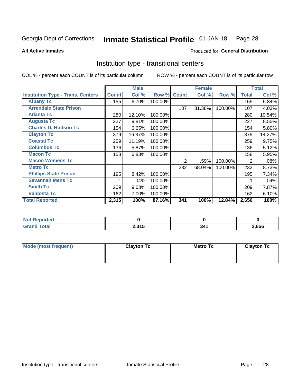#### Inmate Statistical Profile 01-JAN-18 Page 28

**All Active Inmates** 

#### Produced for General Distribution

### Institution type - transitional centers

COL % - percent each COUNT is of its particular column

|                                          |              | <b>Male</b> |         |              | <b>Female</b> |         |              | <b>Total</b> |
|------------------------------------------|--------------|-------------|---------|--------------|---------------|---------|--------------|--------------|
| <b>Institution Type - Trans. Centers</b> | <b>Count</b> | Col %       | Row %   | <b>Count</b> | Col %         | Row %   | <b>Total</b> | Col %        |
| <b>Albany Tc</b>                         | 155          | 6.70%       | 100.00% |              |               |         | 155          | 5.84%        |
| <b>Arrendale State Prison</b>            |              |             |         | 107          | 31.38%        | 100.00% | 107          | 4.03%        |
| <b>Atlanta Tc</b>                        | 280          | 12.10%      | 100.00% |              |               |         | 280          | 10.54%       |
| <b>Augusta Tc</b>                        | 227          | 9.81%       | 100.00% |              |               |         | 227          | 8.55%        |
| <b>Charles D. Hudson Tc</b>              | 154          | 6.65%       | 100.00% |              |               |         | 154          | 5.80%        |
| <b>Clayton Tc</b>                        | 379          | 16.37%      | 100.00% |              |               |         | 379          | 14.27%       |
| <b>Coastal Tc</b>                        | 259          | 11.19%      | 100.00% |              |               |         | 259          | 9.75%        |
| <b>Columbus Tc</b>                       | 136          | 5.87%       | 100.00% |              |               |         | 136          | 5.12%        |
| <b>Macon Tc</b>                          | 158          | 6.83%       | 100.00% |              |               |         | 158          | 5.95%        |
| <b>Macon Womens Tc</b>                   |              |             |         | 2            | .59%          | 100.00% | 2            | .08%         |
| <b>Metro Tc</b>                          |              |             |         | 232          | 68.04%        | 100.00% | 232          | 8.73%        |
| <b>Phillips State Prison</b>             | 195          | 8.42%       | 100.00% |              |               |         | 195          | 7.34%        |
| <b>Savannah Mens Tc</b>                  |              | .04%        | 100.00% |              |               |         |              | .04%         |
| <b>Smith Tc</b>                          | 209          | 9.03%       | 100.00% |              |               |         | 209          | 7.87%        |
| <b>Valdosta Tc</b>                       | 162          | 7.00%       | 100.00% |              |               |         | 162          | 6.10%        |
| <b>Total Reported</b>                    | 2,315        | 100%        | 87.16%  | 341          | 100%          | 12.84%  | 2,656        | 100%         |

| τeα |                          |       |       |
|-----|--------------------------|-------|-------|
|     | 0.24E<br>. ا ب<br>ا پي ک | $  -$ | 2,656 |

| Mode (most frequent) | <b>Clayton Tc</b> | Metro Tc | <b>Clayton Tc</b> |
|----------------------|-------------------|----------|-------------------|
|                      |                   |          |                   |
|                      |                   |          |                   |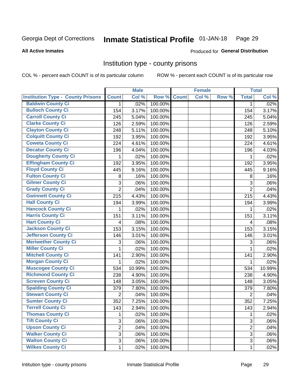#### Inmate Statistical Profile 01-JAN-18 Page 29

#### **All Active Inmates**

#### Produced for General Distribution

#### Institution type - county prisons

COL % - percent each COUNT is of its particular column

|                                          |                | <b>Male</b> |         |              | <b>Female</b> |       |                | <b>Total</b> |
|------------------------------------------|----------------|-------------|---------|--------------|---------------|-------|----------------|--------------|
| <b>Institution Type - County Prisons</b> | <b>Count</b>   | Col %       | Row %   | <b>Count</b> | Col %         | Row % | <b>Total</b>   | Col %        |
| <b>Baldwin County Ci</b>                 | $\mathbf{1}$   | .02%        | 100.00% |              |               |       | 1              | .02%         |
| <b>Bulloch County Ci</b>                 | 154            | 3.17%       | 100.00% |              |               |       | 154            | 3.17%        |
| <b>Carroll County Ci</b>                 | 245            | 5.04%       | 100.00% |              |               |       | 245            | 5.04%        |
| <b>Clarke County Ci</b>                  | 126            | 2.59%       | 100.00% |              |               |       | 126            | 2.59%        |
| <b>Clayton County Ci</b>                 | 248            | 5.11%       | 100.00% |              |               |       | 248            | 5.10%        |
| <b>Colquitt County Ci</b>                | 192            | 3.95%       | 100.00% |              |               |       | 192            | 3.95%        |
| <b>Coweta County Ci</b>                  | 224            | 4.61%       | 100.00% |              |               |       | 224            | 4.61%        |
| <b>Decatur County Ci</b>                 | 196            | 4.04%       | 100.00% |              |               |       | 196            | 4.03%        |
| <b>Dougherty County Ci</b>               | 1              | .02%        | 100.00% |              |               |       | $\mathbf{1}$   | .02%         |
| <b>Effingham County Ci</b>               | 192            | 3.95%       | 100.00% |              |               |       | 192            | 3.95%        |
| <b>Floyd County Ci</b>                   | 445            | 9.16%       | 100.00% |              |               |       | 445            | 9.16%        |
| <b>Fulton County Ci</b>                  | 8              | .16%        | 100.00% |              |               |       | 8              | .16%         |
| <b>Gilmer County Ci</b>                  | 3              | .06%        | 100.00% |              |               |       | 3              | .06%         |
| <b>Grady County Ci</b>                   | $\overline{2}$ | .04%        | 100.00% |              |               |       | $\overline{2}$ | .04%         |
| <b>Gwinnett County Ci</b>                | 215            | 4.43%       | 100.00% |              |               |       | 215            | 4.43%        |
| <b>Hall County Ci</b>                    | 194            | 3.99%       | 100.00% |              |               |       | 194            | 3.99%        |
| <b>Hancock County Ci</b>                 | 1              | .02%        | 100.00% |              |               |       | $\mathbf{1}$   | .02%         |
| <b>Harris County Ci</b>                  | 151            | 3.11%       | 100.00% |              |               |       | 151            | 3.11%        |
| <b>Hart County Ci</b>                    | 4              | .08%        | 100.00% |              |               |       | 4              | .08%         |
| <b>Jackson County Ci</b>                 | 153            | 3.15%       | 100.00% |              |               |       | 153            | 3.15%        |
| Jefferson County Ci                      | 146            | 3.01%       | 100.00% |              |               |       | 146            | 3.01%        |
| <b>Meriwether County Ci</b>              | 3              | .06%        | 100.00% |              |               |       | 3              | .06%         |
| <b>Miller County Ci</b>                  | 1              | .02%        | 100.00% |              |               |       | $\mathbf{1}$   | .02%         |
| <b>Mitchell County Ci</b>                | 141            | 2.90%       | 100.00% |              |               |       | 141            | 2.90%        |
| <b>Morgan County Ci</b>                  | 1              | .02%        | 100.00% |              |               |       | $\mathbf{1}$   | .02%         |
| <b>Muscogee County Ci</b>                | 534            | 10.99%      | 100.00% |              |               |       | 534            | 10.99%       |
| <b>Richmond County Ci</b>                | 238            | 4.90%       | 100.00% |              |               |       | 238            | 4.90%        |
| <b>Screven County Ci</b>                 | 148            | 3.05%       | 100.00% |              |               |       | 148            | 3.05%        |
| <b>Spalding County Ci</b>                | 379            | 7.80%       | 100.00% |              |               |       | 379            | 7.80%        |
| <b>Stewart County Ci</b>                 | $\overline{2}$ | .04%        | 100.00% |              |               |       | $\overline{2}$ | .04%         |
| <b>Sumter County Ci</b>                  | 352            | 7.25%       | 100.00% |              |               |       | 352            | 7.25%        |
| Terrell County Ci                        | 143            | 2.94%       | 100.00% |              |               |       | 143            | 2.94%        |
| <b>Thomas County Ci</b>                  | 1              | .02%        | 100.00% |              |               |       | 1              | .02%         |
| <b>Tift County Ci</b>                    | 3              | .06%        | 100.00% |              |               |       | 3              | .06%         |
| <b>Upson County Ci</b>                   | $\overline{2}$ | .04%        | 100.00% |              |               |       | $\overline{2}$ | .04%         |
| <b>Walker County Ci</b>                  | $\overline{3}$ | .06%        | 100.00% |              |               |       | 3              | .06%         |
| <b>Walton County Ci</b>                  | 3              | .06%        | 100.00% |              |               |       | 3              | .06%         |
| <b>Wilkes County Ci</b>                  | 1              | .02%        | 100.00% |              |               |       | 1              | .02%         |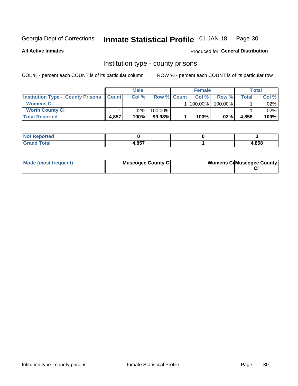#### Inmate Statistical Profile 01-JAN-18 Page 30

**All Active Inmates** 

#### Produced for General Distribution

### Institution type - county prisons

COL % - percent each COUNT is of its particular column

|                                                |       | <b>Male</b> |                    | <b>Female</b> |         |       | Total   |
|------------------------------------------------|-------|-------------|--------------------|---------------|---------|-------|---------|
| <b>Institution Type - County Prisons Count</b> |       | Col%        | <b>Row % Count</b> | Col%          | Row %   | Total | Col %   |
| <b>Womens Ci</b>                               |       |             |                    | 100.00%       | 100.00% |       | $.02\%$ |
| <b>Worth County Ci</b>                         |       | $.02\%$     | 100.00%            |               |         |       | .02%    |
| <b>Total Reported</b>                          | 4,857 | 100%        | 99.98%             | 100%          | $.02\%$ | 4,858 | 100%    |

| <b>Not Reported</b> |            |       |
|---------------------|------------|-------|
| <b>Total</b>        | 0E7<br>טטי | 4,858 |

| Mode (most frequent) | <b>Muscogee County Ci</b> | <b>Womens Ci</b> Muscogee County |
|----------------------|---------------------------|----------------------------------|
|----------------------|---------------------------|----------------------------------|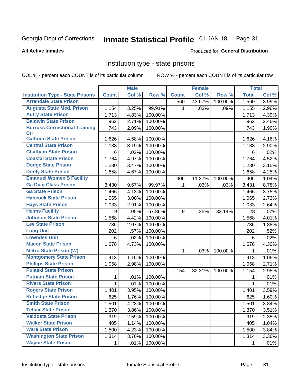#### Inmate Statistical Profile 01-JAN-18 Page 31

#### **All Active Inmates**

#### Produced for General Distribution

### Institution type - state prisons

COL % - percent each COUNT is of its particular column

|                                         |              | <b>Male</b> |         |              | <b>Female</b> |         | <b>Total</b> |       |
|-----------------------------------------|--------------|-------------|---------|--------------|---------------|---------|--------------|-------|
| <b>Institution Type - State Prisons</b> | <b>Count</b> | Col %       | Row %   | <b>Count</b> | Col %         | Row %   | <b>Total</b> | Col % |
| <b>Arrendale State Prison</b>           |              |             |         | 1,560        | 43.67%        | 100.00% | 1,560        | 3.99% |
| <b>Augusta State Med. Prison</b>        | 1,154        | 3.25%       | 99.91%  | 1.           | .03%          | .09%    | 1,155        | 2.96% |
| <b>Autry State Prison</b>               | 1,713        | 4.83%       | 100.00% |              |               |         | 1,713        | 4.39% |
| <b>Baldwin State Prison</b>             | 962          | 2.71%       | 100.00% |              |               |         | 962          | 2.46% |
| <b>Burruss Correctional Training</b>    | 743          | 2.09%       | 100.00% |              |               |         | 743          | 1.90% |
| <b>Ctr</b>                              |              |             |         |              |               |         |              |       |
| <b>Calhoun State Prison</b>             | 1,626        | 4.58%       | 100.00% |              |               |         | 1,626        | 4.16% |
| <b>Central State Prison</b>             | 1,133        | 3.19%       | 100.00% |              |               |         | 1,133        | 2.90% |
| <b>Chatham State Prison</b>             | 6            | .02%        | 100.00% |              |               |         | 6            | .02%  |
| <b>Coastal State Prison</b>             | 1,764        | 4.97%       | 100.00% |              |               |         | 1,764        | 4.52% |
| <b>Dodge State Prison</b>               | 1,230        | 3.47%       | 100.00% |              |               |         | 1,230        | 3.15% |
| <b>Dooly State Prison</b>               | 1,658        | 4.67%       | 100.00% |              |               |         | 1,658        | 4.25% |
| <b>Emanuel Women'S Facility</b>         |              |             |         | 406          | 11.37%        | 100.00% | 406          | 1.04% |
| <b>Ga Diag Class Prison</b>             | 3,430        | 9.67%       | 99.97%  | 1.           | .03%          | .03%    | 3,431        | 8.78% |
| <b>Ga State Prison</b>                  | 1,466        | 4.13%       | 100.00% |              |               |         | 1,466        | 3.75% |
| <b>Hancock State Prison</b>             | 1,065        | 3.00%       | 100.00% |              |               |         | 1,065        | 2.73% |
| <b>Hays State Prison</b>                | 1,033        | 2.91%       | 100.00% |              |               |         | 1,033        | 2.64% |
| <b>Helms Facility</b>                   | 19           | .05%        | 67.86%  | 9            | .25%          | 32.14%  | 28           | .07%  |
| <b>Johnson State Prison</b>             | 1,568        | 4.42%       | 100.00% |              |               |         | 1,568        | 4.01% |
| <b>Lee State Prison</b>                 | 736          | 2.07%       | 100.00% |              |               |         | 736          | 1.88% |
| <b>Long Unit</b>                        | 202          | .57%        | 100.00% |              |               |         | 202          | .52%  |
| <b>Lowndes Unit</b>                     | 6            | .02%        | 100.00% |              |               |         | 6            | .02%  |
| <b>Macon State Prison</b>               | 1,678        | 4.73%       | 100.00% |              |               |         | 1,678        | 4.30% |
| <b>Metro State Prison (W)</b>           |              |             |         | 1            | .03%          | 100.00% | 1            | .01%  |
| <b>Montgomery State Prison</b>          | 413          | 1.16%       | 100.00% |              |               |         | 413          | 1.06% |
| <b>Phillips State Prison</b>            | 1,058        | 2.98%       | 100.00% |              |               |         | 1,058        | 2.71% |
| <b>Pulaski State Prison</b>             |              |             |         | 1,154        | 32.31%        | 100.00% | 1,154        | 2.95% |
| <b>Putnam State Prison</b>              | 1            | .01%        | 100.00% |              |               |         | 1            | .01%  |
| <b>Rivers State Prison</b>              | $\mathbf{1}$ | .01%        | 100.00% |              |               |         | 1            | .01%  |
| <b>Rogers State Prison</b>              | 1,401        | 3.95%       | 100.00% |              |               |         | 1,401        | 3.59% |
| <b>Rutledge State Prison</b>            | 625          | 1.76%       | 100.00% |              |               |         | 625          | 1.60% |
| <b>Smith State Prison</b>               | 1,501        | $4.23\%$    | 100.00% |              |               |         | 1,501        | 3.84% |
| <b>Telfair State Prison</b>             | 1,370        | 3.86%       | 100.00% |              |               |         | 1,370        | 3.51% |
| <b>Valdosta State Prison</b>            | 919          | 2.59%       | 100.00% |              |               |         | 919          | 2.35% |
| <b>Walker State Prison</b>              | 405          | 1.14%       | 100.00% |              |               |         | 405          | 1.04% |
| <b>Ware State Prison</b>                | 1,500        | 4.23%       | 100.00% |              |               |         | 1,500        | 3.84% |
| <b>Washington State Prison</b>          | 1,314        | 3.70%       | 100.00% |              |               |         | 1,314        | 3.36% |
| <b>Wayne State Prison</b>               | 1            | .01%        | 100.00% |              |               |         | 1            | .01%  |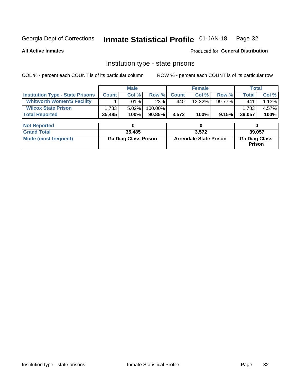## Inmate Statistical Profile 01-JAN-18 Page 32

#### **All Active Inmates**

#### Produced for General Distribution

### Institution type - state prisons

COL % - percent each COUNT is of its particular column ROW % - percent each COUNT is of its particular row

|                                         |              | <b>Male</b>                 |           |                               | <b>Female</b> |        | <b>Total</b>                   |       |
|-----------------------------------------|--------------|-----------------------------|-----------|-------------------------------|---------------|--------|--------------------------------|-------|
| <b>Institution Type - State Prisons</b> | <b>Count</b> | Col %                       | Row %     | <b>Count</b>                  | Col %         | Row %  | <b>Total</b>                   | Col % |
| <b>Whitworth Women'S Facility</b>       |              | .01%                        | $.23\%$   | 440                           | 12.32%        | 99.77% | 441                            | 1.13% |
| <b>Wilcox State Prison</b>              | 1,783        | 5.02%                       | 100.00%   |                               |               |        | 1,783                          | 4.57% |
| <b>Total Reported</b>                   | 35,485       | 100%                        | $90.85\%$ | 3,572                         | 100%          | 9.15%  | 39,057                         | 100%  |
| <b>Not Reported</b>                     |              | 0                           |           |                               | 0             |        | 0                              |       |
|                                         |              |                             |           |                               |               |        |                                |       |
| <b>Grand Total</b>                      |              | 35,485                      |           |                               | 3,572         |        | 39,057                         |       |
| <b>Mode (most frequent)</b>             |              | <b>Ga Diag Class Prison</b> |           | <b>Arrendale State Prison</b> |               |        | <b>Ga Diag Class</b><br>Prison |       |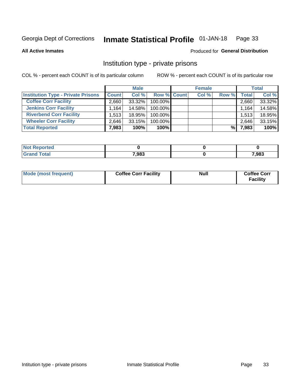#### Inmate Statistical Profile 01-JAN-18 Page 33

**All Active Inmates** 

#### Produced for General Distribution

### Institution type - private prisons

COL % - percent each COUNT is of its particular column

|                                           |              | <b>Male</b> |                    | <b>Female</b> |       |       | <b>Total</b> |
|-------------------------------------------|--------------|-------------|--------------------|---------------|-------|-------|--------------|
| <b>Institution Type - Private Prisons</b> | <b>Count</b> | Col %       | <b>Row % Count</b> | Col %         | Row % | Total | Col %        |
| <b>Coffee Corr Facility</b>               | 2.660        | 33.32%      | 100.00%            |               |       | 2,660 | 33.32%       |
| <b>Jenkins Corr Facility</b>              | 1.164        | 14.58%      | $100.00\%$         |               |       | 1,164 | 14.58%       |
| <b>Riverbend Corr Facility</b>            | 1.513        | 18.95%      | 100.00%            |               |       | 1,513 | 18.95%       |
| <b>Wheeler Corr Facility</b>              | 2.646        | 33.15%      | 100.00%            |               |       | 2,646 | 33.15%       |
| <b>Total Reported</b>                     | 7,983        | 100%        | 100%               |               | %।    | 7,983 | 100%         |

| <b>Reported</b><br>' NOI |       |       |
|--------------------------|-------|-------|
| <b>Total</b>             | 7,983 | 7,983 |

| Mode (most frequent) | <b>Coffee Corr Facility</b> | <b>Null</b> | <b>Coffee Corr</b><br><b>Facility</b> |
|----------------------|-----------------------------|-------------|---------------------------------------|
|----------------------|-----------------------------|-------------|---------------------------------------|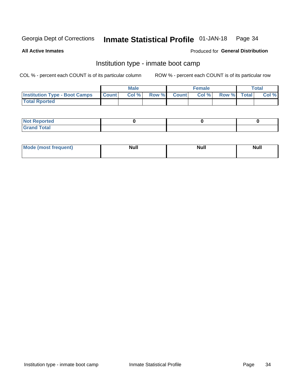#### Inmate Statistical Profile 01-JAN-18 Page 34

**All Active Inmates** 

#### Produced for General Distribution

### Institution type - inmate boot camp

COL % - percent each COUNT is of its particular column

|                                      |                  | <b>Male</b> |              |              | <b>Female</b> |             | <b>Total</b> |
|--------------------------------------|------------------|-------------|--------------|--------------|---------------|-------------|--------------|
| <b>Institution Type - Boot Camps</b> | <b>I</b> Count I | Col %       | <b>Row %</b> | <b>Count</b> | Col %         | Row % Total | Col %        |
| <b>Total Rported</b>                 |                  |             |              |              |               |             |              |

| <b>Not Reported</b>            |  |  |
|--------------------------------|--|--|
| <b>Total</b><br>C <sub>r</sub> |  |  |

| Mod<br>uamo | Nul.<br>$- - - - - -$ | <b>Null</b> | . .<br>uu.<br>------ |
|-------------|-----------------------|-------------|----------------------|
|             |                       |             |                      |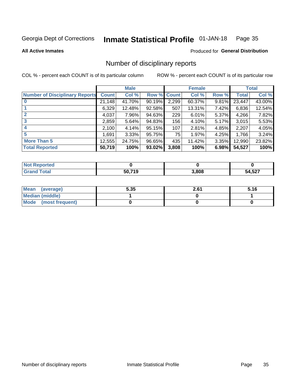#### Inmate Statistical Profile 01-JAN-18 Page 35

#### **All Active Inmates**

#### Produced for General Distribution

### Number of disciplinary reports

COL % - percent each COUNT is of its particular column

|                                       |              | <b>Male</b> |        |       | <b>Female</b> |          |              | <b>Total</b> |
|---------------------------------------|--------------|-------------|--------|-------|---------------|----------|--------------|--------------|
| <b>Number of Disciplinary Reports</b> | <b>Count</b> | Col %       | Row %  | Count | Col %         | Row %    | <b>Total</b> | Col %        |
| $\bf{0}$                              | 21,148       | 41.70%      | 90.19% | 2,299 | 60.37%        | 9.81%    | 23,447       | 43.00%       |
|                                       | 6,329        | 12.48%      | 92.58% | 507   | 13.31%        | $7.42\%$ | 6,836        | 12.54%       |
| $\overline{2}$                        | 4,037        | 7.96%       | 94.63% | 229   | 6.01%         | 5.37%    | 4,266        | 7.82%        |
| 3                                     | 2,859        | 5.64%       | 94.83% | 156   | 4.10%         | 5.17%    | 3,015        | 5.53%        |
| 4                                     | 2,100        | 4.14%       | 95.15% | 107   | 2.81%         | 4.85%    | 2,207        | 4.05%        |
| 5                                     | 1,691        | $3.33\%$    | 95.75% | 75    | 1.97%         | 4.25%    | 1,766        | 3.24%        |
| <b>More Than 5</b>                    | 12,555       | 24.75%      | 96.65% | 435   | 11.42%        | $3.35\%$ | 12,990       | 23.82%       |
| <b>Total Reported</b>                 | 50,719       | 100%        | 93.02% | 3,808 | 100%          | 6.98%    | 54,527       | 100%         |

| orted<br>וחש |              |       |        |
|--------------|--------------|-------|--------|
| Total        | 50 719<br>ıч | 3,808 | 54,527 |

| Mean (average)       | 5.35 | 2.61 | 5.16 |
|----------------------|------|------|------|
| Median (middle)      |      |      |      |
| Mode (most frequent) |      |      |      |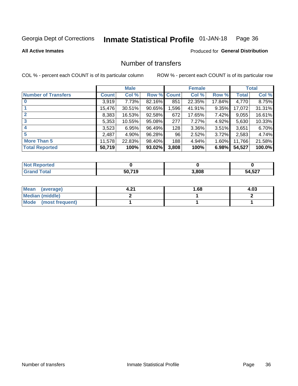#### Inmate Statistical Profile 01-JAN-18 Page 36

#### **All Active Inmates**

#### Produced for General Distribution

### Number of transfers

COL % - percent each COUNT is of its particular column

|                            |         | <b>Male</b> |                    |       | <b>Female</b> |          |              | <b>Total</b> |
|----------------------------|---------|-------------|--------------------|-------|---------------|----------|--------------|--------------|
| <b>Number of Transfers</b> | Count l | Col %       | <b>Row % Count</b> |       | Col %         | Row %    | <b>Total</b> | Col %        |
| $\bf{0}$                   | 3,919   | 7.73%       | 82.16%             | 851   | 22.35%        | 17.84%   | 4,770        | 8.75%        |
|                            | 15,476  | 30.51%      | 90.65%             | 1,596 | 41.91%        | 9.35%    | 17,072       | 31.31%       |
| $\overline{2}$             | 8,383   | 16.53%      | 92.58%             | 672   | 17.65%        | 7.42%    | 9,055        | 16.61%       |
| 3                          | 5,353   | 10.55%      | 95.08%             | 277   | 7.27%         | $4.92\%$ | 5,630        | 10.33%       |
| 4                          | 3,523   | 6.95%       | 96.49%             | 128   | 3.36%         | $3.51\%$ | 3,651        | 6.70%        |
| 5                          | 2,487   | 4.90%       | 96.28%             | 96    | 2.52%         | 3.72%    | 2,583        | 4.74%        |
| <b>More Than 5</b>         | 11,578  | 22.83%      | 98.40%             | 188   | 4.94%         | $1.60\%$ | 11,766       | 21.58%       |
| <b>Total Reported</b>      | 50,719  | 100%        | 93.02%             | 3,808 | 100%          | 6.98%    | 54,527       | 100.0%       |

| orted<br>וחש |              |       |        |
|--------------|--------------|-------|--------|
| Total        | 50 719<br>ıч | 3,808 | 54,527 |

| Mean (average)       | י ∩י | l.68 | 4.03 |
|----------------------|------|------|------|
| Median (middle)      |      |      |      |
| Mode (most frequent) |      |      |      |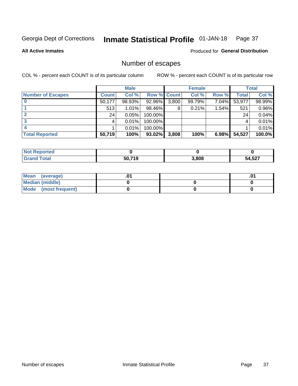#### Inmate Statistical Profile 01-JAN-18 Page 37

**All Active Inmates** 

**Produced for General Distribution** 

### Number of escapes

COL % - percent each COUNT is of its particular column

|                          |              | <b>Male</b> |             |       | <b>Female</b> |          |        | <b>Total</b> |
|--------------------------|--------------|-------------|-------------|-------|---------------|----------|--------|--------------|
| <b>Number of Escapes</b> | <b>Count</b> | Col %       | Row % Count |       | Col %         | Row %    | Total  | Col %        |
|                          | 50,177       | 98.93%      | 92.96%      | 3,800 | 99.79%        | 7.04%    | 53,977 | 98.99%       |
|                          | 513          | 1.01%       | 98.46%      | 8     | 0.21%         | $1.54\%$ | 521    | 0.96%        |
|                          | 24           | 0.05%       | 100.00%     |       |               |          | 24     | 0.04%        |
|                          |              | 0.01%       | $100.00\%$  |       |               |          |        | 0.01%        |
|                          |              | 0.01%       | 100.00%     |       |               |          |        | 0.01%        |
| <b>Total Reported</b>    | 50,719       | 100%        | 93.02%      | 3,808 | 100%          | 6.98%    | 54,527 | 100.0%       |

| <b>Not Reported</b> |        |       |        |
|---------------------|--------|-------|--------|
| <b>Grand Total</b>  | 50.719 | 3.808 | 54,527 |

| Mean (average)       |  |  |
|----------------------|--|--|
| Median (middle)      |  |  |
| Mode (most frequent) |  |  |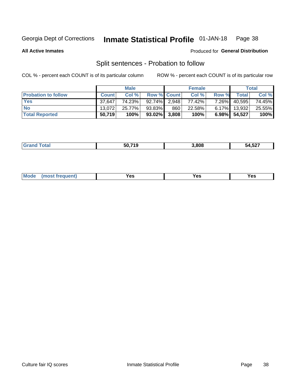#### Inmate Statistical Profile 01-JAN-18 Page 38

**All Active Inmates** 

#### Produced for General Distribution

### Split sentences - Probation to follow

COL % - percent each COUNT is of its particular column

|                            |              | <b>Male</b> |                 |     | <b>Female</b> |          |              | <b>Total</b> |
|----------------------------|--------------|-------------|-----------------|-----|---------------|----------|--------------|--------------|
| <b>Probation to follow</b> | <b>Count</b> | Col%        | Row % Count     |     | Col %         | Row %    | <b>Total</b> | Col %        |
| <b>Yes</b>                 | 37.647       | 74.23%      | $92.74\%$ 2.948 |     | 77.42%        | 7.26%    | 40,595       | 74.45%       |
| <b>No</b>                  | 13.072       | 25.77%      | 93.83%          | 860 | 22.58%        |          | 6.17% 13,932 | 25.55%       |
| <b>Total Reported</b>      | 50,719       | 100%        | $93.02\%$ 3,808 |     | 100%          | $6.98\%$ | 54,527       | 100%         |

| _______ | EN 740<br>. | .808 | $\overline{a}$ $\overline{a}$ $\overline{a}$ $\overline{a}$ $\overline{a}$ $\overline{a}$ $\overline{a}$ $\overline{a}$ $\overline{a}$ $\overline{a}$ $\overline{a}$ $\overline{a}$ $\overline{a}$ $\overline{a}$ $\overline{a}$ $\overline{a}$ $\overline{a}$ $\overline{a}$ $\overline{a}$ $\overline{a}$ $\overline{a}$ $\overline{a}$ $\overline{a}$ $\overline{a}$ $\overline{$<br>ว4,ວ∠ <i>เ</i> |
|---------|-------------|------|--------------------------------------------------------------------------------------------------------------------------------------------------------------------------------------------------------------------------------------------------------------------------------------------------------------------------------------------------------------------------------------------------------|
|         |             |      |                                                                                                                                                                                                                                                                                                                                                                                                        |

| <b>Mode</b><br>reauent)<br>Yes<br>v.c<br>0٥<br>.<br>. .<br>$\sim$ |
|-------------------------------------------------------------------|
|-------------------------------------------------------------------|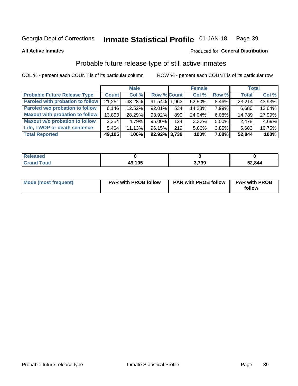#### Inmate Statistical Profile 01-JAN-18 Page 39

#### **All Active Inmates**

#### Produced for General Distribution

### Probable future release type of still active inmates

COL % - percent each COUNT is of its particular column

|                                         |              | <b>Male</b> |                    |     | <b>Female</b> |       | <b>Total</b> |        |
|-----------------------------------------|--------------|-------------|--------------------|-----|---------------|-------|--------------|--------|
| <b>Probable Future Release Type</b>     | <b>Count</b> | Col %       | <b>Row % Count</b> |     | Col %         | Row % | <b>Total</b> | Col %  |
| <b>Paroled with probation to follow</b> | 21,251       | 43.28%      | 91.54% 1,963       |     | 52.50%        | 8.46% | 23,214       | 43.93% |
| Paroled w/o probation to follow         | 6,146        | 12.52%      | 92.01%             | 534 | 14.28%        | 7.99% | 6,680        | 12.64% |
| <b>Maxout with probation to follow</b>  | 13,890       | 28.29%      | 93.92%             | 899 | 24.04%        | 6.08% | 14,789       | 27.99% |
| <b>Maxout w/o probation to follow</b>   | 2,354        | 4.79%       | 95.00%             | 124 | 3.32%         | 5.00% | 2,478        | 4.69%  |
| Life, LWOP or death sentence            | 5.464        | 11.13%      | 96.15%             | 219 | 5.86%         | 3.85% | 5,683        | 10.75% |
| <b>Total Reported</b>                   | 49,105       | 100%        | $92.92\%$ 3,739    |     | 100%          | 7.08% | 52,844       | 100%   |

| жн                |        |      |        |
|-------------------|--------|------|--------|
| $F \sim f \sim f$ | 49,105 | ,739 | 52,844 |

| Mode (most frequent) | <b>PAR with PROB follow</b> | <b>PAR with PROB follow</b> | <b>PAR with PROB</b><br>follow |
|----------------------|-----------------------------|-----------------------------|--------------------------------|
|                      |                             |                             |                                |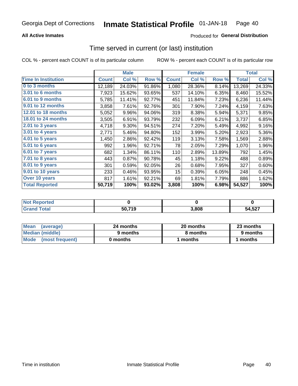## **All Active Inmates**

## **Produced for General Distribution**

# Time served in current (or last) institution

COL % - percent each COUNT is of its particular column

|                            | <b>Male</b>  |        |        | <b>Female</b> |        |        | <b>Total</b> |        |
|----------------------------|--------------|--------|--------|---------------|--------|--------|--------------|--------|
| <b>Time In Institution</b> | <b>Count</b> | Col %  | Row %  | <b>Count</b>  | Col %  | Row %  | <b>Total</b> | Col %  |
| 0 to 3 months              | 12,189       | 24.03% | 91.86% | 1,080         | 28.36% | 8.14%  | 13,269       | 24.33% |
| 3.01 to 6 months           | 7,923        | 15.62% | 93.65% | 537           | 14.10% | 6.35%  | 8,460        | 15.52% |
| 6.01 to 9 months           | 5,785        | 11.41% | 92.77% | 451           | 11.84% | 7.23%  | 6,236        | 11.44% |
| 9.01 to 12 months          | 3,858        | 7.61%  | 92.76% | 301           | 7.90%  | 7.24%  | 4,159        | 7.63%  |
| <b>12.01 to 18 months</b>  | 5,052        | 9.96%  | 94.06% | 319           | 8.38%  | 5.94%  | 5,371        | 9.85%  |
| 18.01 to 24 months         | 3,505        | 6.91%  | 93.79% | 232           | 6.09%  | 6.21%  | 3,737        | 6.85%  |
| $2.01$ to 3 years          | 4,718        | 9.30%  | 94.51% | 274           | 7.20%  | 5.49%  | 4,992        | 9.16%  |
| 3.01 to 4 years            | 2,771        | 5.46%  | 94.80% | 152           | 3.99%  | 5.20%  | 2,923        | 5.36%  |
| 4.01 to 5 years            | 1,450        | 2.86%  | 92.42% | 119           | 3.13%  | 7.58%  | 1,569        | 2.88%  |
| 5.01 to 6 years            | 992          | 1.96%  | 92.71% | 78            | 2.05%  | 7.29%  | 1,070        | 1.96%  |
| 6.01 to 7 years            | 682          | 1.34%  | 86.11% | 110           | 2.89%  | 13.89% | 792          | 1.45%  |
| 7.01 to 8 years            | 443          | 0.87%  | 90.78% | 45            | 1.18%  | 9.22%  | 488          | 0.89%  |
| $8.01$ to 9 years          | 301          | 0.59%  | 92.05% | 26            | 0.68%  | 7.95%  | 327          | 0.60%  |
| 9.01 to 10 years           | 233          | 0.46%  | 93.95% | 15            | 0.39%  | 6.05%  | 248          | 0.45%  |
| Over 10 years              | 817          | 1.61%  | 92.21% | 69            | 1.81%  | 7.79%  | 886          | 1.62%  |
| <b>Total Reported</b>      | 50,719       | 100%   | 93.02% | 3,808         | 100%   | 6.98%  | 54,527       | 100%   |

| I NOT<br>meo |        |      |        |
|--------------|--------|------|--------|
|              | 50,719 | .808 | 54,527 |

| <b>Mean</b><br>(average) | 24 months | 20 months | 23 months |
|--------------------------|-----------|-----------|-----------|
| Median (middle)          | 9 months  | 8 months  | 9 months  |
| Mode (most frequent)     | 0 months  | months    | 1 months  |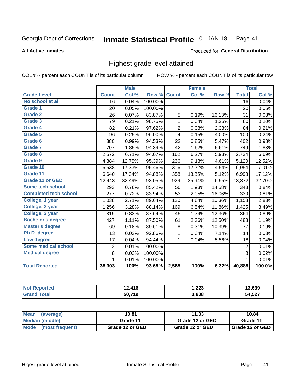### **All Active Inmates**

### Produced for General Distribution

# Highest grade level attained

COL % - percent each COUNT is of its particular column

|                              |                 | <b>Male</b> |         |                | <b>Female</b> |        |                 | <b>Total</b> |
|------------------------------|-----------------|-------------|---------|----------------|---------------|--------|-----------------|--------------|
| <b>Grade Level</b>           | <b>Count</b>    | Col %       | Row %   | <b>Count</b>   | Col%          | Row %  | <b>Total</b>    | Col %        |
| No school at all             | $\overline{16}$ | 0.04%       | 100.00% |                |               |        | $\overline{16}$ | 0.04%        |
| <b>Grade 1</b>               | 20              | 0.05%       | 100.00% |                |               |        | 20              | 0.05%        |
| <b>Grade 2</b>               | 26              | 0.07%       | 83.87%  | 5              | 0.19%         | 16.13% | 31              | 0.08%        |
| Grade 3                      | 79              | 0.21%       | 98.75%  | $\mathbf{1}$   | 0.04%         | 1.25%  | 80              | 0.20%        |
| Grade 4                      | 82              | 0.21%       | 97.62%  | $\overline{2}$ | 0.08%         | 2.38%  | 84              | 0.21%        |
| Grade 5                      | 96              | 0.25%       | 96.00%  | 4              | 0.15%         | 4.00%  | 100             | 0.24%        |
| Grade 6                      | 380             | 0.99%       | 94.53%  | 22             | 0.85%         | 5.47%  | 402             | 0.98%        |
| <b>Grade 7</b>               | 707             | 1.85%       | 94.39%  | 42             | 1.62%         | 5.61%  | 749             | 1.83%        |
| Grade 8                      | 2,572           | 6.71%       | 94.07%  | 162            | 6.27%         | 5.93%  | 2,734           | 6.69%        |
| Grade 9                      | 4,884           | 12.75%      | 95.39%  | 236            | 9.13%         | 4.61%  | 5,120           | 12.52%       |
| Grade 10                     | 6,638           | 17.33%      | 95.46%  | 316            | 12.22%        | 4.54%  | 6,954           | 17.01%       |
| Grade 11                     | 6,640           | 17.34%      | 94.88%  | 358            | 13.85%        | 5.12%  | 6,998           | 17.12%       |
| <b>Grade 12 or GED</b>       | 12,443          | 32.49%      | 93.05%  | 929            | 35.94%        | 6.95%  | 13,372          | 32.70%       |
| <b>Some tech school</b>      | 293             | 0.76%       | 85.42%  | 50             | 1.93%         | 14.58% | 343             | 0.84%        |
| <b>Completed tech school</b> | 277             | 0.72%       | 83.94%  | 53             | 2.05%         | 16.06% | 330             | 0.81%        |
| College, 1 year              | 1,038           | 2.71%       | 89.64%  | 120            | 4.64%         | 10.36% | 1,158           | 2.83%        |
| College, 2 year              | 1,256           | 3.28%       | 88.14%  | 169            | 6.54%         | 11.86% | 1,425           | 3.49%        |
| College, 3 year              | 319             | 0.83%       | 87.64%  | 45             | 1.74%         | 12.36% | 364             | 0.89%        |
| <b>Bachelor's degree</b>     | 427             | 1.11%       | 87.50%  | 61             | 2.36%         | 12.50% | 488             | 1.19%        |
| <b>Master's degree</b>       | 69              | 0.18%       | 89.61%  | 8              | 0.31%         | 10.39% | 77              | 0.19%        |
| Ph.D. degree                 | 13              | 0.03%       | 92.86%  | $\mathbf{1}$   | 0.04%         | 7.14%  | 14              | 0.03%        |
| Law degree                   | 17              | 0.04%       | 94.44%  | $\mathbf{1}$   | 0.04%         | 5.56%  | 18              | 0.04%        |
| <b>Some medical school</b>   | $\overline{2}$  | 0.01%       | 100.00% |                |               |        | $\overline{2}$  | 0.01%        |
| <b>Medical degree</b>        | 8               | 0.02%       | 100.00% |                |               |        | 8               | 0.02%        |
|                              | 1               | 0.01%       | 100.00% |                |               |        | $\mathbf{1}$    | 0.01%        |
| <b>Total Reported</b>        | 38,303          | 100%        | 93.68%  | 2,585          | 100%          | 6.32%  | 40,888          | 100.0%       |

| $\overline{A}$<br>טוי | 1,223 | $\sim$<br>.039     |
|-----------------------|-------|--------------------|
| 50,719                | 3,808 | ドウフ<br>ו אטי<br>__ |

| Mean<br>(average)    | 10.81           | 11.33           | 10.84           |
|----------------------|-----------------|-----------------|-----------------|
| Median (middle)      | Grade 11        | Grade 12 or GED | Grade 11        |
| Mode (most frequent) | Grade 12 or GED | Grade 12 or GED | Grade 12 or GED |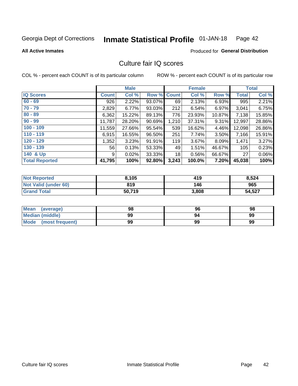### Inmate Statistical Profile 01-JAN-18 Page 42

**All Active Inmates** 

## **Produced for General Distribution**

# Culture fair IQ scores

COL % - percent each COUNT is of its particular column

|                       |              | <b>Male</b> |             |       | <b>Female</b> |          |              | <b>Total</b> |
|-----------------------|--------------|-------------|-------------|-------|---------------|----------|--------------|--------------|
| <b>IQ Scores</b>      | <b>Count</b> | Col %       | Row % Count |       | Col %         | Row %    | <b>Total</b> | Col %        |
| $60 - 69$             | 926          | 2.22%       | 93.07%      | 69    | 2.13%         | 6.93%    | 995          | 2.21%        |
| $70 - 79$             | 2,829        | 6.77%       | 93.03%      | 212   | 6.54%         | 6.97%    | 3,041        | 6.75%        |
| $80 - 89$             | 6,362        | 15.22%      | 89.13%      | 776   | 23.93%        | 10.87%   | 7,138        | 15.85%       |
| $90 - 99$             | 11,787       | 28.20%      | 90.69%      | 1,210 | 37.31%        | $9.31\%$ | 12,997       | 28.86%       |
| $100 - 109$           | 11,559       | 27.66%      | 95.54%      | 539   | 16.62%        | 4.46%    | 12,098       | 26.86%       |
| $110 - 119$           | 6,915        | 16.55%      | 96.50%      | 251   | 7.74%         | 3.50%    | 7,166        | 15.91%       |
| $120 - 129$           | 1,352        | 3.23%       | 91.91%      | 119   | 3.67%         | 8.09%    | 1,471        | 3.27%        |
| $130 - 139$           | 56           | 0.13%       | 53.33%      | 49    | 1.51%         | 46.67%   | 105          | 0.23%        |
| 140 & Up              | 9            | 0.02%       | 33.33%      | 18    | 0.56%         | 66.67%   | 27           | 0.06%        |
| <b>Total Reported</b> | 41,795       | 100%        | 92.80%      | 3,243 | 100.0%        | 7.20%    | 45,038       | 100%         |

| <b>Not Reported</b>         | 8,105  | 419   | 8,524  |
|-----------------------------|--------|-------|--------|
| <b>Not Valid (under 60)</b> | 819    | 146   | 965    |
| <b>Grand Total</b>          | 50,719 | 3,808 | 54,527 |

| <b>Mean</b><br>(average) | 98 | 96 | 98 |
|--------------------------|----|----|----|
| Median (middle)          | 99 | 94 | 99 |
| Mode<br>(most frequent)  | 99 | 99 | 99 |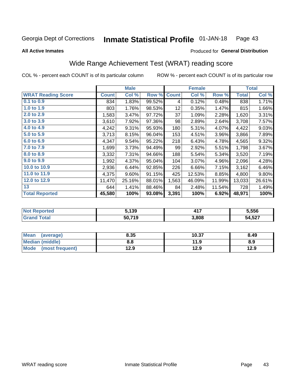### Inmate Statistical Profile 01-JAN-18 Page 43

**All Active Inmates** 

## Produced for General Distribution

# Wide Range Achievement Test (WRAT) reading score

COL % - percent each COUNT is of its particular column

|                           |              | <b>Male</b> |        |                 | <b>Female</b> |        |              | <b>Total</b> |
|---------------------------|--------------|-------------|--------|-----------------|---------------|--------|--------------|--------------|
| <b>WRAT Reading Score</b> | <b>Count</b> | Col %       | Row %  | <b>Count</b>    | Col %         | Row %  | <b>Total</b> | Col %        |
| $0.1$ to $0.9$            | 834          | 1.83%       | 99.52% | 4               | 0.12%         | 0.48%  | 838          | 1.71%        |
| 1.0 to 1.9                | 803          | 1.76%       | 98.53% | 12 <sub>2</sub> | 0.35%         | 1.47%  | 815          | 1.66%        |
| 2.0 to 2.9                | 1,583        | 3.47%       | 97.72% | 37              | 1.09%         | 2.28%  | 1,620        | 3.31%        |
| 3.0 to 3.9                | 3,610        | 7.92%       | 97.36% | 98              | 2.89%         | 2.64%  | 3,708        | 7.57%        |
| 4.0 to 4.9                | 4,242        | 9.31%       | 95.93% | 180             | 5.31%         | 4.07%  | 4,422        | 9.03%        |
| 5.0 to 5.9                | 3,713        | 8.15%       | 96.04% | 153             | 4.51%         | 3.96%  | 3,866        | 7.89%        |
| 6.0 to 6.9                | 4,347        | 9.54%       | 95.22% | 218             | 6.43%         | 4.78%  | 4,565        | 9.32%        |
| 7.0 to 7.9                | 1,699        | 3.73%       | 94.49% | 99              | 2.92%         | 5.51%  | 1,798        | 3.67%        |
| 8.0 to 8.9                | 3,332        | 7.31%       | 94.66% | 188             | 5.54%         | 5.34%  | 3,520        | 7.19%        |
| 9.0 to 9.9                | 1,992        | 4.37%       | 95.04% | 104             | 3.07%         | 4.96%  | 2,096        | 4.28%        |
| 10.0 to 10.9              | 2,936        | 6.44%       | 92.85% | 226             | 6.66%         | 7.15%  | 3,162        | 6.46%        |
| 11.0 to 11.9              | 4,375        | 9.60%       | 91.15% | 425             | 12.53%        | 8.85%  | 4,800        | 9.80%        |
| 12.0 to 12.9              | 11,470       | 25.16%      | 88.01% | 1,563           | 46.09%        | 11.99% | 13,033       | 26.61%       |
| 13                        | 644          | 1.41%       | 88.46% | 84              | 2.48%         | 11.54% | 728          | 1.49%        |
| <b>Total Reported</b>     | 45,580       | 100%        | 93.08% | 3,391           | 100%          | 6.92%  | 48,971       | 100%         |

| Reported<br><b>NO</b> | 5,139  | 447   | 5,556  |
|-----------------------|--------|-------|--------|
| <b>ota</b>            | 50.719 | 3,808 | 54,527 |

| <b>Mean</b><br>(average) | 8.35 | 10.37 | 8.49 |
|--------------------------|------|-------|------|
| Median (middle)          | 8.8  | 11.9  | 8.9  |
| Mode<br>(most frequent)  | 12.9 | 12.9  | 12.9 |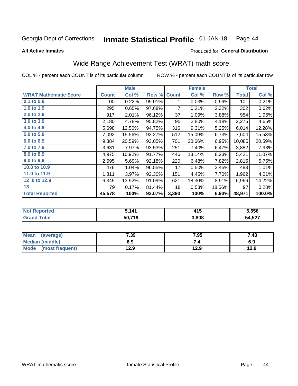### **Inmate Statistical Profile 01-JAN-18** Page 44

**All Active Inmates** 

### Produced for General Distribution

# Wide Range Achievement Test (WRAT) math score

COL % - percent each COUNT is of its particular column

|                              |              | <b>Male</b> |        |              | <b>Female</b> |        |              | <b>Total</b> |
|------------------------------|--------------|-------------|--------|--------------|---------------|--------|--------------|--------------|
| <b>WRAT Mathematic Score</b> | <b>Count</b> | Col %       | Row %  | <b>Count</b> | Col %         | Row %  | <b>Total</b> | Col %        |
| $0.1$ to $0.9$               | 100          | 0.22%       | 99.01% | 1.           | 0.03%         | 0.99%  | 101          | 0.21%        |
| 1.0 to 1.9                   | 295          | 0.65%       | 97.68% | 7            | 0.21%         | 2.32%  | 302          | 0.62%        |
| 2.0 to 2.9                   | 917          | 2.01%       | 96.12% | 37           | 1.09%         | 3.88%  | 954          | 1.95%        |
| 3.0 to 3.9                   | 2,180        | 4.78%       | 95.82% | 95           | 2.80%         | 4.18%  | 2,275        | 4.65%        |
| 4.0 to 4.9                   | 5,698        | 12.50%      | 94.75% | 316          | 9.31%         | 5.25%  | 6,014        | 12.28%       |
| 5.0 to 5.9                   | 7,092        | 15.56%      | 93.27% | 512          | 15.09%        | 6.73%  | 7,604        | 15.53%       |
| 6.0 to 6.9                   | 9,384        | 20.59%      | 93.05% | 701          | 20.66%        | 6.95%  | 10,085       | 20.59%       |
| 7.0 to 7.9                   | 3,631        | 7.97%       | 93.53% | 251          | 7.40%         | 6.47%  | 3,882        | 7.93%        |
| 8.0 to 8.9                   | 4,975        | 10.92%      | 91.77% | 446          | 13.14%        | 8.23%  | 5,421        | 11.07%       |
| 9.0 to 9.9                   | 2,595        | 5.69%       | 92.18% | 220          | 6.48%         | 7.82%  | 2,815        | 5.75%        |
| 10.0 to 10.9                 | 476          | 1.04%       | 96.55% | 17           | 0.50%         | 3.45%  | 493          | 1.01%        |
| 11.0 to 11.9                 | 1,811        | 3.97%       | 92.30% | 151          | 4.45%         | 7.70%  | 1,962        | 4.01%        |
| 12.0 to 12.9                 | 6,345        | 13.92%      | 91.09% | 621          | 18.30%        | 8.91%  | 6,966        | 14.22%       |
| 13                           | 79           | 0.17%       | 81.44% | 18           | 0.53%         | 18.56% | 97           | 0.20%        |
| <b>Total Reported</b>        | 45,578       | 100%        | 93.07% | 3,393        | 100%          | 6.93%  | 48,971       | 100.0%       |
|                              |              |             |        |              |               |        |              |              |

| <b>Not Reported</b> | 5,141  | 415   | 5,556  |
|---------------------|--------|-------|--------|
| <b>Grand Total</b>  | 50,719 | 3,808 | 54,527 |

| <b>Mean</b><br>(average)       | 7.39 | 7.95 | 7.43 |
|--------------------------------|------|------|------|
| <b>Median (middle)</b>         | 6.9  | -4   | 6.9  |
| <b>Mode</b><br>(most frequent) | 12.9 | 12.9 | 12.9 |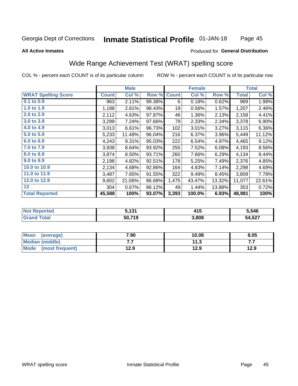### **Inmate Statistical Profile 01-JAN-18** Page 45

### **All Active Inmates**

## Produced for General Distribution

# Wide Range Achievement Test (WRAT) spelling score

COL % - percent each COUNT is of its particular column

|                            |              | <b>Male</b> |        |              | <b>Female</b> |        |              | <b>Total</b> |
|----------------------------|--------------|-------------|--------|--------------|---------------|--------|--------------|--------------|
| <b>WRAT Spelling Score</b> | <b>Count</b> | Col %       | Row %  | <b>Count</b> | Col %         | Row %  | <b>Total</b> | Col %        |
| 0.1 to 0.9                 | 963          | 2.11%       | 99.38% | 6            | 0.18%         | 0.62%  | 969          | 1.98%        |
| 1.0 to 1.9                 | 1,188        | 2.61%       | 98.43% | 19           | 0.56%         | 1.57%  | 1,207        | 2.46%        |
| 2.0 to 2.9                 | 2,112        | 4.63%       | 97.87% | 46           | 1.36%         | 2.13%  | 2,158        | 4.41%        |
| 3.0 to 3.9                 | 3,299        | 7.24%       | 97.66% | 79           | 2.33%         | 2.34%  | 3,378        | 6.90%        |
| 4.0 to 4.9                 | 3,013        | 6.61%       | 96.73% | 102          | 3.01%         | 3.27%  | 3,115        | 6.36%        |
| 5.0 to 5.9                 | 5,233        | 11.48%      | 96.04% | 216          | 6.37%         | 3.96%  | 5,449        | 11.12%       |
| 6.0 to 6.9                 | 4,243        | 9.31%       | 95.03% | 222          | 6.54%         | 4.97%  | 4,465        | 9.12%        |
| 7.0 to 7.9                 | 3,938        | 8.64%       | 93.92% | 255          | 7.52%         | 6.08%  | 4,193        | 8.56%        |
| 8.0 to 8.9                 | 3,874        | 8.50%       | 93.71% | 260          | 7.66%         | 6.29%  | 4,134        | 8.44%        |
| 9.0 to 9.9                 | 2,198        | 4.82%       | 92.51% | 178          | 5.25%         | 7.49%  | 2,376        | 4.85%        |
| 10.0 to 10.9               | 2,134        | 4.68%       | 92.86% | 164          | 4.83%         | 7.14%  | 2,298        | 4.69%        |
| 11.0 to 11.9               | 3,487        | 7.65%       | 91.55% | 322          | 9.49%         | 8.45%  | 3,809        | 7.78%        |
| 12.0 to 12.9               | 9,602        | 21.06%      | 86.68% | 1,475        | 43.47%        | 13.32% | 11,077       | 22.61%       |
| 13                         | 304          | 0.67%       | 86.12% | 49           | 1.44%         | 13.88% | 353          | 0.72%        |
| <b>Total Reported</b>      | 45,588       | 100%        | 93.07% | 3,393        | 100.0%        | 6.93%  | 48,981       | 100%         |

| <b>orted</b><br>NO | こ イウイ  | 4 A F<br>л п<br><b>TIV</b> | 5,546  |
|--------------------|--------|----------------------------|--------|
| int                | 50,719 | 3,808                      | 54,527 |

| Mean (average)       | 7.90 | 10.08 | 8.05 |
|----------------------|------|-------|------|
| Median (middle)      | .    | 11.3  | .    |
| Mode (most frequent) | 12.9 | 12.9  | 12.9 |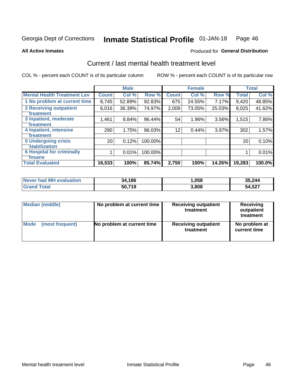### Inmate Statistical Profile 01-JAN-18 Page 46

**All Active Inmates** 

## **Produced for General Distribution**

# Current / last mental health treatment level

COL % - percent each COUNT is of its particular column

|                                    |                 | <b>Male</b> |         |              | <b>Female</b> |        |        | <b>Total</b> |
|------------------------------------|-----------------|-------------|---------|--------------|---------------|--------|--------|--------------|
| <b>Mental Health Treatment Lev</b> | <b>Count</b>    | Col %       | Row %   | <b>Count</b> | Col %         | Row %  | Total  | Col %        |
| 1 No problem at current time       | 8,745           | 52.89%      | 92.83%  | 675          | 24.55%        | 7.17%  | 9,420  | 48.85%       |
| 2 Receiving outpatient             | 6,016           | 36.39%      | 74.97%  | 2,009        | 73.05%        | 25.03% | 8,025  | 41.62%       |
| <b>Treatment</b>                   |                 |             |         |              |               |        |        |              |
| 3 Inpatient, moderate              | 1,461           | 8.84%       | 96.44%  | 54           | 1.96%         | 3.56%  | 1,515  | 7.86%        |
| <b>Treatment</b>                   |                 |             |         |              |               |        |        |              |
| 4 Inpatient, intensive             | 290             | 1.75%       | 96.03%  | 12           | 0.44%         | 3.97%  | 302    | 1.57%        |
| <b>Treatment</b>                   |                 |             |         |              |               |        |        |              |
| 5 Undergoing crisis                | 20 <sub>1</sub> | 0.12%       | 100.00% |              |               |        | 20     | 0.10%        |
| <b>stabilization</b>               |                 |             |         |              |               |        |        |              |
| <b>6 Hospital for criminally</b>   |                 | 0.01%       | 100.00% |              |               |        |        | 0.01%        |
| Tnsane                             |                 |             |         |              |               |        |        |              |
| <b>Total Evaluated</b>             | 16,533          | 100%        | 85.74%  | 2,750        | 100%          | 14.26% | 19,283 | 100.0%       |

| <b>Never had MH evaluation</b> | 34,186 | ,058  | 35,244 |
|--------------------------------|--------|-------|--------|
| Total<br>Grand                 | 50,719 | 3,808 | 54,527 |

| Median (middle) | No problem at current time | <b>Receiving outpatient</b><br>treatment | <b>Receiving</b><br>outpatient<br>treatment |
|-----------------|----------------------------|------------------------------------------|---------------------------------------------|
| <b>Mode</b>     | No problem at current time | <b>Receiving outpatient</b>              | No problem at                               |
| (most frequent) |                            | treatment                                | current time                                |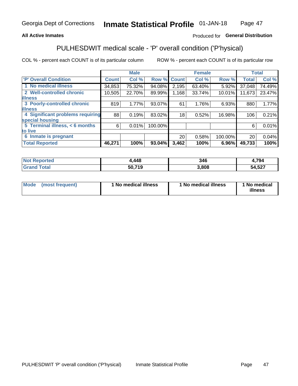## **All Active Inmates**

## Produced for General Distribution

# PULHESDWIT medical scale - 'P' overall condition ('P'hysical)

COL % - percent each COUNT is of its particular column

|                                         |              | <b>Male</b> |         |              | <b>Female</b> |         |                 | <b>Total</b> |
|-----------------------------------------|--------------|-------------|---------|--------------|---------------|---------|-----------------|--------------|
| 'P' Overall Condition                   | <b>Count</b> | Col %       | Row %   | <b>Count</b> | Col %         | Row %   | <b>Total</b>    | Col %        |
| 1 No medical illness                    | 34,853       | 75.32%      | 94.08%  | 2,195        | 63.40%        | 5.92%   | 37,048          | 74.49%       |
| 2 Well-controlled chronic               | 10,505       | 22.70%      | 89.99%  | 1,168        | 33.74%        | 10.01%  | 11,673          | 23.47%       |
| <b>illness</b>                          |              |             |         |              |               |         |                 |              |
| 3 Poorly-controlled chronic             | 819          | 1.77%       | 93.07%  | 61           | 1.76%         | 6.93%   | 880             | 1.77%        |
| <b>illness</b>                          |              |             |         |              |               |         |                 |              |
| <b>4 Significant problems requiring</b> | 88           | 0.19%       | 83.02%  | 18           | 0.52%         | 16.98%  | 106             | 0.21%        |
| special housing                         |              |             |         |              |               |         |                 |              |
| 5 Terminal illness, < 6 months          | 6            | 0.01%       | 100.00% |              |               |         | 6               | 0.01%        |
| to live                                 |              |             |         |              |               |         |                 |              |
| 6 Inmate is pregnant                    |              |             |         | 20           | 0.58%         | 100.00% | 20 <sub>1</sub> | 0.04%        |
| <b>Total Reported</b>                   | 46,271       | 100%        | 93.04%  | 3,462        | 100%          | 6.96%   | 49,733          | 100%         |

| тео | .448   | 346  | ,794       |
|-----|--------|------|------------|
|     | 70.740 | .808 | ,527<br>54 |

| Mode | (most frequent) | 1 No medical illness | 1 No medical illness | 1 No medical<br>illness |
|------|-----------------|----------------------|----------------------|-------------------------|
|------|-----------------|----------------------|----------------------|-------------------------|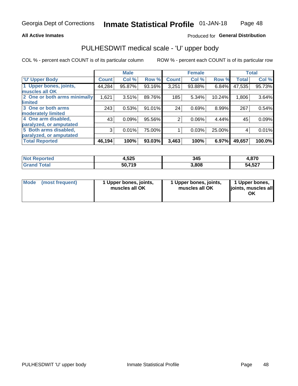### **All Active Inmates**

## Produced for General Distribution

# PULHESDWIT medical scale - 'U' upper body

COL % - percent each COUNT is of its particular column

|                              |                    | <b>Male</b> |        |                | <b>Female</b> |        |              | <b>Total</b> |
|------------------------------|--------------------|-------------|--------|----------------|---------------|--------|--------------|--------------|
| <b>U' Upper Body</b>         | Count <sup>1</sup> | Col %       | Row %  | <b>Count</b>   | Col %         | Row %  | <b>Total</b> | Col %        |
| 1 Upper bones, joints,       | 44,284             | 95.87%      | 93.16% | 3,251          | 93.88%        | 6.84%  | 47,535       | 95.73%       |
| muscles all OK               |                    |             |        |                |               |        |              |              |
| 2 One or both arms minimally | 1,621              | 3.51%       | 89.76% | 185            | 5.34%         | 10.24% | 1,806        | 3.64%        |
| limited                      |                    |             |        |                |               |        |              |              |
| 3 One or both arms           | 243                | 0.53%       | 91.01% | 24             | 0.69%         | 8.99%  | 267          | 0.54%        |
| <b>moderately limited</b>    |                    |             |        |                |               |        |              |              |
| 4 One arm disabled,          | 43                 | 0.09%       | 95.56% | $\overline{2}$ | 0.06%         | 4.44%  | 45           | 0.09%        |
| paralyzed, or amputated      |                    |             |        |                |               |        |              |              |
| 5 Both arms disabled,        | 3                  | 0.01%       | 75.00% |                | 0.03%         | 25.00% | 4            | 0.01%        |
| paralyzed, or amputated      |                    |             |        |                |               |        |              |              |
| <b>Total Reported</b>        | 46,194             | 100%        | 93.03% | 3,463          | 100%          | 6.97%  | 49,657       | 100.0%       |

| <b>Not Reported</b>          | 1,525  | 345   | 4,870  |
|------------------------------|--------|-------|--------|
| <b>Total</b><br><b>Grand</b> | 50,719 | 3,808 | 54,527 |

| Mode (most frequent) | 1 Upper bones, joints,<br>muscles all OK | 1 Upper bones, joints,<br>muscles all OK | 1 Upper bones,<br>joints, muscles all<br>ΟK |
|----------------------|------------------------------------------|------------------------------------------|---------------------------------------------|
|----------------------|------------------------------------------|------------------------------------------|---------------------------------------------|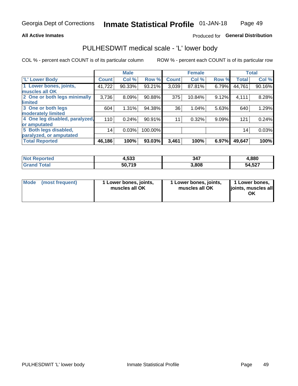### **All Active Inmates**

## Produced for General Distribution

# PULHESDWIT medical scale - 'L' lower body

COL % - percent each COUNT is of its particular column

|                                |              | <b>Male</b> |         |              | <b>Female</b> |       |                 | <b>Total</b> |
|--------------------------------|--------------|-------------|---------|--------------|---------------|-------|-----------------|--------------|
| 'L' Lower Body                 | <b>Count</b> | Col %       | Row %   | <b>Count</b> | Col %         | Row % | <b>Total</b>    | Col %        |
| 1 Lower bones, joints,         | 41,722       | 90.33%      | 93.21%  | 3,039        | 87.81%        | 6.79% | 44,761          | 90.16%       |
| muscles all OK                 |              |             |         |              |               |       |                 |              |
| 2 One or both legs minimally   | 3,736        | 8.09%       | 90.88%  | 375          | 10.84%        | 9.12% | 4,111           | 8.28%        |
| limited                        |              |             |         |              |               |       |                 |              |
| 3 One or both legs             | 604          | 1.31%       | 94.38%  | 36           | 1.04%         | 5.63% | 640             | 1.29%        |
| moderately limited             |              |             |         |              |               |       |                 |              |
| 4 One leg disabled, paralyzed, | 110          | 0.24%       | 90.91%  | 11           | 0.32%         | 9.09% | 121             | 0.24%        |
| or amputated                   |              |             |         |              |               |       |                 |              |
| 5 Both legs disabled,          | 14           | 0.03%       | 100.00% |              |               |       | 14 <sub>1</sub> | 0.03%        |
| paralyzed, or amputated        |              |             |         |              |               |       |                 |              |
| <b>Total Reported</b>          | 46,186       | 100%        | 93.03%  | 3,461        | 100%          | 6.97% | 49,647          | 100%         |

| <b>Not Reported</b>   | 4,533  | 347   | 1,880  |
|-----------------------|--------|-------|--------|
| <b>Total</b><br>Grand | 50,719 | 3,808 | 54,527 |

| Mode | (most frequent) | 1 Lower bones, joints,<br>muscles all OK | 1 Lower bones, joints,<br>muscles all OK | 1 Lower bones,<br>joints, muscles all<br>ΟK |
|------|-----------------|------------------------------------------|------------------------------------------|---------------------------------------------|
|------|-----------------|------------------------------------------|------------------------------------------|---------------------------------------------|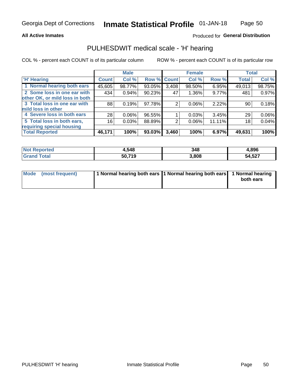### **All Active Inmates**

## Produced for General Distribution

# PULHESDWIT medical scale - 'H' hearing

COL % - percent each COUNT is of its particular column

|                                |                    | <b>Male</b> |        |             | <b>Female</b> |        | <b>Total</b> |        |
|--------------------------------|--------------------|-------------|--------|-------------|---------------|--------|--------------|--------|
| <b>'H' Hearing</b>             | Count <sup>1</sup> | Col %       |        | Row % Count | Col %         | Row %  | <b>Total</b> | Col %  |
| 1 Normal hearing both ears     | 45,605             | 98.77%      | 93.05% | 3,408       | 98.50%        | 6.95%  | 49,013       | 98.75% |
| 2 Some loss in one ear with    | 434                | 0.94%       | 90.23% | 47          | 1.36%         | 9.77%  | 481          | 0.97%  |
| other OK, or mild loss in both |                    |             |        |             |               |        |              |        |
| 3 Total loss in one ear with   | 88                 | 0.19%       | 97.78% | 2           | 0.06%         | 2.22%  | 90           | 0.18%  |
| mild loss in other             |                    |             |        |             |               |        |              |        |
| 4 Severe loss in both ears     | 28                 | 0.06%       | 96.55% |             | 0.03%         | 3.45%  | 29           | 0.06%  |
| 5 Total loss in both ears,     | 16                 | 0.03%       | 88.89% | 2           | 0.06%         | 11.11% | 18           | 0.04%  |
| requiring special housing      |                    |             |        |             |               |        |              |        |
| <b>Total Reported</b>          | 46,171             | 100%        | 93.03% | 3,460       | 100%          | 6.97%  | 49,631       | 100%   |

| <b>Not Renc</b><br><b>ported</b> | 1,548  | 348   | 1.896  |
|----------------------------------|--------|-------|--------|
| Total                            | 50,719 | 3,808 | 54,527 |

| Mode (most frequent) | 1 Normal hearing both ears 11 Normal hearing both ears 1 Normal hearing | both ears |
|----------------------|-------------------------------------------------------------------------|-----------|
|                      |                                                                         |           |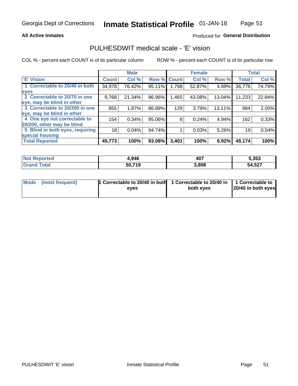## **All Active Inmates**

## Produced for General Distribution

# PULHESDWIT medical scale - 'E' vision

COL % - percent each COUNT is of its particular column

|                                 |              | <b>Male</b> |        |              | <b>Female</b> |        |              | <b>Total</b> |
|---------------------------------|--------------|-------------|--------|--------------|---------------|--------|--------------|--------------|
| <b>E' Vision</b>                | <b>Count</b> | Col %       | Row %  | <b>Count</b> | Col %         | Row %  | <b>Total</b> | Col %        |
| 1 Correctable to 20/40 in both  | 34,978       | 76.42%      | 95.11% | ا 798.       | 52.87%        | 4.89%  | 36,776       | 74.79%       |
| eyes                            |              |             |        |              |               |        |              |              |
| 2 Correctable to 20/70 in one   | 9,768        | 21.34%      | 86.96% | 1,465        | 43.08%        | 13.04% | 11,233       | 22.84%       |
| eye, may be blind in other      |              |             |        |              |               |        |              |              |
| 3 Correctable to 20/200 in one  | 855          | 1.87%       | 86.89% | 129          | 3.79%         | 13.11% | 984          | 2.00%        |
| eye, may be blind in other      |              |             |        |              |               |        |              |              |
| 4 One eye not correctable to    | 154          | 0.34%       | 95.06% | 8            | 0.24%         | 4.94%  | 162          | 0.33%        |
| 20/200, other may be blind      |              |             |        |              |               |        |              |              |
| 5 Blind in both eyes, requiring | 18           | 0.04%       | 94.74% |              | 0.03%         | 5.26%  | 19           | 0.04%        |
| special housing                 |              |             |        |              |               |        |              |              |
| <b>Total Reported</b>           | 45,773       | 100%        | 93.08% | 3,401        | 100%          | 6.92%  | 49,174       | 100%         |

| <b>Not Reported</b> | 4,946  | 407   | 5,353  |
|---------------------|--------|-------|--------|
| <b>Total</b>        | 50,719 | 3,808 | 54,527 |

| Mode (most frequent) | 1 Correctable to 20/40 in both<br>eves | 1 Correctable to 20/40 in   1 Correctable to  <br>both eyes | 20/40 in both eyes |
|----------------------|----------------------------------------|-------------------------------------------------------------|--------------------|
|                      |                                        |                                                             |                    |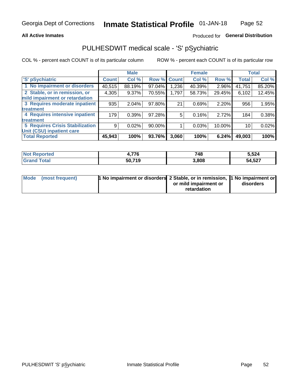## **All Active Inmates**

## Produced for General Distribution

# PULHESDWIT medical scale - 'S' pSychiatric

COL % - percent each COUNT is of its particular column

|                                        |              | <b>Male</b> |        |              | <b>Female</b> |        |              | <b>Total</b> |
|----------------------------------------|--------------|-------------|--------|--------------|---------------|--------|--------------|--------------|
| 'S' pSychiatric                        | <b>Count</b> | Col %       | Row %  | <b>Count</b> | Col %         | Row %  | <b>Total</b> | Col %        |
| 1 No impairment or disorders           | 40,515       | 88.19%      | 97.04% | .236         | 40.39%        | 2.96%  | 41,751       | 85.20%       |
| 2 Stable, or in remission, or          | 4,305        | 9.37%       | 70.55% | 1,797        | 58.73%        | 29.45% | 6,102        | 12.45%       |
| mild impairment or retardation         |              |             |        |              |               |        |              |              |
| 3 Requires moderate inpatient          | 935          | 2.04%       | 97.80% | 21           | 0.69%         | 2.20%  | 956          | 1.95%        |
| treatment                              |              |             |        |              |               |        |              |              |
| 4 Requires intensive inpatient         | 179          | 0.39%       | 97.28% | 5            | 0.16%         | 2.72%  | 184          | 0.38%        |
| treatment                              |              |             |        |              |               |        |              |              |
| <b>5 Requires Crisis Stabilization</b> | 9            | 0.02%       | 90.00% |              | 0.03%         | 10.00% | 10           | 0.02%        |
| Unit (CSU) inpatient care              |              |             |        |              |               |        |              |              |
| <b>Total Reported</b>                  | 45,943       | 100%        | 93.76% | 3,060        | 100%          | 6.24%  | 49,003       | 100%         |

| <b>Not Reported</b>    | 776ء   | 748   | 5,524  |
|------------------------|--------|-------|--------|
| Total<br><b>'Grand</b> | 50,719 | 3,808 | 54,527 |

| Mode (most frequent) | <b>h</b> No impairment or disorders 2 Stable, or in remission, 1 No impairment or |                       |           |
|----------------------|-----------------------------------------------------------------------------------|-----------------------|-----------|
|                      |                                                                                   | or mild impairment or | disorders |
|                      |                                                                                   | retardation           |           |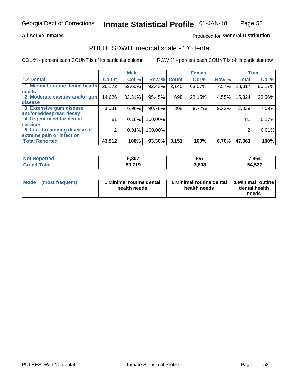## **All Active Inmates**

## Produced for General Distribution

# PULHESDWIT medical scale - 'D' dental

COL % - percent each COUNT is of its particular column

|                                 |              | <b>Male</b> |         |              | <b>Female</b> |       |              | <b>Total</b> |
|---------------------------------|--------------|-------------|---------|--------------|---------------|-------|--------------|--------------|
| <b>D'</b> Dental                | <b>Count</b> | Col %       | Row %   | <b>Count</b> | Col %         | Row % | <b>Total</b> | Col %        |
| 1 Minimal routine dental health | 26,172       | 59.60%      | 92.43%  | 2,145        | 68.07%        | 7.57% | 28,317       | 60.17%       |
| <b>needs</b>                    |              |             |         |              |               |       |              |              |
| 2 Moderate cavities and/or gum  | 14,626       | 33.31%      | 95.45%  | 698          | 22.15%        | 4.55% | 15,324       | 32.56%       |
| disease                         |              |             |         |              |               |       |              |              |
| 3 Extensive gum disease         | 3,031        | 6.90%       | 90.78%  | 308          | 9.77%         | 9.22% | 3,339        | 7.09%        |
| and/or widespread decay         |              |             |         |              |               |       |              |              |
| 4 Urgent need for dental        | 81           | 0.18%       | 100.00% |              |               |       | 81           | 0.17%        |
| <b>services</b>                 |              |             |         |              |               |       |              |              |
| 5 Life-threatening disease or   | 2            | 0.01%       | 100.00% |              |               |       | 2            | 0.01%        |
| extreme pain or infection       |              |             |         |              |               |       |              |              |
| <b>Total Reported</b>           | 43,912       | 100%        | 93.30%  | 3,151        | 100%          | 6.70% | 47,063       | 100%         |

| <b>Not Reported</b>     | 6,807  | 657   | 7,464  |
|-------------------------|--------|-------|--------|
| <b>Total</b><br>' Grand | 50,719 | 3,808 | 54,527 |

| 1 Minimal routine dental<br>Mode<br>(most frequent)<br>health needs | 1 Minimal routine dental 1 Minimal routine<br>health needs | dental health<br>needs |
|---------------------------------------------------------------------|------------------------------------------------------------|------------------------|
|---------------------------------------------------------------------|------------------------------------------------------------|------------------------|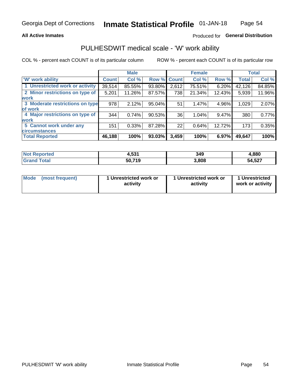## **All Active Inmates**

## Produced for General Distribution

# PULHESDWIT medical scale - 'W' work ability

COL % - percent each COUNT is of its particular column

|                                 |              | <b>Male</b> |           |             | <b>Female</b> |        |              | <b>Total</b> |
|---------------------------------|--------------|-------------|-----------|-------------|---------------|--------|--------------|--------------|
| 'W' work ability                | <b>Count</b> | Col %       |           | Row % Count | Col %         | Row %  | <b>Total</b> | Col %        |
| 1 Unrestricted work or activity | 39,514       | 85.55%      | 93.80%    | 2,612       | 75.51%        | 6.20%  | 42,126       | 84.85%       |
| 2 Minor restrictions on type of | 5,201        | 11.26%      | 87.57%    | 738         | 21.34%        | 12.43% | 5,939        | 11.96%       |
| <b>work</b>                     |              |             |           |             |               |        |              |              |
| 3 Moderate restrictions on type | 978          | 2.12%       | 95.04%    | 51          | 1.47%         | 4.96%  | 1,029        | 2.07%        |
| lof work                        |              |             |           |             |               |        |              |              |
| 4 Major restrictions on type of | 344          | 0.74%       | $90.53\%$ | 36          | 1.04%         | 9.47%  | 380          | 0.77%        |
| <b>work</b>                     |              |             |           |             |               |        |              |              |
| 5 Cannot work under any         | 151          | 0.33%       | 87.28%    | 22          | 0.64%         | 12.72% | 173          | 0.35%        |
| <b>circumstances</b>            |              |             |           |             |               |        |              |              |
| <b>Total Reported</b>           | 46,188       | 100%        | 93.03%    | 3,459       | 100%          | 6.97%  | 49,647       | 100%         |

| <b>Not Reported</b>          | 4,531  | 349   | 1,880  |
|------------------------------|--------|-------|--------|
| <b>Total</b><br><b>Grand</b> | 50,719 | 3,808 | 54,527 |

| Mode            | 1 Unrestricted work or | 1 Unrestricted work or | 1 Unrestricted   |
|-----------------|------------------------|------------------------|------------------|
| (most frequent) | activity               | activity               | work or activity |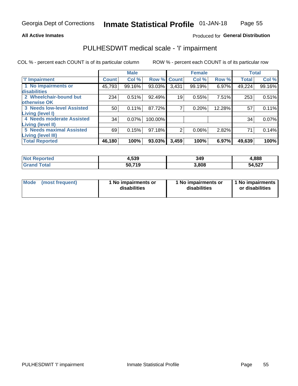### **All Active Inmates**

### Produced for General Distribution

## PULHESDWIT medical scale - 'I' impairment

COL % - percent each COUNT is of its particular column ROW % - percent each COUNT is of its particular row

**Female Male Total** 'l' Impairment **Count** Col % Row % **Count** Col % Row % **Total** Col % 1 No impairments or 93.03% 45,793 99.16%  $3,431$ 99.19% 6.97% 49,224 99.16% disabilities 2 Wheelchair-bound but  $234$  $0.51%$ 92.49%  $\overline{19}$ 7.51%  $253$  $0.51%$ 0.55% otherwise OK **3 Needs low-level Assisted**  $50$  $0.11%$ 87.72%  $\overline{7}$ 12.28% 0.20% 57  $0.11%$ Living (level I) 4 Needs moderate Assisted  $34$  $0.07\%$ 100.00%  $\overline{34}$ 0.07% Living (level II) **5 Needs maximal Assisted**  $\overline{2}$  $69$ 0.15% 97.18% 0.06% 2.82% 71  $0.14%$ Living (level III) **Total Reported** 46,180 100% 93.03%  $3,459$ 100%  $6.97%$ 49,639 100%

| <b>Not</b><br>Reported | 1,539  | 349   | 4,888  |
|------------------------|--------|-------|--------|
| ™ota⊩                  | 50,719 | 3.808 | 54,527 |

| Mode | (most frequent) | 1 No impairments or<br>disabilities | 1 No impairments or<br>disabilities | 1 No impairments<br>or disabilities |
|------|-----------------|-------------------------------------|-------------------------------------|-------------------------------------|
|------|-----------------|-------------------------------------|-------------------------------------|-------------------------------------|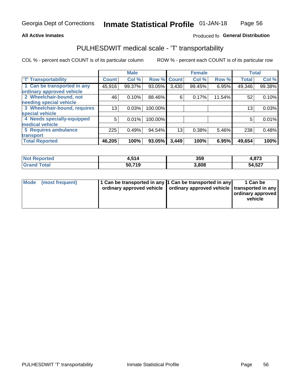## **All Active Inmates**

## Produced fo General Distribution

# PULHESDWIT medical scale - 'T' transportability

COL % - percent each COUNT is of its particular column

|                              |              | <b>Male</b> |         | <b>Female</b> |        |        | <b>Total</b> |        |
|------------------------------|--------------|-------------|---------|---------------|--------|--------|--------------|--------|
| <b>T' Transportability</b>   | <b>Count</b> | Col %       | Row %   | <b>Count</b>  | Col %  | Row %  | <b>Total</b> | Col %  |
| 1 Can be transported in any  | 45,916       | 99.37%      | 93.05%  | 3,430         | 99.45% | 6.95%  | 49,346       | 99.38% |
| ordinary approved vehicle    |              |             |         |               |        |        |              |        |
| 2 Wheelchair-bound, not      | 46           | 0.10%       | 88.46%  | 6             | 0.17%  | 11.54% | 52           | 0.10%  |
| needing special vehicle      |              |             |         |               |        |        |              |        |
| 3 Wheelchair-bound, requires | 13           | 0.03%       | 100.00% |               |        |        | 13           | 0.03%  |
| special vehicle              |              |             |         |               |        |        |              |        |
| 4 Needs specially-equipped   | 5            | 0.01%       | 100.00% |               |        |        | 5            | 0.01%  |
| medical vehicle              |              |             |         |               |        |        |              |        |
| <b>5 Requires ambulance</b>  | 225          | 0.49%       | 94.54%  | 13            | 0.38%  | 5.46%  | 238          | 0.48%  |
| transport                    |              |             |         |               |        |        |              |        |
| <b>Total Reported</b>        | 46,205       | 100%        | 93.05%  | 3,449         | 100%   | 6.95%  | 49,654       | 100%   |

| orted       | E4 A<br>. .   | 359   | 4,873           |
|-------------|---------------|-------|-----------------|
| <b>otal</b> | 50.719<br>. . | 3.808 | A 597<br>34,521 |

|  | Mode (most frequent) | 1 Can be transported in any 1 Can be transported in any<br>ordinary approved vehicle   ordinary approved vehicle   transported in any |  | 1 Can be<br>  ordinary approved  <br>vehicle |
|--|----------------------|---------------------------------------------------------------------------------------------------------------------------------------|--|----------------------------------------------|
|--|----------------------|---------------------------------------------------------------------------------------------------------------------------------------|--|----------------------------------------------|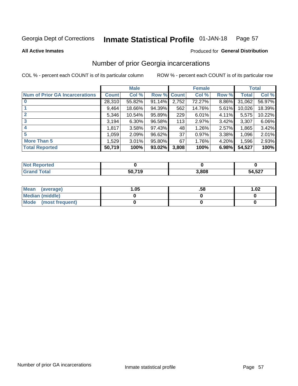### Inmate Statistical Profile 01-JAN-18 Page 57

**All Active Inmates** 

## **Produced for General Distribution**

# Number of prior Georgia incarcerations

COL % - percent each COUNT is of its particular column

|                                       |              | <b>Male</b> |                    |       | <b>Female</b> |       |        | <b>Total</b> |
|---------------------------------------|--------------|-------------|--------------------|-------|---------------|-------|--------|--------------|
| <b>Num of Prior GA Incarcerations</b> | <b>Count</b> | Col %       | <b>Row % Count</b> |       | Col %         | Row % | Total  | Col %        |
| $\bf{0}$                              | 28,310       | 55.82%      | 91.14%             | 2,752 | 72.27%        | 8.86% | 31,062 | 56.97%       |
|                                       | 9,464        | 18.66%      | 94.39%             | 562   | 14.76%        | 5.61% | 10,026 | 18.39%       |
| $\mathbf{2}$                          | 5,346        | 10.54%      | 95.89%             | 229   | 6.01%         | 4.11% | 5,575  | 10.22%       |
| 3                                     | 3,194        | $6.30\%$    | 96.58%             | 113   | 2.97%         | 3.42% | 3,307  | 6.06%        |
| 4                                     | 1,817        | 3.58%       | 97.43%             | 48    | 1.26%         | 2.57% | 1,865  | 3.42%        |
| 5                                     | 1,059        | 2.09%       | 96.62%             | 37    | 0.97%         | 3.38% | 1,096  | 2.01%        |
| <b>More Than 5</b>                    | 1,529        | 3.01%       | 95.80%             | 67    | 1.76%         | 4.20% | 1,596  | 2.93%        |
| <b>Total Reported</b>                 | 50,719       | 100%        | 93.02%             | 3,808 | 100%          | 6.98% | 54,527 | 100%         |

| <b>Not</b><br>Reported |        |       |        |
|------------------------|--------|-------|--------|
| Total<br>"Gran∟        | 50,719 | 3,808 | 54,527 |

| Mean (average)         | .05 | .58 | 1.02 |
|------------------------|-----|-----|------|
| <b>Median (middle)</b> |     |     |      |
| Mode (most frequent)   |     |     |      |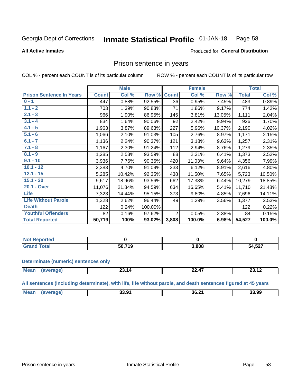#### Inmate Statistical Profile 01-JAN-18 Page 58

### **All Active Inmates**

### Produced for General Distribution

## Prison sentence in years

COL % - percent each COUNT is of its particular column

ROW % - percent each COUNT is of its particular row

|                                 |              | <b>Male</b> |         |                | <b>Female</b> |        |              | <b>Total</b> |
|---------------------------------|--------------|-------------|---------|----------------|---------------|--------|--------------|--------------|
| <b>Prison Sentence In Years</b> | <b>Count</b> | Col %       | Row %   | <b>Count</b>   | Col %         | Row %  | <b>Total</b> | Col %        |
| $0 - 1$                         | 447          | 0.88%       | 92.55%  | 36             | 0.95%         | 7.45%  | 483          | 0.89%        |
| $1.1 - 2$                       | 703          | 1.39%       | 90.83%  | 71             | 1.86%         | 9.17%  | 774          | 1.42%        |
| $2.1 - 3$                       | 966          | 1.90%       | 86.95%  | 145            | 3.81%         | 13.05% | 1,111        | 2.04%        |
| $3.1 - 4$                       | 834          | 1.64%       | 90.06%  | 92             | 2.42%         | 9.94%  | 926          | 1.70%        |
| $4.1 - 5$                       | 1,963        | 3.87%       | 89.63%  | 227            | 5.96%         | 10.37% | 2,190        | 4.02%        |
| $5.1 - 6$                       | 1,066        | 2.10%       | 91.03%  | 105            | 2.76%         | 8.97%  | 1,171        | 2.15%        |
| $6.1 - 7$                       | 1,136        | 2.24%       | 90.37%  | 121            | 3.18%         | 9.63%  | 1,257        | 2.31%        |
| $7.1 - 8$                       | 1,167        | 2.30%       | 91.24%  | 112            | 2.94%         | 8.76%  | 1,279        | 2.35%        |
| $8.1 - 9$                       | 1,285        | 2.53%       | 93.59%  | 88             | 2.31%         | 6.41%  | 1,373        | 2.52%        |
| $9.1 - 10$                      | 3,936        | 7.76%       | 90.36%  | 420            | 11.03%        | 9.64%  | 4,356        | 7.99%        |
| $10.1 - 12$                     | 2,383        | 4.70%       | 91.09%  | 233            | 6.12%         | 8.91%  | 2,616        | 4.80%        |
| $12.1 - 15$                     | 5,285        | 10.42%      | 92.35%  | 438            | 11.50%        | 7.65%  | 5,723        | 10.50%       |
| $15.1 - 20$                     | 9,617        | 18.96%      | 93.56%  | 662            | 17.38%        | 6.44%  | 10,279       | 18.85%       |
| 20.1 - Over                     | 11,076       | 21.84%      | 94.59%  | 634            | 16.65%        | 5.41%  | 11,710       | 21.48%       |
| <b>Life</b>                     | 7,323        | 14.44%      | 95.15%  | 373            | 9.80%         | 4.85%  | 7,696        | 14.11%       |
| <b>Life Without Parole</b>      | 1,328        | 2.62%       | 96.44%  | 49             | 1.29%         | 3.56%  | 1,377        | 2.53%        |
| <b>Death</b>                    | 122          | 0.24%       | 100.00% |                |               |        | 122          | 0.22%        |
| <b>Youthful Offenders</b>       | 82           | 0.16%       | 97.62%  | $\overline{2}$ | 0.05%         | 2.38%  | 84           | 0.15%        |
| <b>Total Reported</b>           | 50,719       | 100%        | 93.02%  | 3,808          | 100.0%        | 6.98%  | 54,527       | 100.0%       |

| <b>Reported</b><br>I NOT |                      |       |        |
|--------------------------|----------------------|-------|--------|
|                          | 50 74 O<br>50<br>- - | 8,808 | 54,527 |

### **Determinate (numeric) sentences only**

| <b>Me:</b><br>$\overline{\phantom{a}}$<br><br>10<br><br>_____ |  |  |  |
|---------------------------------------------------------------|--|--|--|
|                                                               |  |  |  |

All sentences (including determinate), with life, life without parole, and death sentences figured at 45 years

| <b>Mear</b><br>36.21<br>33.99<br>∍ מפ<br>. .<br>ت. ب<br>___ |  |  |  |
|-------------------------------------------------------------|--|--|--|
|                                                             |  |  |  |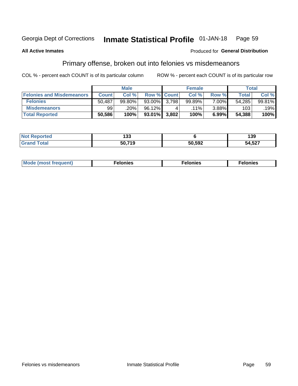### Inmate Statistical Profile 01-JAN-18 Page 59

### **All Active Inmates**

## Produced for General Distribution

# Primary offense, broken out into felonies vs misdemeanors

COL % - percent each COUNT is of its particular column

|                                  |              | <b>Male</b> |           |                    | <b>Female</b> |          | Total  |        |
|----------------------------------|--------------|-------------|-----------|--------------------|---------------|----------|--------|--------|
| <b>Felonies and Misdemeanors</b> | <b>Count</b> | Col%        |           | <b>Row % Count</b> | Col%          | Row %    | Total, | Col %  |
| <b>Felonies</b>                  | 50,487       | 99.80%      | $93.00\%$ | 3.798              | 99.89%        | $7.00\%$ | 54,285 | 99.81% |
| <b>Misdemeanors</b>              | 99           | .20%        | 96.12%    |                    | $.11\%$       | $3.88\%$ | 103    | .19%   |
| <b>Total Reported</b>            | 50,586       | 100%        | $93.01\%$ | 3,802              | 100%          | 6.99%    | 54,388 | 100%   |

| Not<br>ted | ,,,<br>טט ו    |        | 39            |
|------------|----------------|--------|---------------|
| ⊺otar      | $-0.740$<br>ວບ | 50,592 | ドヘブ<br>54,527 |

| Mo | ____ | 11 C.S<br>. | onies<br>. |
|----|------|-------------|------------|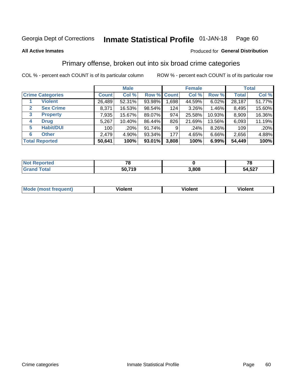### Inmate Statistical Profile 01-JAN-18 Page 60

**All Active Inmates** 

## Produced for General Distribution

# Primary offense, broken out into six broad crime categories

COL % - percent each COUNT is of its particular column

|                                 |              | <b>Male</b> |        |             | <b>Female</b> |        |              | <b>Total</b> |
|---------------------------------|--------------|-------------|--------|-------------|---------------|--------|--------------|--------------|
| <b>Crime Categories</b>         | <b>Count</b> | Col %       |        | Row % Count | Col %         | Row %  | <b>Total</b> | Col %        |
| <b>Violent</b>                  | 26,489       | 52.31%      | 93.98% | 1,698       | 44.59%        | 6.02%  | 28,187       | 51.77%       |
| <b>Sex Crime</b><br>2           | 8,371        | 16.53%      | 98.54% | 124         | $3.26\%$      | 1.46%  | 8,495        | 15.60%       |
| $\mathbf{3}$<br><b>Property</b> | 7,935        | 15.67%      | 89.07% | 974         | 25.58%        | 10.93% | 8,909        | 16.36%       |
| <b>Drug</b><br>4                | 5,267        | 10.40%      | 86.44% | 826         | 21.69%        | 13.56% | 6,093        | 11.19%       |
| <b>Habit/DUI</b><br>5           | 100          | .20%        | 91.74% | 9           | .24%          | 8.26%  | 109          | .20%         |
| <b>Other</b><br>6               | 2,479        | 4.90%       | 93.34% | 177         | 4.65%         | 6.66%  | 2,656        | 4.88%        |
| <b>Total Reported</b>           | 50,641       | 100%        | 93.01% | 3,808       | 100%          | 6.99%  | 54,449       | 100%         |

| rtea<br>NO |              |      | 70<br>$\mathbf \sigma$ |
|------------|--------------|------|------------------------|
| Eata       | .719<br>50,7 | 808, | 54,527                 |

| Mo<br>uent)<br>nos | .<br>/iolent | <br>Violent | - --<br><b>Tiolent</b> |
|--------------------|--------------|-------------|------------------------|
|                    |              |             |                        |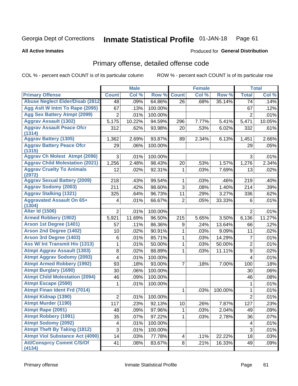### Inmate Statistical Profile 01-JAN-18 Page 61

### **All Active Inmates**

## **Produced for General Distribution**

# Primary offense, detailed offense code

COL % - percent each COUNT is of its particular column

|                                            |                | <b>Male</b> |         |                | <b>Female</b> |         |                | <b>Total</b> |
|--------------------------------------------|----------------|-------------|---------|----------------|---------------|---------|----------------|--------------|
| <b>Primary Offense</b>                     | <b>Count</b>   | Col %       | Row %   | <b>Count</b>   | Col %         | Row %   | <b>Total</b>   | Col %        |
| <b>Abuse Neglect Elder/Disab (2812)</b>    | 48             | .09%        | 64.86%  | 26             | .68%          | 35.14%  | 74             | .14%         |
| Agg Aslt W Intnt To Rape (2095)            | 67             | .13%        | 100.00% |                |               |         | 67             | .12%         |
| <b>Agg Sex Battery Atmpt (2099)</b>        | $\overline{2}$ | .01%        | 100.00% |                |               |         | 2              | .01%         |
| <b>Aggrav Assault (1302)</b>               | 5,175          | 10.22%      | 94.59%  | 296            | 7.77%         | 5.41%   | 5,471          | 10.05%       |
| <b>Aggrav Assault Peace Ofcr</b><br>(1314) | 312            | .62%        | 93.98%  | 20             | .53%          | 6.02%   | 332            | .61%         |
| <b>Aggrav Battery (1305)</b>               | 1,362          | 2.69%       | 93.87%  | 89             | 2.34%         | 6.13%   | 1,451          | 2.66%        |
| <b>Aggrav Battery Peace Ofcr</b><br>(1315) | 29             | .06%        | 100.00% |                |               |         | 29             | .05%         |
| <b>Aggrav Ch Molest Atmpt (2096)</b>       | 3              | .01%        | 100.00% |                |               |         | 3              | .01%         |
| <b>Aggrav Child Molestation (2021)</b>     | 1,256          | 2.48%       | 98.43%  | 20             | .53%          | 1.57%   | 1,276          | 2.34%        |
| <b>Aggrav Cruelty To Animals</b><br>(2972) | 12             | .02%        | 92.31%  | 1              | .03%          | 7.69%   | 13             | .02%         |
| <b>Aggrav Sexual Battery (2009)</b>        | 218            | .43%        | 99.54%  | 1              | .03%          | .46%    | 219            | .40%         |
| <b>Aggrav Sodomy (2003)</b>                | 211            | .42%        | 98.60%  | 3              | .08%          | 1.40%   | 214            | .39%         |
| <b>Aggrav Stalking (1321)</b>              | 325            | .64%        | 96.73%  | 11             | .29%          | 3.27%   | 336            | .62%         |
| <b>Aggravated Assault On 65+</b><br>(1304) | $\overline{4}$ | .01%        | 66.67%  | $\overline{2}$ | .05%          | 33.33%  | 6              | .01%         |
| <b>Alter Id (1506)</b>                     | $\overline{2}$ | .01%        | 100.00% |                |               |         | $\overline{2}$ | .01%         |
| <b>Armed Robbery (1902)</b>                | 5,921          | 11.69%      | 96.50%  | 215            | 5.65%         | 3.50%   | 6,136          | 11.27%       |
| Arson 1st Degree (1401)                    | 57             | .11%        | 86.36%  | 9              | .24%          | 13.64%  | 66             | .12%         |
| <b>Arson 2nd Degree (1402)</b>             | 10             | .02%        | 90.91%  | 1              | .03%          | 9.09%   | 11             | .02%         |
| <b>Arson 3rd Degree (1403)</b>             | 6              | .01%        | 85.71%  | 1              | .03%          | 14.29%  | $\overline{7}$ | .01%         |
| Ass W/ Int Transmit Hiv (1313)             | 1              | .01%        | 50.00%  | 1              | .03%          | 50.00%  | $\overline{2}$ | .01%         |
| <b>Atmpt Aggrav Assault (1303)</b>         | 8              | .02%        | 88.89%  | 1              | .03%          | 11.11%  | 9              | .02%         |
| <b>Atmpt Aggrav Sodomy (2093)</b>          | 4              | .01%        | 100.00% |                |               |         | $\overline{4}$ | .01%         |
| <b>Atmpt Armed Robbery (1992)</b>          | 93             | .18%        | 93.00%  | 7              | .18%          | 7.00%   | 100            | .18%         |
| <b>Atmpt Burglary (1690)</b>               | 30             | .06%        | 100.00% |                |               |         | 30             | .06%         |
| <b>Atmpt Child Molestation (2094)</b>      | 46             | .09%        | 100.00% |                |               |         | 46             | .08%         |
| <b>Atmpt Escape (2590)</b>                 | 1              | .01%        | 100.00% |                |               |         | 1              | .01%         |
| <b>Atmpt Finan Ident Frd (7014)</b>        |                |             |         | 1              | .03%          | 100.00% | 1              | .01%         |
| <b>Atmpt Kidnap (1390)</b>                 | $\overline{2}$ | .01%        | 100.00% |                |               |         | 2              | .01%         |
| <b>Atmpt Murder (1190)</b>                 | 117            | .23%        | 92.13%  | $10$           | .26%          | 7.87%   | 127            | .23%         |
| Atmpt Rape (2091)                          | 48             | .09%        | 97.96%  | 1              | .03%          | 2.04%   | 49             | .09%         |
| <b>Atmpt Robbery (1991)</b>                | 35             | .07%        | 97.22%  | 1              | .03%          | 2.78%   | 36             | .07%         |
| <b>Atmpt Sodomy (2092)</b>                 | 4              | .01%        | 100.00% |                |               |         | 4              | .01%         |
| <b>Atmpt Theft By Taking (1812)</b>        | 3              | .01%        | 100.00% |                |               |         | 3              | .01%         |
| <b>Atmpt Viol Substance Act (4090)</b>     | 14             | .03%        | 77.78%  | 4              | .11%          | 22.22%  | 18             | .03%         |
| <b>Att/Consprcy Commt C/S/Of</b><br>(4134) | 41             | .08%        | 83.67%  | 8              | .21%          | 16.33%  | 49             | .09%         |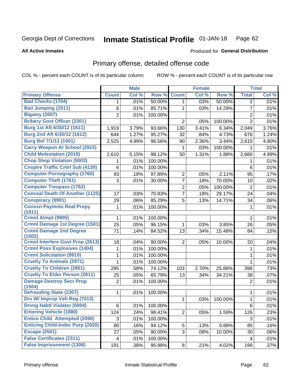#### **Inmate Statistical Profile 01-JAN-18** Page 62

### **All Active Inmates**

## Produced for General Distribution

# Primary offense, detailed offense code

COL % - percent each COUNT is of its particular column

|                                                   |                | <b>Male</b> |         |                | <b>Female</b> |         |                | <b>Total</b> |
|---------------------------------------------------|----------------|-------------|---------|----------------|---------------|---------|----------------|--------------|
| <b>Primary Offense</b>                            | <b>Count</b>   | Col %       | Row %   | <b>Count</b>   | Col %         | Row %   | <b>Total</b>   | Col %        |
| <b>Bad Checks (1704)</b>                          | 1.             | .01%        | 50.00%  | $\mathbf{1}$   | .03%          | 50.00%  | $\overline{2}$ | .01%         |
| <b>Bail Jumping (2511)</b>                        | 6              | .01%        | 85.71%  | 1              | .03%          | 14.29%  | $\overline{7}$ | .01%         |
| <b>Bigamy (2007)</b>                              | $\overline{2}$ | .01%        | 100.00% |                |               |         | $\overline{2}$ | .01%         |
| <b>Bribery Govt Officer (2301)</b>                |                |             |         | $\overline{2}$ | .05%          | 100.00% | $\overline{2}$ | .01%         |
| Burg 1st Aft 6/30/12 (1611)                       | 1,919          | 3.79%       | 93.66%  | 130            | 3.41%         | 6.34%   | 2,049          | 3.76%        |
| Burg 2nd Aft 6/30/12 (1612)                       | 644            | 1.27%       | 95.27%  | 32             | .84%          | 4.73%   | 676            | 1.24%        |
| Burg Bef 7/1/12 (1601)                            | 2,525          | 4.99%       | 96.56%  | 90             | 2.36%         | 3.44%   | 2,615          | 4.80%        |
| <b>Carry Weapon At School (2915)</b>              |                |             |         | 1              | .03%          | 100.00% | 1              | .01%         |
| <b>Child Molestation (2019)</b>                   | 2,610          | 5.15%       | 98.12%  | 50             | 1.31%         | 1.88%   | 2,660          | 4.89%        |
| <b>Chop Shop Violation (5003)</b>                 | 1              | .01%        | 100.00% |                |               |         | 1              | .01%         |
| <b>Cnspire Traffic Cntrl Sub (4130)</b>           | 6              | .01%        | 100.00% |                |               |         | 6              | .01%         |
| <b>Computer Pornography (1760)</b>                | 93             | .18%        | 97.89%  | $\overline{2}$ | .05%          | 2.11%   | 95             | .17%         |
| <b>Computer Theft (1761)</b>                      | 3              | .01%        | 30.00%  | $\overline{7}$ | .18%          | 70.00%  | 10             | .02%         |
| <b>Computer Trespass (1762)</b>                   |                |             |         | $\overline{2}$ | .05%          | 100.00% | $\mathbf 2$    | .01%         |
| <b>Conceal Death Of Another (1125)</b>            | 17             | .03%        | 70.83%  | 7              | .18%          | 29.17%  | 24             | .04%         |
| <b>Conspiracy (9901)</b>                          | 29             | .06%        | 85.29%  | 5              | .13%          | 14.71%  | 34             | .06%         |
| <b>Convsn Paymnts Real Propy</b><br>(1811)        | $\mathbf{1}$   | .01%        | 100.00% |                |               |         | 1              | .01%         |
| Crmnl Atmpt (9905)                                | 1              | .01%        | 100.00% |                |               |         | 1              | .01%         |
| <b>Crmnl Damage 1st Degree (1501)</b>             | 25             | .05%        | 96.15%  | 1              | .03%          | 3.85%   | 26             | .05%         |
| <b>Crmnl Damage 2nd Degree</b>                    | 71             | .14%        | 84.52%  | 13             | .34%          | 15.48%  | 84             | .15%         |
| (1502)<br><b>Crmnl Interfere Govt Prop (2613)</b> | 18             | .04%        | 90.00%  | $\overline{2}$ | .05%          | 10.00%  | 20             | .04%         |
| <b>Crmnl Poss Explosives (1404)</b>               | 1              | .01%        | 100.00% |                |               |         |                | .01%         |
| <b>Crmnl Solicitation (9910)</b>                  | 1              | .01%        | 100.00% |                |               |         | 1<br>1         | .01%         |
| <b>Cruelty To Animals (2971)</b>                  | 1              | .01%        | 100.00% |                |               |         | 1              | .01%         |
| <b>Cruelty To Children (2801)</b>                 | 295            | .58%        | 74.12%  | 103            | 2.70%         | 25.88%  | 398            | .73%         |
| <b>Cruelty To Elder Person (2811)</b>             | 25             | .05%        | 65.79%  | 13             | .34%          | 34.21%  | 38             | .07%         |
| <b>Damage Destroy Secr Prop</b>                   | $\mathbf 2$    | .01%        | 100.00% |                |               |         | $\overline{2}$ | .01%         |
| (1504)                                            |                |             |         |                |               |         |                |              |
| <b>Defrauding State (2307)</b>                    | 1              | .01%        | 100.00% |                |               |         | $\mathbf 1$    | .01%         |
| Drv W/ Improp Veh Reg (7013)                      |                |             |         | 1              | .03%          | 100.00% | 1              | .01%         |
| <b>Drvng Habtl Violator (5004)</b>                | $\,6$          | .01%        | 100.00% |                |               |         | 6              | .01%         |
| <b>Entering Vehicle (1880)</b>                    | 124            | .24%        | 98.41%  | $\overline{2}$ | .05%          | 1.59%   | 126            | .23%         |
| <b>Entice Child Attempted (2090)</b>              | 3              | .01%        | 100.00% |                |               |         | 3              | .01%         |
| <b>Enticing Child-Indec Purp (2020)</b>           | 80             | .16%        | 94.12%  | 5              | .13%          | 5.88%   | 85             | .16%         |
| <b>Escape (2501)</b>                              | 27             | .05%        | 90.00%  | 3              | .08%          | 10.00%  | 30             | .06%         |
| <b>False Certificates (2311)</b>                  | 4              | .01%        | 100.00% |                |               |         | 4              | .01%         |
| <b>False Imprisonment (1308)</b>                  | 191            | .38%        | 95.98%  | 8              | .21%          | 4.02%   | 199            | .37%         |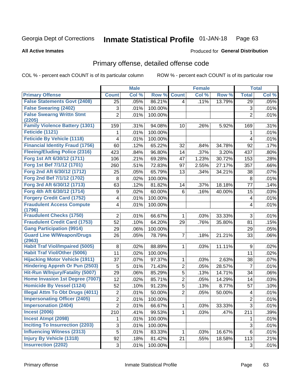### Inmate Statistical Profile 01-JAN-18 Page 63

### **All Active Inmates**

## **Produced for General Distribution**

# Primary offense, detailed offense code

COL % - percent each COUNT is of its particular column

|                                                  |                | <b>Male</b> |         |                | <b>Female</b> |        |                | <b>Total</b> |
|--------------------------------------------------|----------------|-------------|---------|----------------|---------------|--------|----------------|--------------|
| <b>Primary Offense</b>                           | <b>Count</b>   | Col %       | Row %   | <b>Count</b>   | Col %         | Row %  | <b>Total</b>   | Col %        |
| <b>False Statements Govt (2408)</b>              | 25             | .05%        | 86.21%  | $\overline{4}$ | .11%          | 13.79% | 29             | .05%         |
| <b>False Swearing (2402)</b>                     | 3              | .01%        | 100.00% |                |               |        | 3              | .01%         |
| <b>False Swearng Writtn Stmt</b>                 | $\overline{2}$ | .01%        | 100.00% |                |               |        | $\overline{2}$ | .01%         |
| (2205)<br><b>Family Violence Battery (1301)</b>  | 159            | .31%        | 94.08%  | 10             | .26%          | 5.92%  | 169            | .31%         |
| Feticide (1121)                                  | 1              | .01%        | 100.00% |                |               |        | 1              | .01%         |
| <b>Feticide By Vehicle (1118)</b>                | 4              | .01%        | 100.00% |                |               |        | 4              | .01%         |
| <b>Financial Identity Fraud (1756)</b>           | 60             | .12%        | 65.22%  | 32             | .84%          | 34.78% | 92             | .17%         |
| <b>Fleeing/Eluding Police (2316)</b>             | 423            | .84%        | 96.80%  | 14             | .37%          | 3.20%  | 437            | .80%         |
| Forg 1st Aft 6/30/12 (1711)                      | 106            | .21%        | 69.28%  | 47             | 1.23%         | 30.72% | 153            | .28%         |
| Forg 1st Bef 7/1/12 (1701)                       | 260            | .51%        | 72.83%  | 97             | 2.55%         | 27.17% | 357            | .66%         |
| Forg 2nd Aft 6/30/12 (1712)                      | 25             | .05%        | 65.79%  | 13             | .34%          | 34.21% | 38             | .07%         |
| Forg 2nd Bef 7/1/12 (1702)                       | 8              | .02%        | 100.00% |                |               |        | 8              | .01%         |
| Forg 3rd Aft 6/30/12 (1713)                      | 63             | .12%        | 81.82%  | 14             | .37%          | 18.18% | 77             | .14%         |
| Forg 4th Aft 6/30/12 (1714)                      | 9              | .02%        | 60.00%  | 6              | .16%          | 40.00% | 15             | .03%         |
| <b>Forgery Credit Card (1752)</b>                | 4              | .01%        | 100.00% |                |               |        | 4              | .01%         |
| <b>Fraudulent Access Compute</b>                 | 4              | .01%        | 100.00% |                |               |        | 4              | .01%         |
| (1796)                                           |                |             |         |                |               |        |                |              |
| <b>Fraudulent Checks (1750)</b>                  | $\overline{2}$ | .01%        | 66.67%  | 1              | .03%          | 33.33% | 3              | .01%         |
| <b>Fraudulent Credit Card (1753)</b>             | 52             | .10%        | 64.20%  | 29             | .76%          | 35.80% | 81             | .15%         |
| <b>Gang Participation (9914)</b>                 | 29             | .06%        | 100.00% |                |               |        | 29             | .05%         |
| <b>Guard Line W/Weapon/Drugs</b>                 | 26             | .05%        | 78.79%  | $\overline{7}$ | .18%          | 21.21% | 33             | .06%         |
| (2963)<br><b>Habit Traf Viol/Impaired (5005)</b> | 8              | .02%        | 88.89%  | 1              | .03%          | 11.11% | 9              | .02%         |
| <b>Habit Traf Viol/Other (5006)</b>              | 11             | .02%        | 100.00% |                |               |        | 11             | .02%         |
| <b>Hijacking Motor Vehicle (1911)</b>            | 37             | .07%        | 97.37%  | 1              | .03%          | 2.63%  | 38             | .07%         |
| <b>Hindering Appreh Or Pun (2503)</b>            | 5              | .01%        | 71.43%  | $\overline{2}$ | .05%          | 28.57% | 7              | .01%         |
| Hit-Run W/Injury/Fatality (5007)                 | 29             | .06%        | 85.29%  | 5              | .13%          | 14.71% | 34             | .06%         |
| Home Invasion 1st Degree (7007)                  | 12             | .02%        | 85.71%  | $\overline{2}$ | .05%          | 14.29% | 14             | .03%         |
| <b>Homicide By Vessel (1124)</b>                 | 52             | .10%        | 91.23%  | $\overline{5}$ | .13%          | 8.77%  | 57             | .10%         |
| <b>Illegal Attm To Obt Drugs (4011)</b>          | $\overline{2}$ | .01%        | 50.00%  | $\overline{2}$ | .05%          | 50.00% | 4              | .01%         |
| <b>Impersonating Officer (2405)</b>              | $\overline{2}$ | .01%        | 100.00% |                |               |        | $\overline{2}$ | .01%         |
| <b>Impersonation (2404)</b>                      | 2              | .01%        | 66.67%  | $\mathbf{1}$   | .03%          | 33.33% | 3              | .01%         |
| <b>Incest (2006)</b>                             | 210            | .41%        | 99.53%  | 1              | .03%          | .47%   | 211            | .39%         |
| <b>Incest Atmpt (2098)</b>                       | 1              | .01%        | 100.00% |                |               |        | 1              | .01%         |
| <b>Inciting To Insurrection (2203)</b>           | 3              | .01%        | 100.00% |                |               |        | 3              | .01%         |
| <b>Influencing Witness (2313)</b>                | 5              | .01%        | 83.33%  | 1              | .03%          | 16.67% | 6              | .01%         |
| <b>Injury By Vehicle (1318)</b>                  | 92             | .18%        | 81.42%  | 21             | .55%          | 18.58% | 113            | .21%         |
| <b>Insurrection (2202)</b>                       | 3              | .01%        | 100.00% |                |               |        | 3              | .01%         |
|                                                  |                |             |         |                |               |        |                |              |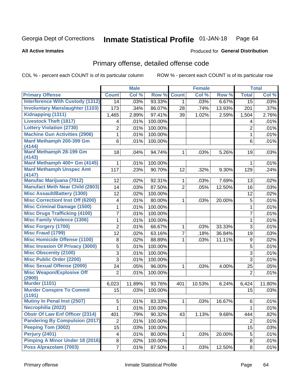### Inmate Statistical Profile 01-JAN-18 Page 64

### **All Active Inmates**

## **Produced for General Distribution**

# Primary offense, detailed offense code

COL % - percent each COUNT is of its particular column

|                                            |                | <b>Male</b> |         |                | <b>Female</b> |        |                 | <b>Total</b> |
|--------------------------------------------|----------------|-------------|---------|----------------|---------------|--------|-----------------|--------------|
| <b>Primary Offense</b>                     | <b>Count</b>   | Col %       | Row %   | <b>Count</b>   | Col %         | Row %  | <b>Total</b>    | Col %        |
| <b>Interference With Custody (1312)</b>    | 14             | .03%        | 93.33%  | $\mathbf{1}$   | .03%          | 6.67%  | $\overline{15}$ | .03%         |
| <b>Involuntary Manslaughter (1103)</b>     | 173            | .34%        | 86.07%  | 28             | .74%          | 13.93% | 201             | .37%         |
| Kidnapping (1311)                          | 1,465          | 2.89%       | 97.41%  | 39             | 1.02%         | 2.59%  | 1,504           | 2.76%        |
| <b>Livestock Theft (1817)</b>              | 4              | .01%        | 100.00% |                |               |        | 4               | .01%         |
| <b>Lottery Violation (2730)</b>            | $\overline{2}$ | .01%        | 100.00% |                |               |        | $\overline{2}$  | .01%         |
| <b>Machine Gun Activities (2906)</b>       | 1              | .01%        | 100.00% |                |               |        | 1               | .01%         |
| Manf Methamph 200-399 Gm<br>(4144)         | 6              | .01%        | 100.00% |                |               |        | 6               | .01%         |
| <b>Manf Methamph 28-199 Gm</b><br>(4143)   | 18             | .04%        | 94.74%  | 1              | .03%          | 5.26%  | 19              | .03%         |
| Manf Methamph 400+ Gm (4145)               | 1              | .01%        | 100.00% |                |               |        | 1               | .01%         |
| <b>Manf Methamph Unspec Amt</b><br>(4147)  | 117            | .23%        | 90.70%  | 12             | .32%          | 9.30%  | 129             | .24%         |
| <b>Manufac Marijuana (7012)</b>            | 12             | .02%        | 92.31%  | $\mathbf{1}$   | .03%          | 7.69%  | 13              | .02%         |
| <b>Manufact Meth Near Child (2803)</b>     | 14             | .03%        | 87.50%  | $\overline{2}$ | .05%          | 12.50% | 16              | .03%         |
| <b>Misc Assault/Battery (1300)</b>         | 12             | .02%        | 100.00% |                |               |        | 12              | .02%         |
| <b>Misc Correctionl Inst Off (6200)</b>    | 4              | .01%        | 80.00%  | 1              | .03%          | 20.00% | 5               | .01%         |
| <b>Misc Criminal Damage (1500)</b>         | 1              | .01%        | 100.00% |                |               |        | 1               | .01%         |
| <b>Misc Drugs Trafficking (4100)</b>       | 7              | .01%        | 100.00% |                |               |        | $\overline{7}$  | .01%         |
| <b>Misc Family Violence (1306)</b>         | 1              | .01%        | 100.00% |                |               |        | 1               | .01%         |
| <b>Misc Forgery (1700)</b>                 | $\overline{2}$ | .01%        | 66.67%  | 1              | .03%          | 33.33% | 3               | .01%         |
| <b>Misc Fraud (1799)</b>                   | 12             | .02%        | 63.16%  | 7              | .18%          | 36.84% | 19              | .03%         |
| <b>Misc Homicide Offense (1100)</b>        | 8              | .02%        | 88.89%  | 1              | .03%          | 11.11% | 9               | .02%         |
| <b>Misc Invasion Of Privacy (3000)</b>     | 5              | .01%        | 100.00% |                |               |        | 5               | .01%         |
| <b>Misc Obscenity (2100)</b>               | $\overline{3}$ | .01%        | 100.00% |                |               |        | 3               | .01%         |
| <b>Misc Public Order (2200)</b>            | 3              | .01%        | 100.00% |                |               |        | 3               | .01%         |
| <b>Misc Sexual Offense (2000)</b>          | 24             | .05%        | 96.00%  | $\mathbf 1$    | .03%          | 4.00%  | 25              | .05%         |
| <b>Misc Weapon/Explosive Off</b><br>(2900) | $\overline{2}$ | .01%        | 100.00% |                |               |        | $\overline{2}$  | .01%         |
| <b>Murder (1101)</b>                       | 6,023          | 11.89%      | 93.76%  | 401            | 10.53%        | 6.24%  | 6,424           | 11.80%       |
| <b>Murder Conspire To Commit</b><br>(1191) | 15             | .03%        | 100.00% |                |               |        | 15              | .03%         |
| <b>Mutiny In Penal Inst (2507)</b>         | 5              | .01%        | 83.33%  | $\mathbf{1}$   | .03%          | 16.67% | 6               | .01%         |
| Necrophilia (2022)                         | 1              | .01%        | 100.00% |                |               |        | 1               | .01%         |
| <b>Obstr Of Law Enf Officer (2314)</b>     | 401            | .79%        | 90.32%  | 43             | 1.13%         | 9.68%  | 444             | .82%         |
| <b>Pandering By Compulsion (2017)</b>      | $\overline{2}$ | .01%        | 100.00% |                |               |        | $\overline{2}$  | .01%         |
| Peeping Tom (3002)                         | 15             | .03%        | 100.00% |                |               |        | 15              | .03%         |
| Perjury (2401)                             | 4              | .01%        | 80.00%  | 1              | .03%          | 20.00% | 5               | .01%         |
| <b>Pimping A Minor Under 18 (2016)</b>     | 8              | .02%        | 100.00% |                |               |        | 8               | .01%         |
| Poss Alprazolam (7003)                     | $\overline{7}$ | .01%        | 87.50%  | $\mathbf{1}$   | .03%          | 12.50% | 8               | .01%         |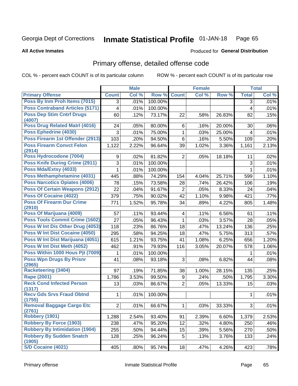### Inmate Statistical Profile 01-JAN-18 Page 65

**All Active Inmates** 

## **Produced for General Distribution**

# Primary offense, detailed offense code

COL % - percent each COUNT is of its particular column

|                                            |                         | <b>Male</b> |         |                         | <b>Female</b> |        |              | <b>Total</b> |
|--------------------------------------------|-------------------------|-------------|---------|-------------------------|---------------|--------|--------------|--------------|
| <b>Primary Offense</b>                     | <b>Count</b>            | Col %       | Row %   | <b>Count</b>            | Col %         | Row %  | <b>Total</b> | Col %        |
| Poss By Inm Proh Items (7015)              | 3                       | .01%        | 100.00% |                         |               |        | 3            | .01%         |
| <b>Poss Contraband Articles (5171)</b>     | $\overline{\mathbf{4}}$ | .01%        | 100.00% |                         |               |        | 4            | .01%         |
| <b>Poss Dep Stim Cntrf Drugs</b><br>(4007) | 60                      | .12%        | 73.17%  | 22                      | .58%          | 26.83% | 82           | .15%         |
| Poss Drug Related Matrl (4016)             | 24                      | .05%        | 80.00%  | 6                       | .16%          | 20.00% | 30           | .06%         |
| Poss Ephedrine (4030)                      | 3                       | .01%        | 75.00%  | 1                       | .03%          | 25.00% | 4            | .01%         |
| Poss Firearm 1st Offender (2913)           | 103                     | .20%        | 94.50%  | 6                       | .16%          | 5.50%  | 109          | .20%         |
| <b>Poss Firearm Convct Felon</b><br>(2914) | 1,122                   | 2.22%       | 96.64%  | 39                      | 1.02%         | 3.36%  | 1,161        | 2.13%        |
| Poss Hydrocodone (7004)                    | 9                       | .02%        | 81.82%  | $\overline{2}$          | .05%          | 18.18% | 11           | .02%         |
| <b>Poss Knife During Crime (2911)</b>      | 3                       | .01%        | 100.00% |                         |               |        | 3            | .01%         |
| Poss Mda/Extsy (4033)                      | 1                       | .01%        | 100.00% |                         |               |        | $\mathbf{1}$ | .01%         |
| Poss Methamphetamine (4031)                | 445                     | .88%        | 74.29%  | 154                     | 4.04%         | 25.71% | 599          | 1.10%        |
| <b>Poss Narcotics Opiates (4006)</b>       | 78                      | .15%        | 73.58%  | 28                      | .74%          | 26.42% | 106          | .19%         |
| <b>Poss Of Certain Weapons (2912)</b>      | 22                      | .04%        | 91.67%  | $\overline{2}$          | .05%          | 8.33%  | 24           | .04%         |
| <b>Poss Of Cocaine (4022)</b>              | 379                     | .75%        | 90.02%  | 42                      | 1.10%         | 9.98%  | 421          | .77%         |
| <b>Poss Of Firearm Dur Crime</b><br>(2910) | 771                     | 1.52%       | 95.78%  | 34                      | .89%          | 4.22%  | 805          | 1.48%        |
| Poss Of Marijuana (4009)                   | 57                      | .11%        | 93.44%  | $\overline{\mathbf{4}}$ | .11%          | 6.56%  | 61           | .11%         |
| <b>Poss Tools Commit Crime (1602)</b>      | 27                      | .05%        | 96.43%  | 1                       | .03%          | 3.57%  | 28           | .05%         |
| Poss W Int Dis Other Drug (4053)           | 118                     | .23%        | 86.76%  | 18                      | .47%          | 13.24% | 136          | .25%         |
| <b>Poss W Int Dist Cocaine (4050)</b>      | 295                     | .58%        | 94.25%  | 18                      | .47%          | 5.75%  | 313          | .57%         |
| Poss W Int Dist Marijuana (4051)           | 615                     | 1.21%       | 93.75%  | 41                      | 1.08%         | 6.25%  | 656          | 1.20%        |
| Poss W Int Dist Meth (4052)                | 462                     | .91%        | 79.93%  | 116                     | 3.05%         | 20.07% | 578          | 1.06%        |
| Poss Within 1000 Hous Pjt (7009)           | 1                       | .01%        | 100.00% |                         |               |        | 1            | .01%         |
| <b>Poss Wpn Drugs By Prisnr</b><br>(2965)  | 41                      | .08%        | 93.18%  | 3                       | .08%          | 6.82%  | 44           | .08%         |
| <b>Racketeering (3404)</b>                 | 97                      | .19%        | 71.85%  | 38                      | 1.00%         | 28.15% | 135          | .25%         |
| <b>Rape (2001)</b>                         | 1,786                   | 3.53%       | 99.50%  | 9                       | .24%          | .50%   | 1,795        | 3.30%        |
| <b>Reck Cond Infected Person</b>           | 13                      | .03%        | 86.67%  | $\overline{2}$          | .05%          | 13.33% | 15           | .03%         |
| (1317)                                     |                         |             |         |                         |               |        |              |              |
| <b>Recy Gds Srvs Fraud Obtnd</b><br>(1755) | $\mathbf{1}$            | .01%        | 100.00% |                         |               |        | 1            | .01%         |
| <b>Removal Baggage Cargo Etc</b><br>(2761) | 2                       | .01%        | 66.67%  | 1                       | .03%          | 33.33% | 3            | .01%         |
| <b>Robbery (1901)</b>                      | 1,288                   | 2.54%       | 93.40%  | 91                      | 2.39%         | 6.60%  | 1,379        | 2.53%        |
| <b>Robbery By Force (1903)</b>             | 238                     | .47%        | 95.20%  | 12                      | .32%          | 4.80%  | 250          | .46%         |
| <b>Robbery By Intimidation (1904)</b>      | 255                     | .50%        | 94.44%  | 15                      | .39%          | 5.56%  | 270          | .50%         |
| <b>Robbery By Sudden Snatch</b><br>(1905)  | 128                     | .25%        | 96.24%  | 5                       | .13%          | 3.76%  | 133          | .24%         |
| S/D Cocaine (4021)                         | 405                     | .80%        | 95.74%  | 18                      | .47%          | 4.26%  | 423          | .78%         |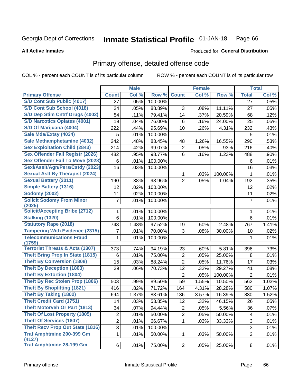### Inmate Statistical Profile 01-JAN-18 Page 66

### **All Active Inmates**

# **Produced for General Distribution**

# Primary offense, detailed offense code

COL % - percent each COUNT is of its particular column

|                                            |                           | <b>Male</b> |                  |                | <b>Female</b> |         |                | <b>Total</b> |
|--------------------------------------------|---------------------------|-------------|------------------|----------------|---------------|---------|----------------|--------------|
| <b>Primary Offense</b>                     | <b>Count</b>              | Col %       | Row <sup>%</sup> | <b>Count</b>   | Col %         | Row %   | <b>Total</b>   | Col %        |
| S/D Cont Sub Public (4017)                 | 27                        | .05%        | 100.00%          |                |               |         | 27             | .05%         |
| S/D Cont Sub School (4018)                 | 24                        | .05%        | 88.89%           | 3              | .08%          | 11.11%  | 27             | .05%         |
| S/D Dep Stim Cntrf Drugs (4002)            | 54                        | .11%        | 79.41%           | 14             | .37%          | 20.59%  | 68             | .12%         |
| <b>S/D Narcotics Opiates (4001)</b>        | 19                        | .04%        | 76.00%           | 6              | .16%          | 24.00%  | 25             | .05%         |
| S/D Of Marijuana (4004)                    | 222                       | .44%        | 95.69%           | 10             | .26%          | 4.31%   | 232            | .43%         |
| Sale Mda/Extsy (4034)                      | 5                         | .01%        | 100.00%          |                |               |         | 5              | .01%         |
| Sale Methamphetamine (4032)                | 242                       | .48%        | 83.45%           | 48             | 1.26%         | 16.55%  | 290            | .53%         |
| <b>Sex Exploitation Child (2843)</b>       | 214                       | .42%        | 99.07%           | $\overline{2}$ | .05%          | .93%    | 216            | .40%         |
| <b>Sex Offender Fail Registr (2026)</b>    | 482                       | .95%        | 98.77%           | 6              | .16%          | 1.23%   | 488            | .90%         |
| <b>Sex Offender Fail To Move (2028)</b>    | 6                         | .01%        | 100.00%          |                |               |         | 6              | .01%         |
| Sexl/Asslt/Agn/Pers/Cstdy (2023)           | 16                        | .03%        | 100.00%          |                |               |         | 16             | .03%         |
| <b>Sexual Aslt By Therapist (2024)</b>     |                           |             |                  | 1              | .03%          | 100.00% | 1              | .01%         |
| <b>Sexual Battery (2011)</b>               | 190                       | .38%        | 98.96%           | $\overline{2}$ | .05%          | 1.04%   | 192            | .35%         |
| <b>Simple Battery (1316)</b>               | 12                        | .02%        | 100.00%          |                |               |         | 12             | .02%         |
| <b>Sodomy (2002)</b>                       | 11                        | .02%        | 100.00%          |                |               |         | 11             | .02%         |
| <b>Solicit Sodomy From Minor</b>           | 7                         | .01%        | 100.00%          |                |               |         | $\overline{7}$ | .01%         |
| (2025)                                     |                           |             |                  |                |               |         |                |              |
| <b>Solicit/Accepting Bribe (2712)</b>      | 1                         | .01%        | 100.00%          |                |               |         | 1              | .01%         |
| <b>Stalking (1320)</b>                     | 6                         | .01%        | 100.00%          |                |               |         | 6              | .01%         |
| <b>Statutory Rape (2018)</b>               | 748                       | 1.48%       | 97.52%           | 19             | .50%          | 2.48%   | 767            | 1.41%        |
| <b>Tampering With Evidence (2315)</b>      | 7                         | .01%        | 70.00%           | 3              | .08%          | 30.00%  | 10             | .02%         |
| <b>Telecommunications Fraud</b><br>(1759)  | 1                         | .01%        | 100.00%          |                |               |         | 1              | .01%         |
| <b>Terrorist Threats &amp; Acts (1307)</b> | 373                       | .74%        | 94.19%           | 23             | .60%          | 5.81%   | 396            | .73%         |
| <b>Theft Bring Prop In State (1815)</b>    | 6                         | .01%        | 75.00%           | 2              | .05%          | 25.00%  | 8              | .01%         |
| <b>Theft By Conversion (1808)</b>          | 15                        | .03%        | 88.24%           | $\overline{2}$ | .05%          | 11.76%  | 17             | .03%         |
| <b>Theft By Deception (1803)</b>           | 29                        | .06%        | 70.73%           | 12             | .32%          | 29.27%  | 41             | .08%         |
| <b>Theft By Extortion (1804)</b>           |                           |             |                  | $\overline{2}$ | .05%          | 100.00% | $\overline{2}$ | .01%         |
| Theft By Rec Stolen Prop (1806)            | 503                       | .99%        | 89.50%           | 59             | 1.55%         | 10.50%  | 562            | 1.03%        |
| <b>Theft By Shoplifting (1821)</b>         | 416                       | .82%        | 71.72%           | 164            | 4.31%         | 28.28%  | 580            | 1.07%        |
| <b>Theft By Taking (1802)</b>              | 694                       | 1.37%       | 83.61%           | 136            | 3.57%         | 16.39%  | 830            | 1.52%        |
| <b>Theft Credit Card (1751)</b>            | 14                        | .03%        | 53.85%           | 12             | .32%          | 46.15%  | 26             | .05%         |
| <b>Theft Motorveh Or Part (1813)</b>       | 34                        | .07%        | 94.44%           | $\overline{c}$ | .05%          | 5.56%   | 36             | .07%         |
| <b>Theft Of Lost Property (1805)</b>       | $\overline{2}$            | .01%        | 50.00%           | $\overline{2}$ | .05%          | 50.00%  | 4              | .01%         |
| <b>Theft Of Services (1807)</b>            | $\overline{2}$            | .01%        | 66.67%           | 1              | .03%          | 33.33%  | $\sqrt{3}$     | .01%         |
| <b>Theft Recv Prop Out State (1816)</b>    | $\ensuremath{\mathsf{3}}$ | .01%        | 100.00%          |                |               |         | 3              | .01%         |
| <b>Traf Amphtmine 200-399 Gm</b><br>(4127) | 1                         | .01%        | 50.00%           | 1              | .03%          | 50.00%  | $\overline{2}$ | .01%         |
| <b>Traf Amphtmine 28-199 Gm</b>            | 6                         | .01%        | 75.00%           | 2              | .05%          | 25.00%  | 8              | .01%         |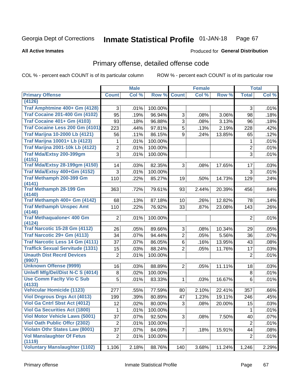### Inmate Statistical Profile 01-JAN-18 Page 67

### **All Active Inmates**

## **Produced for General Distribution**

# Primary offense, detailed offense code

COL % - percent each COUNT is of its particular column

|                                                |                      | <b>Male</b>  |                   |                | <b>Female</b> |                 |                | <b>Total</b> |
|------------------------------------------------|----------------------|--------------|-------------------|----------------|---------------|-----------------|----------------|--------------|
| <b>Primary Offense</b>                         | <b>Count</b>         | Col %        | Row %             | <b>Count</b>   | Col %         | Row %           | <b>Total</b>   | Col%         |
| (4126)                                         |                      |              |                   |                |               |                 |                |              |
| Traf Amphtmine 400+ Gm (4128)                  | 3                    | .01%         | 100.00%           |                |               |                 | 3              | .01%         |
| <b>Traf Cocaine 201-400 Gm (4102)</b>          | 95                   | .19%         | 96.94%            | 3              | .08%          | 3.06%           | 98             | .18%         |
| <b>Traf Cocaine 401+ Gm (4103)</b>             | 93                   | .18%         | 96.88%            | 3              | .08%          | 3.13%           | 96             | .18%         |
| Traf Cocaine Less 200 Gm (4101)                | 223                  | .44%         | 97.81%            | 5              | .13%          | 2.19%           | 228            | .42%         |
| <b>Traf Marijna 10-2000 Lb (4121)</b>          | 56                   | .11%         | 86.15%            | 9              | .24%          | 13.85%          | 65             | .12%         |
| <b>Traf Marijna 10001+ Lb (4123)</b>           | 1                    | .01%         | 100.00%           |                |               |                 | 1              | .01%         |
| <b>Traf Marijna 2001-10k Lb (4122)</b>         | 2                    | .01%         | 100.00%           |                |               |                 | 2              | .01%         |
| Traf Mda/Extsy 200-399gm<br>(4151)             | 3                    | .01%         | 100.00%           |                |               |                 | 3              | .01%         |
| <b>Traf Mda/Extsy 28-199gm (4150)</b>          | 14                   | .03%         | 82.35%            | 3              | .08%          | 17.65%          | 17             | .03%         |
| Traf Mda/Extsy 400+Gm (4152)                   | 3                    | .01%         | 100.00%           |                |               |                 | 3              | .01%         |
| Traf Methamph 200-399 Gm                       | 110                  | .22%         | 85.27%            | 19             | .50%          | 14.73%          | 129            | .24%         |
| (4141)                                         |                      |              |                   |                |               |                 |                |              |
| <b>Traf Methamph 28-199 Gm</b><br>(4140)       | 363                  | .72%         | 79.61%            | 93             | 2.44%         | 20.39%          | 456            | .84%         |
| Traf Methamph 400+ Gm (4142)                   | 68                   | .13%         | 87.18%            | 10             | .26%          | 12.82%          | 78             | .14%         |
| <b>Traf Methamph Unspec Amt</b>                | 110                  | .22%         | 76.92%            | 33             | .87%          | 23.08%          | 143            | .26%         |
| (4146)                                         |                      |              |                   |                |               |                 |                |              |
| <b>Traf Methaqualone&lt; 400 Gm</b>            | $\overline{2}$       | .01%         | 100.00%           |                |               |                 | $\overline{2}$ | .01%         |
| (4124)<br><b>Traf Narcotic 15-28 Gm (4112)</b> | 26                   |              | 89.66%            | 3              |               |                 |                | .05%         |
| Traf Narcotic 29+ Gm (4113)                    | 34                   | .05%<br>.07% | 94.44%            | $\overline{2}$ | .08%<br>.05%  | 10.34%<br>5.56% | 29             | .07%         |
| <b>Traf Narcotic Less 14 Gm (4111)</b>         | 37                   | .07%         |                   | 6              |               |                 | 36             |              |
| <b>Traffick Sexual Servitude (1331)</b>        |                      |              | 86.05%            | $\overline{2}$ | .16%          | 13.95%          | 43             | .08%         |
| <b>Unauth Dist Recrd Devices</b>               | 15<br>$\overline{2}$ | .03%         | 88.24%<br>100.00% |                | .05%          | 11.76%          | 17             | .03%         |
| (9907)                                         |                      | .01%         |                   |                |               |                 | $\overline{2}$ | .01%         |
| <b>Unknown Offense (9999)</b>                  | 16                   | .03%         | 88.89%            | $\overline{2}$ | .05%          | 11.11%          | 18             | .03%         |
| Uniwfl Mfg/Del/Dist N-C S (4014)               | 8                    | .02%         | 100.00%           |                |               |                 | 8              | .01%         |
| <b>Use Comm Facity Vio C Sub</b>               | 5                    | .01%         | 83.33%            | 1              | .03%          | 16.67%          | 6              | .01%         |
| (4133)                                         |                      |              |                   |                |               |                 |                |              |
| <b>Vehicular Homicide (1123)</b>               | 277                  | .55%         | 77.59%            | 80             | 2.10%         | 22.41%          | 357            | .66%         |
| <b>Viol Dngrous Drgs Act (4013)</b>            | 199                  | .39%         | 80.89%            | 47             | 1.23%         | 19.11%          | 246            | .45%         |
| Viol Ga Cntrl Sbst Act (4012)                  | 12                   | .02%         | 80.00%            | 3              | .08%          | 20.00%          | 15             | .03%         |
| <b>Viol Ga Securities Act (1800)</b>           | 1                    | .01%         | 100.00%           |                |               |                 | 1              | .01%         |
| <b>Viol Motor Vehicle Laws (5001)</b>          | 37                   | .07%         | 92.50%            | 3              | .08%          | 7.50%           | 40             | .07%         |
| <b>Viol Oath Public Offer (2302)</b>           | $\overline{2}$       | .01%         | 100.00%           |                |               |                 | $\overline{2}$ | .01%         |
| <b>Violatn Othr States Law (8001)</b>          | 37                   | .07%         | 84.09%            | $\overline{7}$ | .18%          | 15.91%          | 44             | .08%         |
| <b>Vol Manslaughter Of Fetus</b><br>(1119)     | $\overline{2}$       | .01%         | 100.00%           |                |               |                 | $\overline{2}$ | .01%         |
| <b>Voluntary Manslaughter (1102)</b>           | 1,106                | 2.18%        | 88.76%            | 140            | 3.68%         | 11.24%          | 1,246          | 2.29%        |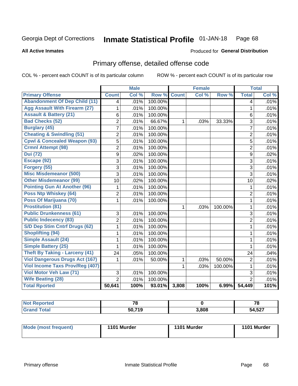### **Inmate Statistical Profile 01-JAN-18** Page 68

### **All Active Inmates**

## **Produced for General Distribution**

# Primary offense, detailed offense code

COL % - percent each COUNT is of its particular column

|                                         |                | <b>Male</b> |         |              | <b>Female</b> |         |                | <b>Total</b> |
|-----------------------------------------|----------------|-------------|---------|--------------|---------------|---------|----------------|--------------|
| <b>Primary Offense</b>                  | <b>Count</b>   | Col %       | Row %   | <b>Count</b> | Col%          | Row %   | <b>Total</b>   | Col %        |
| <b>Abandonment Of Dep Child (11)</b>    | 4              | .01%        | 100.00% |              |               |         | 4              | .01%         |
| <b>Agg Assault With Firearm (27)</b>    | 1              | .01%        | 100.00% |              |               |         | 1              | .01%         |
| <b>Assault &amp; Battery (21)</b>       | 6              | .01%        | 100.00% |              |               |         | 6              | .01%         |
| <b>Bad Checks (52)</b>                  | $\overline{2}$ | .01%        | 66.67%  | 1            | .03%          | 33.33%  | 3              | .01%         |
| <b>Burglary (45)</b>                    | $\overline{7}$ | .01%        | 100.00% |              |               |         | $\overline{7}$ | .01%         |
| <b>Cheating &amp; Swindling (51)</b>    | $\overline{2}$ | .01%        | 100.00% |              |               |         | $\overline{2}$ | .01%         |
| <b>Cpwl &amp; Concealed Weapon (93)</b> | 5              | .01%        | 100.00% |              |               |         | 5              | .01%         |
| <b>Crmnl Attempt (98)</b>               | $\overline{2}$ | .01%        | 100.00% |              |               |         | $\overline{2}$ | .01%         |
| <b>Dui (72)</b>                         | 9              | .02%        | 100.00% |              |               |         | 9              | .02%         |
| Escape (92)                             | $\overline{3}$ | .01%        | 100.00% |              |               |         | 3              | .01%         |
| Forgery (55)                            | 3              | .01%        | 100.00% |              |               |         | 3              | .01%         |
| <b>Misc Misdemeanor (500)</b>           | 3              | .01%        | 100.00% |              |               |         | $\overline{3}$ | .01%         |
| <b>Other Misdemeanor (99)</b>           | 10             | .02%        | 100.00% |              |               |         | 10             | .02%         |
| <b>Pointing Gun At Another (96)</b>     | 1              | .01%        | 100.00% |              |               |         | 1              | .01%         |
| Poss Ntp Whiskey (64)                   | $\overline{2}$ | .01%        | 100.00% |              |               |         | $\overline{2}$ | .01%         |
| Poss Of Marijuana (70)                  | 1              | .01%        | 100.00% |              |               |         | $\mathbf{1}$   | .01%         |
| <b>Prostitution (81)</b>                |                |             |         | $\mathbf{1}$ | .03%          | 100.00% | 1              | .01%         |
| <b>Public Drunkenness (61)</b>          | 3              | .01%        | 100.00% |              |               |         | 3              | .01%         |
| <b>Public Indecency (83)</b>            | $\overline{2}$ | .01%        | 100.00% |              |               |         | $\overline{2}$ | .01%         |
| S/D Dep Stim Cntrf Drugs (62)           | 1              | .01%        | 100.00% |              |               |         | $\mathbf{1}$   | .01%         |
| <b>Shoplifting (94)</b>                 | 1              | .01%        | 100.00% |              |               |         | 1              | .01%         |
| Simple Assault (24)                     | 1              | .01%        | 100.00% |              |               |         | 1              | .01%         |
| <b>Simple Battery (25)</b>              | $\mathbf{1}$   | .01%        | 100.00% |              |               |         | $\mathbf{1}$   | .01%         |
| <b>Theft By Taking - Larceny (41)</b>   | 24             | .05%        | 100.00% |              |               |         | 24             | .04%         |
| <b>Viol Dangerous Drugs Act (167)</b>   | 1              | .01%        | 50.00%  | 1            | .03%          | 50.00%  | $\overline{2}$ | .01%         |
| Viol Income Taxs Prov/Reg (407)         |                |             |         | 1            | .03%          | 100.00% | $\mathbf{1}$   | .01%         |
| Viol Motor Veh Law (71)                 | 3              | .01%        | 100.00% |              |               |         | 3              | .01%         |
| <b>Wife Beating (28)</b>                | $\overline{2}$ | .01%        | 100.00% |              |               |         | $\overline{2}$ | .01%         |
| <b>Total Rported</b>                    | 50,641         | 100%        | 93.01%  | 3,808        | 100%          | 6.99%   | 54,449         | 101%         |

| ported<br>NOT. | $\overline{\phantom{a}}$  |       | 7c     |
|----------------|---------------------------|-------|--------|
| <b>otal</b>    | <b>740</b><br>50.<br>- 12 | 3,808 | 54,527 |

| <b>Mode (most frequent)</b> | 1101 Murder | 1101 Murder | 1101 Murder |
|-----------------------------|-------------|-------------|-------------|
|                             |             |             |             |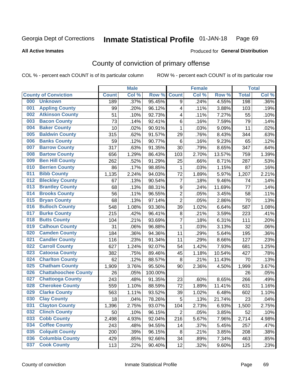### Inmate Statistical Profile 01-JAN-18 Page 69

### **All Active Inmates**

# Produced for General Distribution

# County of conviction of primary offense

COL % - percent each COUNT is of its particular column

|     |                             |              | <b>Male</b> |         |                  | <b>Female</b> |        |              | <b>Total</b> |
|-----|-----------------------------|--------------|-------------|---------|------------------|---------------|--------|--------------|--------------|
|     | <b>County of Conviction</b> | <b>Count</b> | Col %       | Row %   | <b>Count</b>     | Col %         | Row %  | <b>Total</b> | Col %        |
| 000 | <b>Unknown</b>              | 189          | .37%        | 95.45%  | 9                | .24%          | 4.55%  | 198          | $.36\%$      |
| 001 | <b>Appling County</b>       | 99           | .20%        | 96.12%  | 4                | .11%          | 3.88%  | 103          | .19%         |
| 002 | <b>Atkinson County</b>      | 51           | .10%        | 92.73%  | 4                | .11%          | 7.27%  | 55           | .10%         |
| 003 | <b>Bacon County</b>         | 73           | .14%        | 92.41%  | 6                | .16%          | 7.59%  | 79           | .14%         |
| 004 | <b>Baker County</b>         | 10           | .02%        | 90.91%  | 1                | .03%          | 9.09%  | 11           | .02%         |
| 005 | <b>Baldwin County</b>       | 315          | .62%        | 91.57%  | 29               | .76%          | 8.43%  | 344          | .63%         |
| 006 | <b>Banks County</b>         | 59           | .12%        | 90.77%  | 6                | .16%          | 9.23%  | 65           | .12%         |
| 007 | <b>Barrow County</b>        | 317          | .63%        | 91.35%  | 30               | .79%          | 8.65%  | 347          | .64%         |
| 008 | <b>Bartow County</b>        | 656          | 1.29%       | 86.43%  | 103              | 2.70%         | 13.57% | 759          | 1.39%        |
| 009 | <b>Ben Hill County</b>      | 262          | .52%        | 91.29%  | 25               | .66%          | 8.71%  | 287          | .53%         |
| 010 | <b>Berrien County</b>       | 86           | .17%        | 98.85%  | 1                | .03%          | 1.15%  | 87           | .16%         |
| 011 | <b>Bibb County</b>          | 1,135        | 2.24%       | 94.03%  | 72               | 1.89%         | 5.97%  | 1,207        | 2.21%        |
| 012 | <b>Bleckley County</b>      | 67           | .13%        | 90.54%  | $\overline{7}$   | .18%          | 9.46%  | 74           | .14%         |
| 013 | <b>Brantley County</b>      | 68           | .13%        | 88.31%  | $\boldsymbol{9}$ | .24%          | 11.69% | 77           | .14%         |
| 014 | <b>Brooks County</b>        | 56           | .11%        | 96.55%  | $\overline{2}$   | .05%          | 3.45%  | 58           | .11%         |
| 015 | <b>Bryan County</b>         | 68           | .13%        | 97.14%  | $\overline{2}$   | .05%          | 2.86%  | 70           | .13%         |
| 016 | <b>Bulloch County</b>       | 548          | 1.08%       | 93.36%  | 39               | 1.02%         | 6.64%  | 587          | 1.08%        |
| 017 | <b>Burke County</b>         | 215          | .42%        | 96.41%  | 8                | .21%          | 3.59%  | 223          | .41%         |
| 018 | <b>Butts County</b>         | 104          | .21%        | 93.69%  | $\overline{7}$   | .18%          | 6.31%  | 111          | .20%         |
| 019 | <b>Calhoun County</b>       | 31           | .06%        | 96.88%  | 1                | .03%          | 3.13%  | 32           | .06%         |
| 020 | <b>Camden County</b>        | 184          | .36%        | 94.36%  | 11               | .29%          | 5.64%  | 195          | .36%         |
| 021 | <b>Candler County</b>       | 116          | .23%        | 91.34%  | 11               | .29%          | 8.66%  | 127          | .23%         |
| 022 | <b>Carroll County</b>       | 627          | 1.24%       | 92.07%  | 54               | 1.42%         | 7.93%  | 681          | 1.25%        |
| 023 | <b>Catoosa County</b>       | 382          | .75%        | 89.46%  | 45               | 1.18%         | 10.54% | 427          | .78%         |
| 024 | <b>Charlton County</b>      | 62           | .12%        | 88.57%  | 8                | .21%          | 11.43% | 70           | .13%         |
| 025 | <b>Chatham County</b>       | 1,909        | 3.76%       | 95.50%  | 90               | 2.36%         | 4.50%  | 1,999        | 3.67%        |
| 026 | <b>Chattahoochee County</b> | 26           | .05%        | 100.00% |                  |               |        | 26           | .05%         |
| 027 | <b>Chattooga County</b>     | 243          | .48%        | 91.35%  | 23               | .60%          | 8.65%  | 266          | .49%         |
| 028 | <b>Cherokee County</b>      | 559          | 1.10%       | 88.59%  | 72               | 1.89%         | 11.41% | 631          | 1.16%        |
| 029 | <b>Clarke County</b>        | 563          | 1.11%       | 93.52%  | 39               | 1.02%         | 6.48%  | 602          | 1.10%        |
| 030 | <b>Clay County</b>          | 18           | .04%        | 78.26%  | $\overline{5}$   | .13%          | 21.74% | 23           | .04%         |
| 031 | <b>Clayton County</b>       | 1,396        | 2.75%       | 93.07%  | 104              | 2.73%         | 6.93%  | 1,500        | 2.75%        |
| 032 | <b>Clinch County</b>        | 50           | .10%        | 96.15%  | $\overline{2}$   | .05%          | 3.85%  | 52           | .10%         |
| 033 | <b>Cobb County</b>          | 2,498        | 4.93%       | 92.04%  | 216              | 5.67%         | 7.96%  | 2,714        | 4.98%        |
| 034 | <b>Coffee County</b>        | 243          | .48%        | 94.55%  | 14               | .37%          | 5.45%  | 257          | .47%         |
| 035 | <b>Colquitt County</b>      | 200          | .39%        | 96.15%  | 8                | .21%          | 3.85%  | 208          | .38%         |
| 036 | <b>Columbia County</b>      | 429          | .85%        | 92.66%  | 34               | .89%          | 7.34%  | 463          | .85%         |
| 037 | <b>Cook County</b>          | 113          | .22%        | 90.40%  | 12               | .32%          | 9.60%  | 125          | .23%         |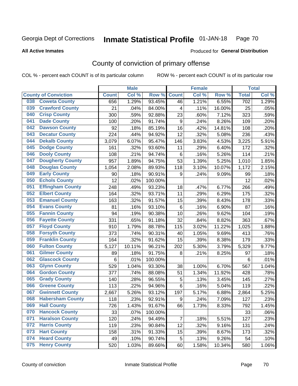### Inmate Statistical Profile 01-JAN-18 Page 70

### **All Active Inmates**

# Produced for General Distribution

# County of conviction of primary offense

COL % - percent each COUNT is of its particular column

|     |                             |              | <b>Male</b> |         |                  | <b>Female</b> |        |              | <b>Total</b> |
|-----|-----------------------------|--------------|-------------|---------|------------------|---------------|--------|--------------|--------------|
|     | <b>County of Conviction</b> | <b>Count</b> | Col %       | Row %   | <b>Count</b>     | Col %         | Row %  | <b>Total</b> | Col %        |
| 038 | <b>Coweta County</b>        | 656          | 1.29%       | 93.45%  | 46               | 1.21%         | 6.55%  | 702          | 1.29%        |
| 039 | <b>Crawford County</b>      | 21           | .04%        | 84.00%  | 4                | .11%          | 16.00% | 25           | .05%         |
| 040 | <b>Crisp County</b>         | 300          | .59%        | 92.88%  | 23               | .60%          | 7.12%  | 323          | .59%         |
| 041 | <b>Dade County</b>          | 100          | .20%        | 91.74%  | $\boldsymbol{9}$ | .24%          | 8.26%  | 109          | .20%         |
| 042 | <b>Dawson County</b>        | 92           | .18%        | 85.19%  | 16               | .42%          | 14.81% | 108          | .20%         |
| 043 | <b>Decatur County</b>       | 224          | .44%        | 94.92%  | 12               | .32%          | 5.08%  | 236          | .43%         |
| 044 | <b>Dekalb County</b>        | 3,079        | 6.07%       | 95.47%  | 146              | 3.83%         | 4.53%  | 3,225        | 5.91%        |
| 045 | <b>Dodge County</b>         | 161          | .32%        | 93.60%  | 11               | .29%          | 6.40%  | 172          | .32%         |
| 046 | <b>Dooly County</b>         | 108          | .21%        | 94.74%  | 6                | .16%          | 5.26%  | 114          | .21%         |
| 047 | <b>Dougherty County</b>     | 957          | 1.89%       | 94.75%  | 53               | 1.39%         | 5.25%  | 1,010        | 1.85%        |
| 048 | <b>Douglas County</b>       | 1,054        | 2.08%       | 89.93%  | 118              | 3.10%         | 10.07% | 1,172        | 2.15%        |
| 049 | <b>Early County</b>         | 90           | .18%        | 90.91%  | $\boldsymbol{9}$ | .24%          | 9.09%  | 99           | .18%         |
| 050 | <b>Echols County</b>        | 12           | .02%        | 100.00% |                  |               |        | 12           | .02%         |
| 051 | <b>Effingham County</b>     | 248          | .49%        | 93.23%  | 18               | .47%          | 6.77%  | 266          | .49%         |
| 052 | <b>Elbert County</b>        | 164          | .32%        | 93.71%  | 11               | .29%          | 6.29%  | 175          | .32%         |
| 053 | <b>Emanuel County</b>       | 163          | .32%        | 91.57%  | 15               | .39%          | 8.43%  | 178          | .33%         |
| 054 | <b>Evans County</b>         | 81           | .16%        | 93.10%  | 6                | .16%          | 6.90%  | 87           | .16%         |
| 055 | <b>Fannin County</b>        | 94           | .19%        | 90.38%  | 10               | .26%          | 9.62%  | 104          | .19%         |
| 056 | <b>Fayette County</b>       | 331          | .65%        | 91.18%  | 32               | .84%          | 8.82%  | 363          | .67%         |
| 057 | <b>Floyd County</b>         | 910          | 1.79%       | 88.78%  | 115              | 3.02%         | 11.22% | 1,025        | 1.88%        |
| 058 | <b>Forsyth County</b>       | 373          | .74%        | 90.31%  | 40               | 1.05%         | 9.69%  | 413          | .76%         |
| 059 | <b>Franklin County</b>      | 164          | .32%        | 91.62%  | 15               | .39%          | 8.38%  | 179          | .33%         |
| 060 | <b>Fulton County</b>        | 5,127        | 10.11%      | 96.21%  | 202              | 5.30%         | 3.79%  | 5,329        | 9.77%        |
| 061 | <b>Gilmer County</b>        | 89           | .18%        | 91.75%  | 8                | .21%          | 8.25%  | 97           | .18%         |
| 062 | <b>Glascock County</b>      | 6            | .01%        | 100.00% |                  |               |        | 6            | .01%         |
| 063 | <b>Glynn County</b>         | 529          | 1.04%       | 93.30%  | 38               | 1.00%         | 6.70%  | 567          | 1.04%        |
| 064 | <b>Gordon County</b>        | 377          | .74%        | 88.08%  | 51               | 1.34%         | 11.92% | 428          | .78%         |
| 065 | <b>Grady County</b>         | 140          | .28%        | 96.55%  | 5                | .13%          | 3.45%  | 145          | .27%         |
| 066 | <b>Greene County</b>        | 113          | .22%        | 94.96%  | 6                | .16%          | 5.04%  | 119          | .22%         |
| 067 | <b>Gwinnett County</b>      | 2,667        | 5.26%       | 93.12%  | 197              | 5.17%         | 6.88%  | 2,864        | 5.25%        |
| 068 | <b>Habersham County</b>     | 118          | .23%        | 92.91%  | $\boldsymbol{9}$ | .24%          | 7.09%  | 127          | .23%         |
| 069 | <b>Hall County</b>          | 726          | 1.43%       | 91.67%  | 66               | 1.73%         | 8.33%  | 792          | 1.45%        |
| 070 | <b>Hancock County</b>       | 33           | .07%        | 100.00% |                  |               |        | 33           | .06%         |
| 071 | <b>Haralson County</b>      | 120          | .24%        | 94.49%  | $\overline{7}$   | .18%          | 5.51%  | 127          | .23%         |
| 072 | <b>Harris County</b>        | 119          | .23%        | 90.84%  | 12               | .32%          | 9.16%  | 131          | .24%         |
| 073 | <b>Hart County</b>          | 158          | .31%        | 91.33%  | 15               | .39%          | 8.67%  | 173          | .32%         |
| 074 | <b>Heard County</b>         | 49           | .10%        | 90.74%  | 5                | .13%          | 9.26%  | 54           | .10%         |
| 075 | <b>Henry County</b>         | 520          | 1.03%       | 89.66%  | 60               | 1.58%         | 10.34% | 580          | 1.06%        |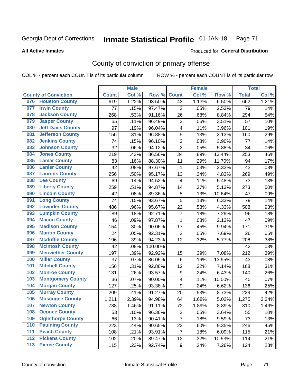### Inmate Statistical Profile 01-JAN-18 Page 71

Produced for General Distribution

### **All Active Inmates**

# County of conviction of primary offense

COL % - percent each COUNT is of its particular column

|       |                             |              | <b>Male</b> |         |                  | <b>Female</b> |        |              | <b>Total</b> |
|-------|-----------------------------|--------------|-------------|---------|------------------|---------------|--------|--------------|--------------|
|       | <b>County of Conviction</b> | <b>Count</b> | Col %       | Row %   | <b>Count</b>     | Col %         | Row %  | <b>Total</b> | Col %        |
| 076   | <b>Houston County</b>       | 619          | 1.22%       | 93.50%  | 43               | 1.13%         | 6.50%  | 662          | 1.21%        |
| 077   | <b>Irwin County</b>         | 77           | .15%        | 97.47%  | $\overline{2}$   | .05%          | 2.53%  | 79           | .14%         |
| 078   | <b>Jackson County</b>       | 268          | .53%        | 91.16%  | 26               | .68%          | 8.84%  | 294          | .54%         |
| 079   | <b>Jasper County</b>        | 55           | .11%        | 96.49%  | $\overline{2}$   | .05%          | 3.51%  | 57           | .10%         |
| 080   | <b>Jeff Davis County</b>    | 97           | .19%        | 96.04%  | 4                | .11%          | 3.96%  | 101          | .19%         |
| 081   | <b>Jefferson County</b>     | 155          | .31%        | 96.88%  | 5                | .13%          | 3.13%  | 160          | .29%         |
| 082   | <b>Jenkins County</b>       | 74           | .15%        | 96.10%  | 3                | .08%          | 3.90%  | 77           | .14%         |
| 083   | <b>Johnson County</b>       | 32           | .06%        | 94.12%  | $\overline{2}$   | .05%          | 5.88%  | 34           | .06%         |
| 084   | <b>Jones County</b>         | 219          | .43%        | 86.56%  | 34               | .89%          | 13.44% | 253          | .46%         |
| 085   | <b>Lamar County</b>         | 83           | .16%        | 88.30%  | 11               | .29%          | 11.70% | 94           | .17%         |
| 086   | <b>Lanier County</b>        | 42           | .08%        | 97.67%  | 1                | .03%          | 2.33%  | 43           | .08%         |
| 087   | <b>Laurens County</b>       | 256          | .50%        | 95.17%  | 13               | .34%          | 4.83%  | 269          | .49%         |
| 088   | <b>Lee County</b>           | 69           | .14%        | 94.52%  | 4                | .11%          | 5.48%  | 73           | .13%         |
| 089   | <b>Liberty County</b>       | 259          | .51%        | 94.87%  | 14               | .37%          | 5.13%  | 273          | .50%         |
| 090   | <b>Lincoln County</b>       | 42           | .08%        | 89.36%  | $\mathbf 5$      | .13%          | 10.64% | 47           | .09%         |
| 091   | <b>Long County</b>          | 74           | .15%        | 93.67%  | 5                | .13%          | 6.33%  | 79           | .14%         |
| 092   | <b>Lowndes County</b>       | 486          | .96%        | 95.67%  | 22               | .58%          | 4.33%  | 508          | .93%         |
| 093   | <b>Lumpkin County</b>       | 89           | .18%        | 92.71%  | $\overline{7}$   | .18%          | 7.29%  | 96           | .18%         |
| 094   | <b>Macon County</b>         | 46           | .09%        | 97.87%  | $\mathbf{1}$     | .03%          | 2.13%  | 47           | .09%         |
| 095   | <b>Madison County</b>       | 154          | .30%        | 90.06%  | 17               | .45%          | 9.94%  | 171          | .31%         |
| 096   | <b>Marion County</b>        | 24           | .05%        | 92.31%  | $\overline{2}$   | .05%          | 7.69%  | 26           | .05%         |
| 097   | <b>Mcduffie County</b>      | 196          | .39%        | 94.23%  | 12               | .32%          | 5.77%  | 208          | .38%         |
| 098   | <b>Mcintosh County</b>      | 42           | .08%        | 100.00% |                  |               |        | 42           | .08%         |
| 099   | <b>Meriwether County</b>    | 197          | .39%        | 92.92%  | 15               | .39%          | 7.08%  | 212          | .39%         |
| 100   | <b>Miller County</b>        | 37           | .07%        | 86.05%  | 6                | .16%          | 13.95% | 43           | .08%         |
| 101   | <b>Mitchell County</b>      | 156          | .31%        | 92.86%  | 12               | .32%          | 7.14%  | 168          | .31%         |
| 102   | <b>Monroe County</b>        | 131          | .26%        | 93.57%  | $\boldsymbol{9}$ | .24%          | 6.43%  | 140          | .26%         |
| 103   | <b>Montgomery County</b>    | 36           | .07%        | 90.00%  | 4                | .11%          | 10.00% | 40           | .07%         |
| 104   | <b>Morgan County</b>        | 127          | .25%        | 93.38%  | $\boldsymbol{9}$ | .24%          | 6.62%  | 136          | .25%         |
| 105   | <b>Murray County</b>        | 209          | .41%        | 91.27%  | 20               | .53%          | 8.73%  | 229          | .42%         |
| 106   | <b>Muscogee County</b>      | 1,211        | 2.39%       | 94.98%  | 64               | 1.68%         | 5.02%  | 1,275        | 2.34%        |
| 107   | <b>Newton County</b>        | 738          | 1.46%       | 91.11%  | 72               | 1.89%         | 8.89%  | 810          | 1.49%        |
| 108   | <b>Oconee County</b>        | 53           | .10%        | 96.36%  | $\overline{2}$   | .05%          | 3.64%  | 55           | .10%         |
| 109   | <b>Oglethorpe County</b>    | 66           | .13%        | 90.41%  | $\overline{7}$   | .18%          | 9.59%  | 73           | .13%         |
| 110   | <b>Paulding County</b>      | 223          | .44%        | 90.65%  | 23               | .60%          | 9.35%  | 246          | .45%         |
| 111   | <b>Peach County</b>         | 108          | .21%        | 93.91%  | $\overline{7}$   | .18%          | 6.09%  | 115          | .21%         |
| 112   | <b>Pickens County</b>       | 102          | .20%        | 89.47%  | 12               | .32%          | 10.53% | 114          | .21%         |
| $113$ | <b>Pierce County</b>        | 115          | .23%        | 92.74%  | 9                | .24%          | 7.26%  | 124          | .23%         |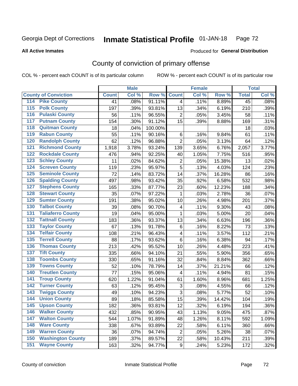#### Inmate Statistical Profile 01-JAN-18 Page 72

**All Active Inmates** 

### Produced for General Distribution

# County of conviction of primary offense

COL % - percent each COUNT is of its particular column

|                                          |              | <b>Male</b> |         |                          | <b>Female</b> |        |              | <b>Total</b> |
|------------------------------------------|--------------|-------------|---------|--------------------------|---------------|--------|--------------|--------------|
| <b>County of Conviction</b>              | <b>Count</b> | Col %       | Row %   | <b>Count</b>             | Col %         | Row %  | <b>Total</b> | Col %        |
| 114 Pike County                          | 41           | .08%        | 91.11%  | $\overline{4}$           | .11%          | 8.89%  | 45           | .08%         |
| <b>Polk County</b><br>$\overline{115}$   | 197          | .39%        | 93.81%  | 13                       | .34%          | 6.19%  | 210          | .39%         |
| <b>Pulaski County</b><br>116             | 56           | .11%        | 96.55%  | $\overline{2}$           | .05%          | 3.45%  | 58           | .11%         |
| 117<br><b>Putnam County</b>              | 154          | .30%        | 91.12%  | 15                       | .39%          | 8.88%  | 169          | .31%         |
| <b>Quitman County</b><br>118             | 18           | .04%        | 100.00% |                          |               |        | 18           | .03%         |
| <b>Rabun County</b><br>119               | 55           | .11%        | 90.16%  | 6                        | .16%          | 9.84%  | 61           | .11%         |
| <b>Randolph County</b><br>120            | 62           | .12%        | 96.88%  | $\overline{2}$           | .05%          | 3.13%  | 64           | .12%         |
| <b>Richmond County</b><br>121            | 1,918        | 3.78%       | 93.24%  | 139                      | 3.65%         | 6.76%  | 2,057        | 3.77%        |
| <b>Rockdale County</b><br>122            | 476          | .94%        | 92.25%  | 40                       | 1.05%         | 7.75%  | 516          | .95%         |
| <b>Schley County</b><br>123              | 11           | .02%        | 84.62%  | $\boldsymbol{2}$         | .05%          | 15.38% | 13           | .02%         |
| <b>Screven County</b><br>124             | 119          | .23%        | 95.97%  | 5                        | .13%          | 4.03%  | 124          | .23%         |
| <b>Seminole County</b><br>125            | 72           | .14%        | 83.72%  | 14                       | .37%          | 16.28% | 86           | .16%         |
| 126<br><b>Spalding County</b>            | 497          | .98%        | 93.42%  | 35                       | .92%          | 6.58%  | 532          | .98%         |
| <b>Stephens County</b><br>127            | 165          | .33%        | 87.77%  | 23                       | .60%          | 12.23% | 188          | .34%         |
| <b>Stewart County</b><br>128             | 35           | .07%        | 97.22%  | $\mathbf{1}$             | .03%          | 2.78%  | 36           | .07%         |
| <b>Sumter County</b><br>129              | 191          | .38%        | 95.02%  | 10                       | .26%          | 4.98%  | 201          | .37%         |
| <b>Talbot County</b><br>130              | 39           | .08%        | 90.70%  | $\overline{\mathcal{A}}$ | .11%          | 9.30%  | 43           | .08%         |
| <b>Taliaferro County</b><br>131          | 19           | .04%        | 95.00%  | $\mathbf{1}$             | .03%          | 5.00%  | 20           | .04%         |
| <b>Tattnall County</b><br>132            | 183          | .36%        | 93.37%  | 13                       | .34%          | 6.63%  | 196          | .36%         |
| <b>Taylor County</b><br>133              | 67           | .13%        | 91.78%  | $\,6$                    | .16%          | 8.22%  | 73           | .13%         |
| <b>Telfair County</b><br>134             | 108          | .21%        | 96.43%  | $\overline{\mathbf{4}}$  | .11%          | 3.57%  | 112          | .21%         |
| <b>Terrell County</b><br>135             | 88           | .17%        | 93.62%  | $\,6$                    | .16%          | 6.38%  | 94           | .17%         |
| <b>Thomas County</b><br>136              | 213          | .42%        | 95.52%  | 10                       | .26%          | 4.48%  | 223          | .41%         |
| <b>Tift County</b><br>137                | 335          | .66%        | 94.10%  | 21                       | .55%          | 5.90%  | 356          | .65%         |
| <b>Toombs County</b><br>138              | 330          | .65%        | 91.16%  | 32                       | .84%          | 8.84%  | 362          | .66%         |
| <b>Towns County</b><br>139               | 52           | .10%        | 78.79%  | 14                       | .37%          | 21.21% | 66           | .12%         |
| <b>Treutlen County</b><br>140            | 77           | .15%        | 95.06%  | $\overline{\mathbf{4}}$  | .11%          | 4.94%  | 81           | .15%         |
| <b>Troup County</b><br>141               | 620          | 1.22%       | 91.04%  | 61                       | 1.60%         | 8.96%  | 681          | 1.25%        |
| <b>Turner County</b><br>142              | 63           | .12%        | 95.45%  | 3                        | .08%          | 4.55%  | 66           | .12%         |
| <b>Twiggs County</b><br>$\overline{143}$ | 49           | .10%        | 94.23%  | 3                        | .08%          | 5.77%  | 52           | .10%         |
| <b>Union County</b><br>144               | 89           | .18%        | 85.58%  | 15                       | .39%          | 14.42% | 104          | .19%         |
| 145<br><b>Upson County</b>               | 182          | .36%        | 93.81%  | 12                       | .32%          | 6.19%  | 194          | $.36\%$      |
| <b>Walker County</b><br>146              | 432          | .85%        | 90.95%  | 43                       | 1.13%         | 9.05%  | 475          | .87%         |
| <b>Walton County</b><br>147              | 544          | 1.07%       | 91.89%  | 48                       | 1.26%         | 8.11%  | 592          | 1.09%        |
| <b>Ware County</b><br>148                | 338          | .67%        | 93.89%  | 22                       | .58%          | 6.11%  | 360          | .66%         |
| <b>Warren County</b><br>149              | 36           | .07%        | 94.74%  | $\overline{2}$           | .05%          | 5.26%  | 38           | .07%         |
| <b>Washington County</b><br>150          | 189          | .37%        | 89.57%  | 22                       | .58%          | 10.43% | 211          | .39%         |
| <b>Wayne County</b><br>151               | 163          | .32%        | 94.77%  | 9                        | .24%          | 5.23%  | 172          | .32%         |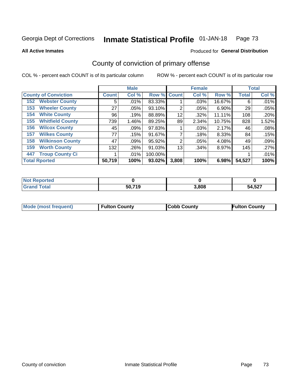### Inmate Statistical Profile 01-JAN-18 Page 73

**All Active Inmates** 

### Produced for General Distribution

# County of conviction of primary offense

COL % - percent each COUNT is of its particular column

|                                |              | <b>Male</b> |         |                | <b>Female</b> |        |              | <b>Total</b> |
|--------------------------------|--------------|-------------|---------|----------------|---------------|--------|--------------|--------------|
| <b>County of Conviction</b>    | <b>Count</b> | Col %       | Row %   | <b>Count</b>   | Col %         | Row %  | <b>Total</b> | Col %        |
| <b>Webster County</b><br>152   | 5            | $.01\%$     | 83.33%  |                | .03%          | 16.67% | 6            | .01%         |
| <b>Wheeler County</b><br>153   | 27           | .05%        | 93.10%  | 2              | .05%          | 6.90%  | 29           | .05%         |
| <b>White County</b><br>154     | 96           | .19%        | 88.89%  | 12             | .32%          | 11.11% | 108          | .20%         |
| <b>Whitfield County</b><br>155 | 739          | 1.46%       | 89.25%  | 89             | 2.34%         | 10.75% | 828          | 1.52%        |
| <b>Wilcox County</b><br>156    | 45           | .09%        | 97.83%  |                | .03%          | 2.17%  | 46           | .08%         |
| <b>Wilkes County</b><br>157    | 77           | .15%        | 91.67%  |                | .18%          | 8.33%  | 84           | .15%         |
| <b>Wilkinson County</b><br>158 | 47           | $.09\%$     | 95.92%  | $\overline{2}$ | .05%          | 4.08%  | 49           | .09%         |
| <b>Worth County</b><br>159     | 132          | .26%        | 91.03%  | 13             | .34%          | 8.97%  | 145          | .27%         |
| <b>Troup County Ci</b><br>447  |              | .01%        | 100.00% |                |               |        |              | .01%         |
| <b>Total Rported</b>           | 50,719       | 100%        | 93.02%  | 3,808          | 100%          | 6.98%  | 54,527       | 100%         |

| <b>Not Reported</b> |        |       |        |
|---------------------|--------|-------|--------|
| <b>Grand Total</b>  | 50,719 | 3,808 | 54,527 |

|  | <b>Mode (most frequent)</b> | <b>Fulton County</b> | <b>Cobb County</b> | <b>Fulton County</b> |
|--|-----------------------------|----------------------|--------------------|----------------------|
|--|-----------------------------|----------------------|--------------------|----------------------|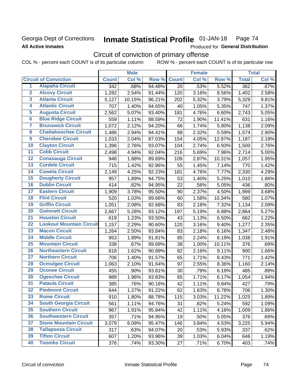# **Georgia Dept of Corrections All Active Inmates**

### Inmate Statistical Profile 01-JAN-18 Page 74

Produced for General Distribution

# Circuit of conviction of primary offense

COL % - percent each COUNT is of its particular column ROW % - percent each COUNT is of its particular row

|                         |                                 |                  | <b>Male</b> |        |              | <b>Female</b> |        |              | <b>Total</b> |
|-------------------------|---------------------------------|------------------|-------------|--------|--------------|---------------|--------|--------------|--------------|
|                         | <b>Circuit of Conviction</b>    | <b>Count</b>     | Col %       | Row %  | <b>Count</b> | Col %         | Row %  | <b>Total</b> | Col %        |
| 1                       | <b>Alapaha Circuit</b>          | $\overline{342}$ | .68%        | 94.48% | 20           | .53%          | 5.52%  | 362          | .67%         |
| $\overline{2}$          | <b>Alcovy Circuit</b>           | 1,282            | 2.54%       | 91.44% | 120          | 3.16%         | 8.56%  | 1,402        | 2.58%        |
| $\overline{\mathbf{3}}$ | <b>Atlanta Circuit</b>          | 5,127            | 10.15%      | 96.21% | 202          | 5.32%         | 3.79%  | 5,329        | 9.81%        |
| 4                       | <b>Atlantic Circuit</b>         | 707              | 1.40%       | 94.65% | 40           | 1.05%         | 5.35%  | 747          | 1.37%        |
| 5                       | <b>Augusta Circuit</b>          | 2,562            | 5.07%       | 93.40% | 181          | 4.76%         | 6.60%  | 2,743        | 5.05%        |
| $\overline{6}$          | <b>Blue Ridge Circuit</b>       | 559              | 1.11%       | 88.59% | 72           | 1.90%         | 11.41% | 631          | 1.16%        |
| $\overline{\mathbf{7}}$ | <b>Brunswick Circuit</b>        | 1,072            | 2.12%       | 94.20% | 66           | 1.74%         | 5.80%  | 1,138        | 2.09%        |
| $\overline{\mathbf{8}}$ | <b>Chattahoochee Circuit</b>    | 1,486            | 2.94%       | 94.41% | 88           | 2.32%         | 5.59%  | 1,574        | 2.90%        |
| $\overline{9}$          | <b>Cherokee Circuit</b>         | 1,033            | 2.04%       | 87.03% | 154          | 4.05%         | 12.97% | 1,187        | 2.18%        |
| 10                      | <b>Clayton Circuit</b>          | 1,396            | 2.76%       | 93.07% | 104          | 2.74%         | 6.93%  | 1,500        | 2.76%        |
| $\overline{11}$         | <b>Cobb Circuit</b>             | 2,498            | 4.94%       | 92.04% | 216          | 5.69%         | 7.96%  | 2,714        | 5.00%        |
| $\overline{12}$         | <b>Conasauga Circuit</b>        | 948              | 1.88%       | 89.69% | 109          | 2.87%         | 10.31% | 1,057        | 1.95%        |
| 13                      | <b>Cordele Circuit</b>          | 715              | 1.42%       | 92.86% | 55           | 1.45%         | 7.14%  | 770          | 1.42%        |
| 14                      | <b>Coweta Circuit</b>           | 2,149            | 4.25%       | 92.23% | 181          | 4.76%         | 7.77%  | 2,330        | 4.29%        |
| 15                      | <b>Dougherty Circuit</b>        | 957              | 1.89%       | 94.75% | 53           | 1.40%         | 5.25%  | 1,010        | 1.86%        |
| 16                      | <b>Dublin Circuit</b>           | 414              | .82%        | 94.95% | 22           | .58%          | 5.05%  | 436          | .80%         |
| 17                      | <b>Eastern Circuit</b>          | 1,909            | 3.78%       | 95.50% | 90           | 2.37%         | 4.50%  | 1,999        | 3.68%        |
| 18                      | <b>Flint Circuit</b>            | 520              | 1.03%       | 89.66% | 60           | 1.58%         | 10.34% | 580          | 1.07%        |
| 19                      | <b>Griffin Circuit</b>          | 1,051            | 2.08%       | 92.68% | 83           | 2.18%         | 7.32%  | 1,134        | 2.09%        |
| 20                      | <b>Gwinnett Circuit</b>         | 2,667            | 5.28%       | 93.12% | 197          | 5.19%         | 6.88%  | 2,864        | 5.27%        |
| $\overline{21}$         | <b>Houston Circuit</b>          | 619              | 1.23%       | 93.50% | 43           | 1.13%         | 6.50%  | 662          | 1.22%        |
| $\overline{22}$         | <b>Lookout Mountain Circuit</b> | 1,157            | 2.29%       | 90.60% | 120          | 3.16%         | 9.40%  | 1,277        | 2.35%        |
| 23                      | <b>Macon Circuit</b>            | 1,264            | 2.50%       | 93.84% | 83           | 2.18%         | 6.16%  | 1,347        | 2.48%        |
| $\overline{24}$         | <b>Middle Circuit</b>           | 953              | 1.89%       | 91.81% | 85           | 2.24%         | 8.19%  | 1,038        | 1.91%        |
| 25                      | <b>Mountain Circuit</b>         | 338              | .67%        | 89.89% | 38           | 1.00%         | 10.11% | 376          | .69%         |
| 26                      | <b>Northeastern Circuit</b>     | 818              | 1.62%       | 90.89% | 82           | 2.16%         | 9.11%  | 900          | 1.66%        |
| $\overline{27}$         | <b>Northern Circuit</b>         | 706              | 1.40%       | 91.57% | 65           | 1.71%         | 8.43%  | 771          | 1.42%        |
| 28                      | <b>Ocmulgee Circuit</b>         | 1,063            | 2.10%       | 91.64% | 97           | 2.55%         | 8.36%  | 1,160        | 2.14%        |
| 29                      | <b>Oconee Circuit</b>           | 455              | .90%        | 93.81% | 30           | .79%          | 6.19%  | 485          | .89%         |
| 30                      | <b>Ogeechee Circuit</b>         | 989              | 1.96%       | 93.83% | 65           | 1.71%         | 6.17%  | 1,054        | 1.94%        |
| $\overline{31}$         | <b>Pataula Circuit</b>          | 385              | .76%        | 90.16% | 42           | 1.11%         | 9.84%  | 427          | .79%         |
| 32                      | <b>Piedmont Circuit</b>         | 644              | 1.27%       | 91.22% | 62           | 1.63%         | 8.78%  | 706          | 1.30%        |
| 33                      | <b>Rome Circuit</b>             | 910              | 1.80%       | 88.78% | 115          | 3.03%         | 11.22% | 1,025        | 1.89%        |
| 34                      | <b>South Georgia Circuit</b>    | 561              | 1.11%       | 94.76% | 31           | .82%          | 5.24%  | 592          | 1.09%        |
| 35                      | <b>Southern Circuit</b>         | 967              | 1.91%       | 95.84% | 42           | 1.11%         | 4.16%  | 1,009        | 1.86%        |
| 36                      | <b>Southwestern Circuit</b>     | 357              | .71%        | 94.95% | 19           | .50%          | 5.05%  | 376          | .69%         |
| 37                      | <b>Stone Mountain Circuit</b>   | 3,079            | 6.09%       | 95.47% | 146          | 3.84%         | 4.53%  | 3,225        | 5.94%        |
| 38                      | <b>Tallapoosa Circuit</b>       | 317              | .63%        | 94.07% | 20           | .53%          | 5.93%  | 337          | .62%         |
| 39                      | <b>Tifton Circuit</b>           | 607              | 1.20%       | 93.96% | 39           | 1.03%         | 6.04%  | 646          | 1.19%        |
| 40                      | <b>Toombs Circuit</b>           | 376              | .74%        | 93.30% | 27           | .71%          | 6.70%  | 403          | .74%         |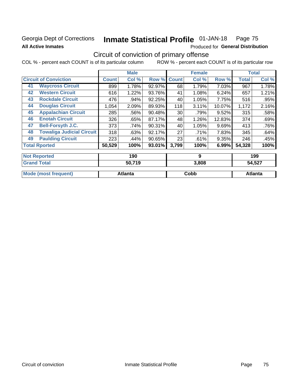# **Georgia Dept of Corrections All Active Inmates**

### Inmate Statistical Profile 01-JAN-18 Page 75

Produced for General Distribution

# Circuit of conviction of primary offense

COL % - percent each COUNT is of its particular column ROW % - percent each COUNT is of its particular row

|    |                                  | <b>Male</b><br><b>Female</b> |         |        |              | <b>Total</b> |        |              |       |
|----|----------------------------------|------------------------------|---------|--------|--------------|--------------|--------|--------------|-------|
|    | <b>Circuit of Conviction</b>     | <b>Count</b>                 | Col %   | Row %  | <b>Count</b> | Col %        | Row %  | <b>Total</b> | Col % |
| 41 | <b>Waycross Circuit</b>          | 899                          | 1.78%   | 92.97% | 68           | 1.79%        | 7.03%  | 967          | 1.78% |
| 42 | <b>Western Circuit</b>           | 616                          | 1.22%   | 93.76% | 41           | 1.08%        | 6.24%  | 657          | 1.21% |
| 43 | <b>Rockdale Circuit</b>          | 476                          | .94%    | 92.25% | 40           | 1.05%        | 7.75%  | 516          | .95%  |
| 44 | <b>Douglas Circuit</b>           | 1,054                        | 2.09%   | 89.93% | 118          | 3.11%        | 10.07% | 1,172        | 2.16% |
| 45 | <b>Appalachian Circuit</b>       | 285                          | .56%    | 90.48% | 30           | .79%         | 9.52%  | 315          | .58%  |
| 46 | <b>Enotah Circuit</b>            | 326                          | .65%    | 87.17% | 48           | 1.26%        | 12.83% | 374          | .69%  |
| 47 | <b>Bell-Forsyth J.C.</b>         | 373                          | .74%    | 90.31% | 40           | 1.05%        | 9.69%  | 413          | .76%  |
| 48 | <b>Towaliga Judicial Circuit</b> | 318                          | .63%    | 92.17% | 27           | .71%         | 7.83%  | 345          | .64%  |
| 49 | <b>Paulding Circuit</b>          | 223                          | $.44\%$ | 90.65% | 23           | .61%         | 9.35%  | 246          | .45%  |
|    | <b>Total Rported</b>             | 50,529                       | 100%    | 93.01% | 3,799        | 100%         | 6.99%  | 54,328       | 100%  |
|    | <b>Not Reported</b>              |                              | 190     |        |              | 9            |        |              | 199   |

| <b>Total</b><br>' Grand | 50,719         | 3,808 | 54,527         |
|-------------------------|----------------|-------|----------------|
| Mode (most<br>frequent) | <b>Atlanta</b> | Cobb  | <b>Atlanta</b> |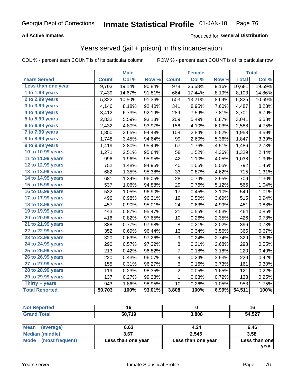### **All Active Inmates**

### Produced for **General Distribution**

# Years served (jail + prison) in this incarceration

|                              |              | <b>Male</b> |                  |                  | <b>Female</b> |                  |              | <b>Total</b> |
|------------------------------|--------------|-------------|------------------|------------------|---------------|------------------|--------------|--------------|
| <b>Years Served</b>          | <b>Count</b> | Col %       | Row <sup>%</sup> | <b>Count</b>     | Col %         | Row <sub>%</sub> | <b>Total</b> | Col %        |
| Less than one year           | 9,703        | 19.14%      | 90.84%           | 978              | 25.68%        | 9.16%            | 10,681       | 19.59%       |
| 1 to 1.99 years              | 7,439        | 14.67%      | 91.81%           | 664              | 17.44%        | 8.19%            | 8,103        | 14.86%       |
| 2 to 2.99 years              | 5,322        | 10.50%      | 91.36%           | 503              | 13.21%        | 8.64%            | 5,825        | 10.69%       |
| 3 to 3.99 years              | 4,146        | 8.18%       | 92.40%           | 341              | 8.95%         | 7.60%            | 4,487        | 8.23%        |
| 4 to 4.99 years              | 3,412        | 6.73%       | 92.19%           | 289              | 7.59%         | 7.81%            | 3,701        | 6.79%        |
| $\overline{5}$ to 5.99 years | 2,832        | 5.59%       | 93.13%           | 209              | 5.49%         | 6.87%            | 3,041        | 5.58%        |
| 6 to 6.99 years              | 2,432        | 4.80%       | 93.97%           | 156              | 4.10%         | 6.03%            | 2,588        | 4.75%        |
| 7 to 7.99 years              | 1,850        | 3.65%       | 94.48%           | 108              | 2.84%         | 5.52%            | 1,958        | 3.59%        |
| <b>8 to 8.99 years</b>       | 1,748        | 3.45%       | 94.64%           | 99               | 2.60%         | 5.36%            | 1,847        | 3.39%        |
| 9 to 9.99 years              | 1,419        | 2.80%       | 95.49%           | 67               | 1.76%         | 4.51%            | 1,486        | 2.73%        |
| 10 to 10.99 years            | 1,271        | 2.51%       | 95.64%           | 58               | 1.52%         | 4.36%            | 1,329        | 2.44%        |
| 11 to 11.99 years            | 996          | 1.96%       | 95.95%           | 42               | 1.10%         | 4.05%            | 1,038        | 1.90%        |
| 12 to 12.99 years            | 752          | 1.48%       | 94.95%           | 40               | 1.05%         | 5.05%            | 792          | 1.45%        |
| 13 to 13.99 years            | 682          | 1.35%       | 95.38%           | 33               | 0.87%         | 4.62%            | 715          | 1.31%        |
| 14 to 14.99 years            | 681          | 1.34%       | 96.05%           | 28               | 0.74%         | 3.95%            | 709          | 1.30%        |
| 15 to 15.99 years            | 537          | 1.06%       | 94.88%           | 29               | 0.76%         | 5.12%            | 566          | 1.04%        |
| 16 to 16.99 years            | 532          | 1.05%       | 96.90%           | 17               | 0.45%         | 3.10%            | 549          | 1.01%        |
| 17 to 17.99 years            | 496          | 0.98%       | 96.31%           | 19               | 0.50%         | 3.69%            | 515          | 0.94%        |
| 18 to 18.99 years            | 457          | 0.90%       | 95.01%           | 24               | 0.63%         | 4.99%            | 481          | 0.88%        |
| 19 to 19.99 years            | 443          | 0.87%       | 95.47%           | 21               | 0.55%         | 4.53%            | 464          | 0.85%        |
| 20 to 20.99 years            | 416          | 0.82%       | 97.65%           | 10               | 0.26%         | 2.35%            | 426          | 0.78%        |
| 21 to 21.99 years            | 388          | 0.77%       | 97.98%           | 8                | 0.21%         | 2.02%            | 396          | 0.73%        |
| 22 to 22.99 years            | 352          | 0.69%       | 96.44%           | 13               | 0.34%         | 3.56%            | 365          | 0.67%        |
| 23 to 23.99 years            | 320          | 0.63%       | 97.26%           | 9                | 0.24%         | 2.74%            | 329          | 0.60%        |
| 24 to 24.99 years            | 290          | 0.57%       | 97.32%           | 8                | 0.21%         | 2.68%            | 298          | 0.55%        |
| 25 to 25.99 years            | 213          | 0.42%       | 96.82%           | $\overline{7}$   | 0.18%         | 3.18%            | 220          | 0.40%        |
| 26 to 26.99 years            | 220          | 0.43%       | 96.07%           | $\boldsymbol{9}$ | 0.24%         | 3.93%            | 229          | 0.42%        |
| 27 to 27.99 years            | 155          | 0.31%       | 96.27%           | 6                | 0.16%         | 3.73%            | 161          | 0.30%        |
| 28 to 28.99 years            | 119          | 0.23%       | 98.35%           | $\overline{c}$   | 0.05%         | 1.65%            | 121          | 0.22%        |
| 29 to 29.99 years            | 137          | 0.27%       | 99.28%           | $\mathbf 1$      | 0.03%         | 0.72%            | 138          | 0.25%        |
| Thirty + years               | 943          | 1.86%       | 98.95%           | 10               | 0.26%         | 1.05%            | 953          | 1.75%        |
| <b>Total Reported</b>        | 50,703       | 100%        | 93.01%           | 3,808            | 100%          | 6.99%            | 54,511       | 100%         |

| <b>Not Reported</b> |        |       | 16     |  |
|---------------------|--------|-------|--------|--|
| <b>Grand Total</b>  | 50,719 | 3,808 | 54,527 |  |
| ___                 |        |       |        |  |

| Mean (average)       | 6.63               | 4.24               | 6.46          |
|----------------------|--------------------|--------------------|---------------|
| Median (middle)      | 3.67               | 2.545              | 3.58          |
| Mode (most frequent) | Less than one year | Less than one year | Less than one |
|                      |                    |                    | vear          |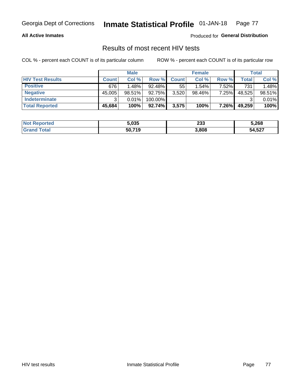#### **All Active Inmates**

Produced for **General Distribution**

# Results of most recent HIV tests

|                         | <b>Male</b>  |           |           | <b>Female</b> |        |       | Total  |        |
|-------------------------|--------------|-----------|-----------|---------------|--------|-------|--------|--------|
| <b>HIV Test Results</b> | <b>Count</b> | Col %     | Row %I    | <b>Count</b>  | Col %  | Row % | Total  | Col %  |
| <b>Positive</b>         | 676          | 1.48%     | $92.48\%$ | 55            | 1.54%  | 7.52% | 731    | 1.48%  |
| <b>Negative</b>         | 45,005       | $98.51\%$ | 92.75%    | 3,520         | 98.46% | 7.25% | 48,525 | 98.51% |
| Indeterminate           | າ            | 0.01%     | 100.00%   |               |        |       |        | 0.01%  |
| <b>Total Reported</b>   | 45,684       | 100%      | 92.74%    | 3,575         | 100%   | 7.26% | 49,259 | 100%   |

| <b>Not Reported</b> | 5,035  | າາາ<br>∠ാാ | 5,268  |
|---------------------|--------|------------|--------|
| Total               | 50,719 | 3,808      | 54,527 |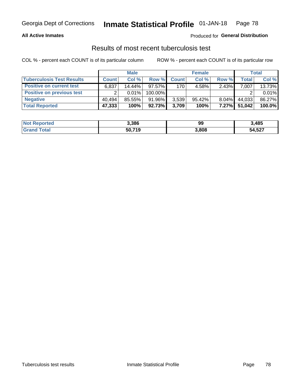### **All Active Inmates**

### Produced for **General Distribution**

### Results of most recent tuberculosis test

|                                  | <b>Male</b>  |        |           | <b>Female</b>    |           |          | <b>Total</b> |        |
|----------------------------------|--------------|--------|-----------|------------------|-----------|----------|--------------|--------|
| <b>Tuberculosis Test Results</b> | <b>Count</b> | Col %  | Row %     | <b>Count</b>     | Col %     | Row %    | <b>Total</b> | Col %  |
| <b>Positive on current test</b>  | 6,837        | 14.44% | $97.57\%$ | 170 <sub>1</sub> | 4.58%     | $2.43\%$ | 7,007        | 13.73% |
| <b>Positive on previous test</b> | ົ            | 0.01%  | 100.00%   |                  |           |          |              | 0.01%  |
| <b>Negative</b>                  | 40.494       | 85.55% | 91.96%    | 3,539            | $95.42\%$ | $8.04\%$ | 44,033       | 86.27% |
| <b>Total Reported</b>            | 47,333       | 100%   | 92.73%    | 3,709            | 100%      | $7.27\%$ | 51,042       | 100.0% |

| <b>Not Reported</b>  | 3,386  | 99    | 3,485  |
|----------------------|--------|-------|--------|
| Total<br><b>Grar</b> | 50,719 | 3,808 | 54,527 |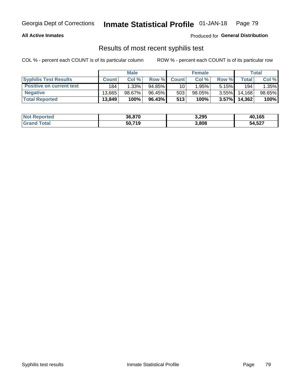#### **All Active Inmates**

Produced for **General Distribution**

## Results of most recent syphilis test

|                                 | <b>Male</b>  |           |           | <b>Female</b>   |           |          | Total  |        |
|---------------------------------|--------------|-----------|-----------|-----------------|-----------|----------|--------|--------|
| <b>Syphilis Test Results</b>    | <b>Count</b> | Col%      | Row %     | <b>Count</b>    | Col %     | Row %    | Total  | Col %  |
| <b>Positive on current test</b> | 184          | $1.33\%$  | $94.85\%$ | 10 <sub>1</sub> | 1.95%     | 5.15%    | 194    | 1.35%  |
| <b>Negative</b>                 | 13.665       | $98.67\%$ | 96.45%    | 503             | $98.05\%$ | $3.55\%$ | 14.168 | 98.65% |
| <b>Total Reported</b>           | 13,849       | 100%      | 96.43%    | 513             | 100%      | $3.57\%$ | 14,362 | 100%   |

| <b>Not Reported</b> | 36,870 | 3,295 | 40,165 |
|---------------------|--------|-------|--------|
| <b>Grand Total</b>  | 50,719 | 3,808 | 54,527 |